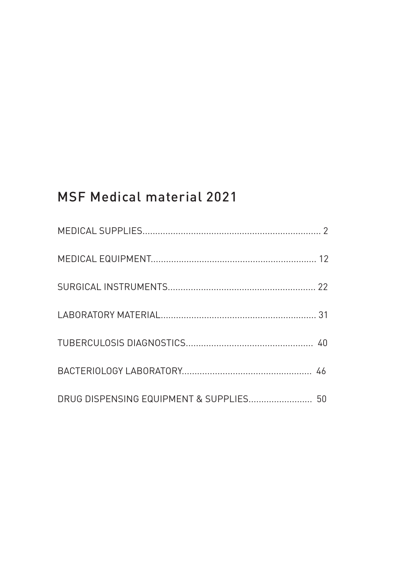# MSF Medical material 2021

| DRUG DISPENSING EQUIPMENT & SUPPLIES 50 |  |
|-----------------------------------------|--|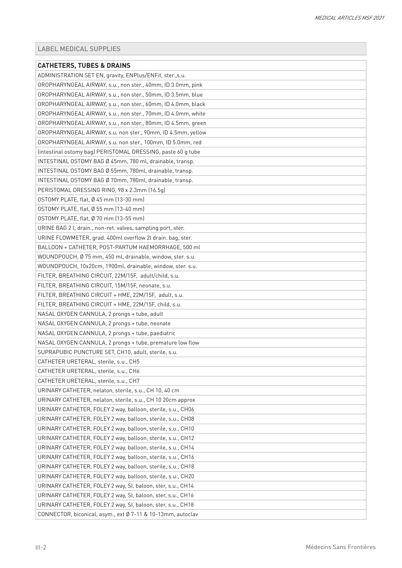<span id="page-1-0"></span>

| <b>CATHETERS, TUBES &amp; DRAINS</b>                         |
|--------------------------------------------------------------|
| ADMINISTRATION SET EN, gravity, ENPlus/ENFit, ster.,s.u.     |
| OROPHARYNGEAL AIRWAY, s.u., non ster., 40mm, ID 3.0mm, pink  |
| OROPHARYNGEAL AIRWAY, s.u., non ster., 50mm, ID 3.5mm, blue  |
| OROPHARYNGEAL AIRWAY, s.u., non ster., 60mm, ID 4.0mm, black |
| OROPHARYNGEAL AIRWAY, s.u., non ster., 70mm, ID 4.0mm, white |
| OROPHARYNGEAL AIRWAY, s.u., non ster., 80mm, ID 4.5mm, green |
| OROPHARYNGEAL AIRWAY, s.u. non ster., 90mm, ID 4.5mm, yellow |
| OROPHARYNGEAL AIRWAY, s.u. non ster., 100mm, ID 5.0mm, red   |
| (intestinal ostomy bag) PERISTOMAL DRESSING, paste 60 g tube |
| INTESTINAL OSTOMY BAG Ø 45mm, 780 ml, drainable, transp.     |
| INTESTINAL OSTOMY BAG Ø 55mm, 780ml, drainable, transp.      |
| INTESTINAL OSTOMY BAG Ø 70mm, 780ml, drainable, transp.      |
| PERISTOMAL DRESSING RING, 98 x 2.3mm (16.5g)                 |
| OSTOMY PLATE, flat, Ø 45 mm (13-30 mm)                       |
| OSTOMY PLATE, flat, Ø 55 mm (13-40 mm)                       |
| OSTOMY PLATE, flat, Ø 70 mm (13-55 mm)                       |
| URINE BAG 2 l, drain., non-ret. valves, sampling port, ster. |
| URINE FLOWMETER, grad. 400ml overflow 2l drain. bag, ster.   |
| BALLOON + CATHETER, POST-PARTUM HAEMORRHAGE, 500 ml          |
| WOUNDPOUCH, Ø 75 mm, 450 ml, drainable, window, ster. s.u.   |
| WOUNDPOUCH, 10x20cm, 1900ml, drainable, window, ster. s.u.   |
| FILTER, BREATHING CIRCUIT, 22M/15F, adult/child, s.u.        |
| FILTER, BREATHING CIRCUIT, 15M/15F, neonate, s.u.            |
| FILTER, BREATHING CIRCUIT + HME, 22M/15F, adult, s.u.        |
| FILTER, BREATHING CIRCUIT + HME, 22M/15F, child, s.u.        |
| NASAL OXYGEN CANNULA, 2 prongs + tube, adult                 |
| NASAL OXYGEN CANNULA, 2 prongs + tube, neonate               |
| NASAL OXYGEN CANNULA, 2 prongs + tube, paediatric            |
| NASAL OXYGEN CANNULA, 2 prongs + tube, premature low flow    |
| SUPRAPUBIC PUNCTURE SET, CH10, adult, sterile, s.u.          |
| CATHETER URETERAL, sterile, s.u., CH5                        |
| CATHETER URETERAL, sterile, s.u., CH6                        |
| CATHETER URETERAL, sterile, s.u., CH7                        |
| URINARY CATHETER, nelaton, sterile, s.u., CH 10, 40 cm       |
| URINARY CATHETER, nelaton, sterile, s.u., CH 10 20cm approx  |
| URINARY CATHETER, FOLEY 2 way, balloon, sterile, s.u., CH06  |
| URINARY CATHETER, FOLEY 2 way, balloon, sterile, s.u., CH08  |
| URINARY CATHETER, FOLEY 2 way, balloon, sterile, s.u., CH10  |
| URINARY CATHETER, FOLEY 2 way, balloon, sterile, s.u., CH12  |
| URINARY CATHETER, FOLEY 2 way, balloon, sterile, s.u., CH14  |
| URINARY CATHETER, FOLEY 2 way, balloon, sterile, s.u., CH16  |
| URINARY CATHETER, FOLEY 2 way, balloon, sterile, s.u., CH18  |
| URINARY CATHETER, FOLEY 2 way, balloon, sterile, s.u., CH20  |
| URINARY CATHETER, FOLEY 2 way, SI, baloon, ster, s.u., CH14  |
| URINARY CATHETER, FOLEY 2 way, SI, baloon, ster, s.u., CH16  |
| URINARY CATHETER, FOLEY 2 way, SI, baloon, ster, s.u., CH18  |
| CONNECTOR, biconical, asym., ext Ø 7-11 & 10-13mm, autoclav  |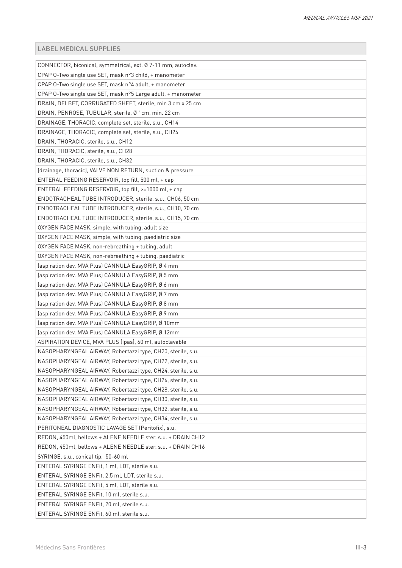| CONNECTOR, biconical, symmetrical, ext. Ø 7-11 mm, autoclav. |
|--------------------------------------------------------------|
| CPAP 0-Two single use SET, mask n°3 child, + manometer       |
| CPAP 0-Two single use SET, mask n°4 adult, + manometer       |
| CPAP 0-Two single use SET, mask n°5 Large adult, + manometer |
| DRAIN, DELBET, CORRUGATED SHEET, sterile, min 3 cm x 25 cm   |
| DRAIN, PENROSE, TUBULAR, sterile, Ø 1cm, min. 22 cm          |
| DRAINAGE, THORACIC, complete set, sterile, s.u., CH14        |
| DRAINAGE, THORACIC, complete set, sterile, s.u., CH24        |
| DRAIN, THORACIC, sterile, s.u., CH12                         |
| DRAIN, THORACIC, sterile, s.u., CH28                         |
| DRAIN, THORACIC, sterile, s.u., CH32                         |
| (drainage, thoracic), VALVE NON RETURN, suction & pressure   |
| ENTERAL FEEDING RESERVOIR, top fill, 500 ml, + cap           |
| ENTERAL FEEDING RESERVOIR, top fill, >=1000 ml, + cap        |
| ENDOTRACHEAL TUBE INTRODUCER, sterile, s.u., CH06, 50 cm     |
| ENDOTRACHEAL TUBE INTRODUCER, sterile, s.u., CH10, 70 cm     |
| ENDOTRACHEAL TUBE INTRODUCER, sterile, s.u., CH15, 70 cm     |
| OXYGEN FACE MASK, simple, with tubing, adult size            |
| OXYGEN FACE MASK, simple, with tubing, paediatric size       |
| OXYGEN FACE MASK, non-rebreathing + tubing, adult            |
| OXYGEN FACE MASK, non-rebreathing + tubing, paediatric       |
| (aspiration dev. MVA Plus) CANNULA EasyGRIP, Ø 4 mm          |
| (aspiration dev. MVA Plus) CANNULA EasyGRIP, Ø 5 mm          |
| (aspiration dev. MVA Plus) CANNULA EasyGRIP, Ø 6 mm          |
| (aspiration dev. MVA Plus) CANNULA EasyGRIP, Ø 7 mm          |
| (aspiration dev. MVA Plus) CANNULA EasyGRIP, Ø 8 mm          |
| (aspiration dev. MVA Plus) CANNULA EasyGRIP, Ø 9 mm          |
| (aspiration dev. MVA Plus) CANNULA EasyGRIP, Ø 10mm          |
| (aspiration dev. MVA Plus) CANNULA EasyGRIP, Ø 12mm          |
| ASPIRATION DEVICE, MVA PLUS (Ipas), 60 ml, autoclavable      |
| NASOPHARYNGEAL AIRWAY, Robertazzi type, CH20, sterile, s.u.  |
| NASOPHARYNGEAL AIRWAY, Robertazzi type, CH22, sterile, s.u.  |
| NASOPHARYNGEAL AIRWAY, Robertazzi type, CH24, sterile, s.u.  |
| NASOPHARYNGEAL AIRWAY, Robertazzi type, CH26, sterile, s.u.  |
| NASOPHARYNGEAL AIRWAY, Robertazzi type, CH28, sterile, s.u.  |
| NASOPHARYNGEAL AIRWAY, Robertazzi type, CH30, sterile, s.u.  |
| NASOPHARYNGEAL AIRWAY, Robertazzi type, CH32, sterile, s.u.  |
| NASOPHARYNGEAL AIRWAY, Robertazzi type, CH34, sterile, s.u.  |
| PERITONEAL DIAGNOSTIC LAVAGE SET (Peritofix), s.u.           |
| REDON, 450ml, bellows + ALENE NEEDLE ster. s.u. + DRAIN CH12 |
| REDON, 450ml, bellows + ALENE NEEDLE ster. s.u. + DRAIN CH16 |
| SYRINGE, s.u., conical tip, 50-60 ml                         |
| ENTERAL SYRINGE ENFit, 1 ml, LDT, sterile s.u.               |
| ENTERAL SYRINGE ENFit, 2.5 ml, LDT, sterile s.u.             |
| ENTERAL SYRINGE ENFit, 5 ml, LDT, sterile s.u.               |
| ENTERAL SYRINGE ENFit, 10 ml, sterile s.u.                   |
| ENTERAL SYRINGE ENFit, 20 ml, sterile s.u.                   |
| ENTERAL SYRINGE ENFit, 60 ml, sterile s.u.                   |
|                                                              |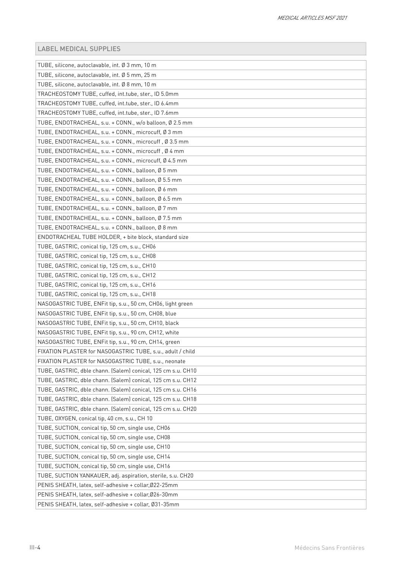| TUBE, silicone, autoclavable, int. Ø 3 mm, 10 m              |
|--------------------------------------------------------------|
| TUBE, silicone, autoclavable, int. Ø 5 mm, 25 m              |
| TUBE, silicone, autoclavable, int. Ø 8 mm, 10 m              |
| TRACHEOSTOMY TUBE, cuffed, int.tube, ster., ID 5.0mm         |
| TRACHEOSTOMY TUBE, cuffed, int.tube, ster., ID 6.4mm         |
| TRACHEOSTOMY TUBE, cuffed, int.tube, ster., ID 7.6mm         |
| TUBE, ENDOTRACHEAL, s.u. + CONN., w/o balloon, Ø 2.5 mm      |
| TUBE, ENDOTRACHEAL, s.u. + CONN., microcuff, Ø 3 mm          |
| TUBE, ENDOTRACHEAL, s.u. + CONN., microcuff, Ø 3.5 mm        |
| TUBE, ENDOTRACHEAL, s.u. + CONN., microcuff, Ø 4 mm          |
| TUBE, ENDOTRACHEAL, s.u. + CONN., microcuff, Ø 4.5 mm        |
| TUBE, ENDOTRACHEAL, s.u. + CONN., balloon, Ø 5 mm            |
| TUBE, ENDOTRACHEAL, s.u. + CONN., balloon, Ø 5.5 mm          |
| TUBE, ENDOTRACHEAL, s.u. + CONN., balloon, Ø 6 mm            |
| TUBE, ENDOTRACHEAL, s.u. + CONN., balloon, Ø 6.5 mm          |
| TUBE, ENDOTRACHEAL, s.u. + CONN., balloon, Ø 7 mm            |
| TUBE, ENDOTRACHEAL, s.u. + CONN., balloon, Ø 7.5 mm          |
| TUBE, ENDOTRACHEAL, s.u. + CONN., balloon, Ø 8 mm            |
| ENDOTRACHEAL TUBE HOLDER, + bite block, standard size        |
| TUBE, GASTRIC, conical tip, 125 cm, s.u., CH06               |
| TUBE, GASTRIC, conical tip, 125 cm, s.u., CH08               |
| TUBE, GASTRIC, conical tip, 125 cm, s.u., CH10               |
| TUBE, GASTRIC, conical tip, 125 cm, s.u., CH12               |
| TUBE, GASTRIC, conical tip, 125 cm, s.u., CH16               |
| TUBE, GASTRIC, conical tip, 125 cm, s.u., CH18               |
| NASOGASTRIC TUBE, ENFit tip, s.u., 50 cm, CH06, light green  |
| NASOGASTRIC TUBE, ENFit tip, s.u., 50 cm, CH08, blue         |
| NASOGASTRIC TUBE, ENFit tip, s.u., 50 cm, CH10, black        |
| NASOGASTRIC TUBE, ENFit tip, s.u., 90 cm, CH12, white        |
| NASOGASTRIC TUBE, ENFit tip, s.u., 90 cm, CH14, green        |
| FIXATION PLASTER for NASOGASTRIC TUBE, s.u., adult / child   |
| FIXATION PLASTER for NASOGASTRIC TUBE, s.u., neonate         |
| TUBE, GASTRIC, dble chann. (Salem) conical, 125 cm s.u. CH10 |
| TUBE, GASTRIC, dble chann. (Salem) conical, 125 cm s.u. CH12 |
| TUBE, GASTRIC, dble chann. (Salem) conical, 125 cm s.u. CH16 |
| TUBE, GASTRIC, dble chann. (Salem) conical, 125 cm s.u. CH18 |
| TUBE, GASTRIC, dble chann. (Salem) conical, 125 cm s.u. CH20 |
| TUBE, OXYGEN, conical tip, 40 cm, s.u., CH 10                |
| TUBE, SUCTION, conical tip, 50 cm, single use, CH06          |
| TUBE, SUCTION, conical tip, 50 cm, single use, CH08          |
| TUBE, SUCTION, conical tip, 50 cm, single use, CH10          |
| TUBE, SUCTION, conical tip, 50 cm, single use, CH14          |
| TUBE, SUCTION, conical tip, 50 cm, single use, CH16          |
| TUBE, SUCTION YANKAUER, adj. aspiration, sterile, s.u. CH20  |
| PENIS SHEATH, latex, self-adhesive + collar, Ø22-25mm        |
| PENIS SHEATH, latex, self-adhesive + collar, Ø26-30mm        |
| PENIS SHEATH, latex, self-adhesive + collar, Ø31-35mm        |
|                                                              |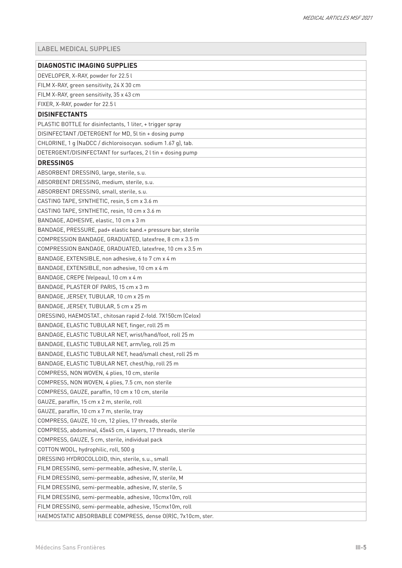| <b>DIAGNOSTIC IMAGING SUPPLIES</b>                           |
|--------------------------------------------------------------|
| DEVELOPER, X-RAY, powder for 22.5 l                          |
| FILM X-RAY, green sensitivity, 24 X 30 cm                    |
| FILM X-RAY, green sensitivity, 35 x 43 cm                    |
| FIXER, X-RAY, powder for 22.5 l                              |
| <b>DISINFECTANTS</b>                                         |
| PLASTIC BOTTLE for disinfectants, 1 liter, + trigger spray   |
| DISINFECTANT /DETERGENT for MD, 5l tin + dosing pump         |
| CHLORINE, 1 g (NaDCC / dichloroisocyan. sodium 1.67 g), tab. |
| DETERGENT/DISINFECTANT for surfaces, 2 l tin + dosing pump   |
| <b>DRESSINGS</b>                                             |
| ABSORBENT DRESSING, large, sterile, s.u.                     |
| ABSORBENT DRESSING, medium, sterile, s.u.                    |
| ABSORBENT DRESSING, small, sterile, s.u.                     |
| CASTING TAPE, SYNTHETIC, resin, 5 cm x 3.6 m                 |
| CASTING TAPE, SYNTHETIC, resin, 10 cm x 3.6 m                |
| BANDAGE, ADHESIVE, elastic, 10 cm x 3 m                      |
| BANDAGE, PRESSURE, pad+ elastic band.+ pressure bar, sterile |
| COMPRESSION BANDAGE, GRADUATED, latexfree, 8 cm x 3.5 m      |
| COMPRESSION BANDAGE, GRADUATED, latexfree, 10 cm x 3.5 m     |
| BANDAGE, EXTENSIBLE, non adhesive, 6 to 7 cm x 4 m           |
| BANDAGE, EXTENSIBLE, non adhesive, 10 cm x 4 m               |
| BANDAGE, CREPE (Velpeau), 10 cm x 4 m                        |
| BANDAGE, PLASTER OF PARIS, 15 cm x 3 m                       |
| BANDAGE, JERSEY, TUBULAR, 10 cm x 25 m                       |
| BANDAGE, JERSEY, TUBULAR, 5 cm x 25 m                        |
| DRESSING, HAEMOSTAT., chitosan rapid Z-fold. 7X150cm (Celox) |
| BANDAGE, ELASTIC TUBULAR NET, finger, roll 25 m              |
| BANDAGE, ELASTIC TUBULAR NET, wrist/hand/foot, roll 25 m     |
| BANDAGE, ELASTIC TUBULAR NET, arm/leg, roll 25 m             |
| BANDAGE, ELASTIC TUBULAR NET, head/small chest, roll 25 m    |
| BANDAGE, ELASTIC TUBULAR NET, chest/hip, roll 25 m           |
| COMPRESS, NON WOVEN, 4 plies, 10 cm, sterile                 |
| COMPRESS, NON WOVEN, 4 plies, 7.5 cm, non sterile            |
| COMPRESS, GAUZE, paraffin, 10 cm x 10 cm, sterile            |
| GAUZE, paraffin, 15 cm x 2 m, sterile, roll                  |
| GAUZE, paraffin, 10 cm x 7 m, sterile, tray                  |
| COMPRESS, GAUZE, 10 cm, 12 plies, 17 threads, sterile        |
| COMPRESS, abdominal, 45x45 cm, 4 layers, 17 threads, sterile |
| COMPRESS, GAUZE, 5 cm, sterile, individual pack              |
| COTTON WOOL, hydrophilic, roll, 500 g                        |
| DRESSING HYDROCOLLOID, thin, sterile, s.u., small            |
| FILM DRESSING, semi-permeable, adhesive, IV, sterile, L      |
| FILM DRESSING, semi-permeable, adhesive, IV, sterile, M      |
| FILM DRESSING, semi-permeable, adhesive, IV, sterile, S      |
| FILM DRESSING, semi-permeable, adhesive, 10cmx10m, roll      |
| FILM DRESSING, semi-permeable, adhesive, 15cmx10m, roll      |
| HAEMOSTATIC ABSORBABLE COMPRESS, dense O(R)C, 7x10cm, ster.  |
|                                                              |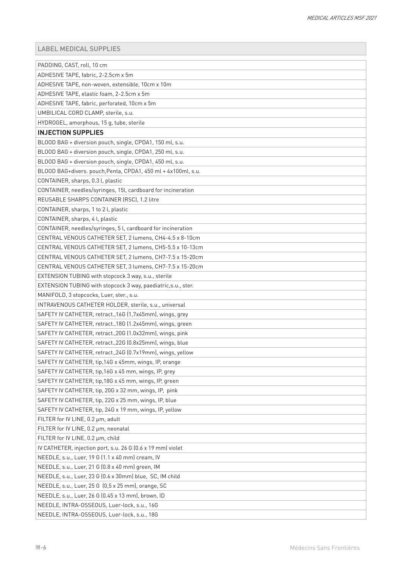| PADDING, CAST, roll, 10 cm                                    |
|---------------------------------------------------------------|
| ADHESIVE TAPE, fabric, 2-2.5cm x 5m                           |
| ADHESIVE TAPE, non-woven, extensible, 10cm x 10m              |
| ADHESIVE TAPE, elastic foam, 2-2.5cm x 5m                     |
| ADHESIVE TAPE, fabric, perforated, 10cm x 5m                  |
| UMBILICAL CORD CLAMP, sterile, s.u.                           |
| HYDROGEL, amorphous, 15 g, tube, sterile                      |
| <b>INJECTION SUPPLIES</b>                                     |
| BLOOD BAG + diversion pouch, single, CPDA1, 150 ml, s.u.      |
| BLOOD BAG + diversion pouch, single, CPDA1, 250 ml, s.u.      |
| BLOOD BAG + diversion pouch, single, CPDA1, 450 ml, s.u.      |
| BLOOD BAG+divers. pouch, Penta, CPDA1, 450 ml + 4x100ml, s.u. |
| CONTAINER, sharps, 0.3 l, plastic                             |
| CONTAINER, needles/syringes, 15l, cardboard for incineration  |
| REUSABLE SHARPS CONTAINER (RSC), 1.2 litre                    |
| CONTAINER, sharps, 1 to 2 l, plastic                          |
| CONTAINER, sharps, 4 l, plastic                               |
| CONTAINER, needles/syringes, 5 l, cardboard for incineration  |
| CENTRAL VENOUS CATHETER SET, 2 lumens, CH4-4.5 x 8-10cm       |
| CENTRAL VENOUS CATHETER SET, 2 lumens, CH5-5.5 x 10-13cm      |
| CENTRAL VENOUS CATHETER SET, 2 lumens, CH7-7.5 x 15-20cm      |
| CENTRAL VENOUS CATHETER SET, 3 lumens, CH7-7.5 x 15-20cm      |
| EXTENSION TUBING with stopcock 3 way, s.u., sterile           |
| EXTENSION TUBING with stopcock 3 way, paediatric, s.u., ster. |
| MANIFOLD, 3 stopcocks, Luer, ster., s.u.                      |
| INTRAVENOUS CATHETER HOLDER, sterile, s.u., universal         |
| SAFETY IV CATHETER, retract., 16G (1,7x45mm), wings, grey     |
| SAFETY IV CATHETER, retract., 18G (1.2x45mm), wings, green    |
| SAFETY IV CATHETER, retract., 20G (1.0x32mm), wings, pink     |
| SAFETY IV CATHETER, retract., 22G (0.8x25mm), wings, blue     |
| SAFETY IV CATHETER, retract., 24G (0.7x19mm), wings, yellow   |
| SAFETY IV CATHETER, tip, 14G x 45mm, wings, IP, orange        |
| SAFETY IV CATHETER, tip, 16G x 45 mm, wings, IP, grey         |
| SAFETY IV CATHETER, tip, 18G x 45 mm, wings, IP, green        |
| SAFETY IV CATHETER, tip, 20G x 32 mm, wings, IP, pink         |
| SAFETY IV CATHETER, tip, 22G x 25 mm, wings, IP, blue         |
| SAFETY IV CATHETER, tip, 24G x 19 mm, wings, IP, yellow       |
| FILTER for IV LINE, 0.2 µm, adult                             |
| FILTER for IV LINE, 0.2 µm, neonatal                          |
| FILTER for IV LINE, 0.2 µm, child                             |
| IV CATHETER, injection port, s.u. 26 G (0.6 x 19 mm) violet   |
| NEEDLE, s.u., Luer, 19 G (1.1 x 40 mm) cream, IV              |
| NEEDLE, s.u., Luer, 21 G (0.8 x 40 mm) green, IM              |
| NEEDLE, s.u., Luer, 23 G (0.6 x 30mm) blue, SC, IM child      |
| NEEDLE, s.u., Luer, 25 G (0,5 x 25 mm), orange, SC            |
| NEEDLE, s.u., Luer, 26 G (0.45 x 13 mm), brown, ID            |
| NEEDLE, INTRA-OSSEOUS, Luer-lock, s.u., 16G                   |
| NEEDLE, INTRA-OSSEOUS, Luer-lock, s.u., 18G                   |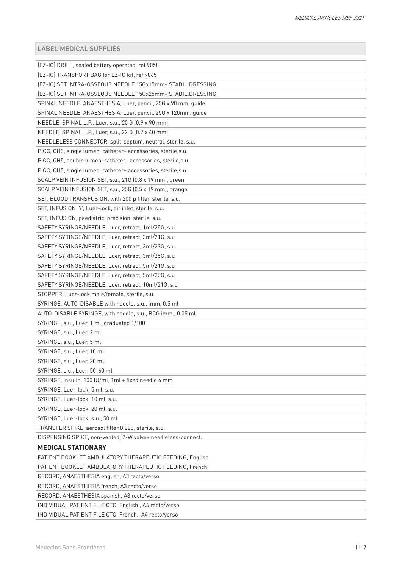| (EZ-IO) DRILL, sealed battery operated, ref 9058              |
|---------------------------------------------------------------|
| (EZ-IO) TRANSPORT BAG for EZ-IO kit, ref 9065                 |
| (EZ-IO) SET INTRA-OSSEOUS NEEDLE 15Gx15mm+ STABIL.DRESSING    |
| (EZ-IO) SET INTRA-OSSEOUS NEEDLE 15Gx25mm+ STABIL.DRESSING    |
| SPINAL NEEDLE, ANAESTHESIA, Luer, pencil, 25G x 90 mm, guide  |
| SPINAL NEEDLE, ANAESTHESIA, Luer, pencil, 25G x 120mm, guide  |
| NEEDLE, SPINAL L.P., Luer, s.u., 20 G (0.9 x 90 mm)           |
| NEEDLE, SPINAL L.P., Luer, s.u., 22 G (0.7 x 40 mm)           |
| NEEDLELESS CONNECTOR, split-septum, neutral, sterile, s.u.    |
| PICC, CH3, single lumen, catheter+ accessories, sterile, s.u. |
| PICC, CH5, double lumen, catheter+ accessories, sterile, s.u. |
| PICC, CH5, single lumen, catheter+ accessories, sterile, s.u. |
| SCALP VEIN INFUSION SET, s.u., 21G (0.8 x 19 mm), green       |
| SCALP VEIN INFUSION SET, s.u., 25G (0.5 x 19 mm), orange      |
| SET, BLOOD TRANSFUSION, with 200 µ filter, sterile, s.u.      |
| SET, INFUSION 'Y', Luer-lock, air inlet, sterile, s.u.        |
| SET, INFUSION, paediatric, precision, sterile, s.u.           |
| SAFETY SYRINGE/NEEDLE, Luer, retract, 1ml/25G, s.u            |
| SAFETY SYRINGE/NEEDLE, Luer, retract, 3ml/21G, s.u            |
| SAFETY SYRINGE/NEEDLE, Luer, retract, 3ml/23G, s.u            |
| SAFETY SYRINGE/NEEDLE, Luer, retract, 3ml/25G, s.u            |
| SAFETY SYRINGE/NEEDLE, Luer, retract, 5ml/21G, s.u            |
| SAFETY SYRINGE/NEEDLE, Luer, retract, 5ml/25G, s.u            |
| SAFETY SYRINGE/NEEDLE, Luer, retract, 10ml/21G, s.u           |
| STOPPER, Luer-lock male/female, sterile, s.u.                 |
| SYRINGE, AUTO-DISABLE with needle, s.u., imm, 0.5 ml          |
| AUTO-DISABLE SYRINGE, with needle, s.u., BCG imm., 0.05 ml    |
| SYRINGE, s.u., Luer, 1 ml, graduated 1/100                    |
| SYRINGE, s.u., Luer, 2 ml                                     |
| SYRINGE, s.u., Luer, 5 ml                                     |
| SYRINGE, s.u., Luer, 10 ml                                    |
| SYRINGE, s.u., Luer, 20 ml                                    |
| SYRINGE, s.u., Luer, 50-60 ml                                 |
| SYRINGE, insulin, 100 IU/ml, 1ml + fixed needle 6 mm          |
| SYRINGE, Luer-lock, 5 ml, s.u.                                |
| SYRINGE, Luer-lock, 10 ml, s.u.                               |
| SYRINGE, Luer-lock, 20 ml, s.u.                               |
| SYRINGE, Luer-lock, s.u., 50 ml                               |
| TRANSFER SPIKE, aerosol filter 0.22µ, sterile, s.u.           |
| DISPENSING SPIKE, non-vented, 2-W valve+ needleless-connect.  |
| <b>MEDICAL STATIONARY</b>                                     |
| PATIENT BOOKLET AMBULATORY THERAPEUTIC FEEDING, English       |
| PATIENT BOOKLET AMBULATORY THERAPEUTIC FEEDING, French        |
| RECORD, ANAESTHESIA english, A3 recto/verso                   |
| RECORD, ANAESTHESIA french, A3 recto/verso                    |
| RECORD, ANAESTHESIA spanish, A3 recto/verso                   |
| INDIVIDUAL PATIENT FILE CTC, English., A4 recto/verso         |
| INDIVIDUAL PATIENT FILE CTC, French., A4 recto/verso          |
|                                                               |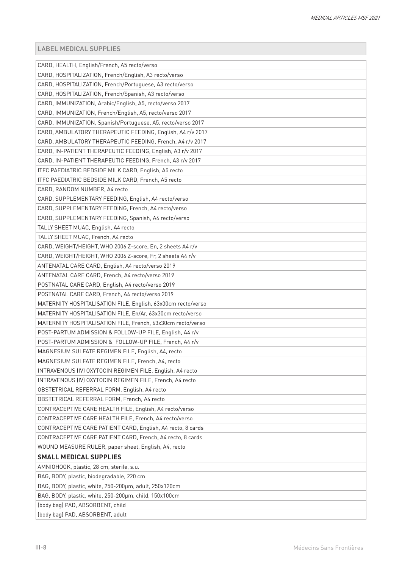| CARD, HEALTH, English/French, A5 recto/verso<br>CARD, HOSPITALIZATION, French/English, A3 recto/verso<br>CARD, HOSPITALIZATION, French/Portuguese, A3 recto/verso<br>CARD, HOSPITALIZATION, French/Spanish, A3 recto/verso<br>CARD, IMMUNIZATION, Arabic/English, A5, recto/verso 2017<br>CARD, IMMUNIZATION, French/English, A5, recto/verso 2017<br>CARD, IMMUNIZATION, Spanish/Portuguese, A5, recto/verso 2017<br>CARD, AMBULATORY THERAPEUTIC FEEDING, English, A4 r/v 2017<br>CARD, AMBULATORY THERAPEUTIC FEEDING, French, A4 r/v 2017<br>CARD, IN-PATIENT THERAPEUTIC FEEDING, English, A3 r/v 2017<br>CARD, IN-PATIENT THERAPEUTIC FEEDING, French, A3 r/v 2017<br>ITFC PAEDIATRIC BEDSIDE MILK CARD, English, A5 recto<br>ITFC PAEDIATRIC BEDSIDE MILK CARD, French, A5 recto<br>CARD, RANDOM NUMBER, A4 recto<br>CARD, SUPPLEMENTARY FEEDING, English, A4 recto/verso<br>CARD, SUPPLEMENTARY FEEDING, French, A4 recto/verso<br>CARD, SUPPLEMENTARY FEEDING, Spanish, A4 recto/verso<br>TALLY SHEET MUAC, English, A4 recto<br>TALLY SHEET MUAC, French, A4 recto<br>CARD, WEIGHT/HEIGHT, WHO 2006 Z-score, En, 2 sheets A4 r/v<br>CARD, WEIGHT/HEIGHT, WHO 2006 Z-score, Fr, 2 sheets A4 r/v<br>ANTENATAL CARE CARD, English, A4 recto/verso 2019<br>ANTENATAL CARE CARD, French, A4 recto/verso 2019<br>POSTNATAL CARE CARD, English, A4 recto/verso 2019<br>POSTNATAL CARE CARD, French, A4 recto/verso 2019<br>MATERNITY HOSPITALISATION FILE, English, 63x30cm recto/verso<br>MATERNITY HOSPITALISATION FILE, En/Ar, 63x30cm recto/verso<br>MATERNITY HOSPITALISATION FILE, French, 63x30cm recto/verso<br>POST-PARTUM ADMISSION & FOLLOW-UP FILE, English, A4 r/v<br>POST-PARTUM ADMISSION & FOLLOW-UP FILE, French, A4 r/v<br>MAGNESIUM SULFATE REGIMEN FILE, English, A4, recto<br>MAGNESIUM SULFATE REGIMEN FILE, French, A4, recto<br>INTRAVENOUS (IV) OXYTOCIN REGIMEN FILE, English, A4 recto<br>INTRAVENOUS (IV) OXYTOCIN REGIMEN FILE, French, A4 recto<br>OBSTETRICAL REFERRAL FORM, English, A4 recto<br><b>OBSTETRICAL REFERRAL FORM, French, A4 recto</b><br>CONTRACEPTIVE CARE HEALTH FILE, English, A4 recto/verso<br>CONTRACEPTIVE CARE HEALTH FILE, French, A4 recto/verso<br>CONTRACEPTIVE CARE PATIENT CARD, English, A4 recto, 8 cards<br>CONTRACEPTIVE CARE PATIENT CARD, French, A4 recto, 8 cards<br>WOUND MEASURE RULER, paper sheet, English, A4, recto<br><b>SMALL MEDICAL SUPPLIES</b><br>AMNIOHOOK, plastic, 28 cm, sterile, s.u.<br>BAG, BODY, plastic, biodegradable, 220 cm<br>BAG, BODY, plastic, white, 250-200µm, adult, 250x120cm<br>BAG, BODY, plastic, white, 250-200µm, child, 150x100cm<br>(body bag) PAD, ABSORBENT, child |                                  |
|------------------------------------------------------------------------------------------------------------------------------------------------------------------------------------------------------------------------------------------------------------------------------------------------------------------------------------------------------------------------------------------------------------------------------------------------------------------------------------------------------------------------------------------------------------------------------------------------------------------------------------------------------------------------------------------------------------------------------------------------------------------------------------------------------------------------------------------------------------------------------------------------------------------------------------------------------------------------------------------------------------------------------------------------------------------------------------------------------------------------------------------------------------------------------------------------------------------------------------------------------------------------------------------------------------------------------------------------------------------------------------------------------------------------------------------------------------------------------------------------------------------------------------------------------------------------------------------------------------------------------------------------------------------------------------------------------------------------------------------------------------------------------------------------------------------------------------------------------------------------------------------------------------------------------------------------------------------------------------------------------------------------------------------------------------------------------------------------------------------------------------------------------------------------------------------------------------------------------------------------------------------------------------------------------------------------------------------------------------------------------------------------------------------------------------------------------------------------------------------------------------------------------------------------------------------------------------------------------------------------------------------------------------------------------------|----------------------------------|
|                                                                                                                                                                                                                                                                                                                                                                                                                                                                                                                                                                                                                                                                                                                                                                                                                                                                                                                                                                                                                                                                                                                                                                                                                                                                                                                                                                                                                                                                                                                                                                                                                                                                                                                                                                                                                                                                                                                                                                                                                                                                                                                                                                                                                                                                                                                                                                                                                                                                                                                                                                                                                                                                                    |                                  |
|                                                                                                                                                                                                                                                                                                                                                                                                                                                                                                                                                                                                                                                                                                                                                                                                                                                                                                                                                                                                                                                                                                                                                                                                                                                                                                                                                                                                                                                                                                                                                                                                                                                                                                                                                                                                                                                                                                                                                                                                                                                                                                                                                                                                                                                                                                                                                                                                                                                                                                                                                                                                                                                                                    |                                  |
|                                                                                                                                                                                                                                                                                                                                                                                                                                                                                                                                                                                                                                                                                                                                                                                                                                                                                                                                                                                                                                                                                                                                                                                                                                                                                                                                                                                                                                                                                                                                                                                                                                                                                                                                                                                                                                                                                                                                                                                                                                                                                                                                                                                                                                                                                                                                                                                                                                                                                                                                                                                                                                                                                    |                                  |
|                                                                                                                                                                                                                                                                                                                                                                                                                                                                                                                                                                                                                                                                                                                                                                                                                                                                                                                                                                                                                                                                                                                                                                                                                                                                                                                                                                                                                                                                                                                                                                                                                                                                                                                                                                                                                                                                                                                                                                                                                                                                                                                                                                                                                                                                                                                                                                                                                                                                                                                                                                                                                                                                                    |                                  |
|                                                                                                                                                                                                                                                                                                                                                                                                                                                                                                                                                                                                                                                                                                                                                                                                                                                                                                                                                                                                                                                                                                                                                                                                                                                                                                                                                                                                                                                                                                                                                                                                                                                                                                                                                                                                                                                                                                                                                                                                                                                                                                                                                                                                                                                                                                                                                                                                                                                                                                                                                                                                                                                                                    |                                  |
|                                                                                                                                                                                                                                                                                                                                                                                                                                                                                                                                                                                                                                                                                                                                                                                                                                                                                                                                                                                                                                                                                                                                                                                                                                                                                                                                                                                                                                                                                                                                                                                                                                                                                                                                                                                                                                                                                                                                                                                                                                                                                                                                                                                                                                                                                                                                                                                                                                                                                                                                                                                                                                                                                    |                                  |
|                                                                                                                                                                                                                                                                                                                                                                                                                                                                                                                                                                                                                                                                                                                                                                                                                                                                                                                                                                                                                                                                                                                                                                                                                                                                                                                                                                                                                                                                                                                                                                                                                                                                                                                                                                                                                                                                                                                                                                                                                                                                                                                                                                                                                                                                                                                                                                                                                                                                                                                                                                                                                                                                                    |                                  |
|                                                                                                                                                                                                                                                                                                                                                                                                                                                                                                                                                                                                                                                                                                                                                                                                                                                                                                                                                                                                                                                                                                                                                                                                                                                                                                                                                                                                                                                                                                                                                                                                                                                                                                                                                                                                                                                                                                                                                                                                                                                                                                                                                                                                                                                                                                                                                                                                                                                                                                                                                                                                                                                                                    |                                  |
|                                                                                                                                                                                                                                                                                                                                                                                                                                                                                                                                                                                                                                                                                                                                                                                                                                                                                                                                                                                                                                                                                                                                                                                                                                                                                                                                                                                                                                                                                                                                                                                                                                                                                                                                                                                                                                                                                                                                                                                                                                                                                                                                                                                                                                                                                                                                                                                                                                                                                                                                                                                                                                                                                    |                                  |
|                                                                                                                                                                                                                                                                                                                                                                                                                                                                                                                                                                                                                                                                                                                                                                                                                                                                                                                                                                                                                                                                                                                                                                                                                                                                                                                                                                                                                                                                                                                                                                                                                                                                                                                                                                                                                                                                                                                                                                                                                                                                                                                                                                                                                                                                                                                                                                                                                                                                                                                                                                                                                                                                                    |                                  |
|                                                                                                                                                                                                                                                                                                                                                                                                                                                                                                                                                                                                                                                                                                                                                                                                                                                                                                                                                                                                                                                                                                                                                                                                                                                                                                                                                                                                                                                                                                                                                                                                                                                                                                                                                                                                                                                                                                                                                                                                                                                                                                                                                                                                                                                                                                                                                                                                                                                                                                                                                                                                                                                                                    |                                  |
|                                                                                                                                                                                                                                                                                                                                                                                                                                                                                                                                                                                                                                                                                                                                                                                                                                                                                                                                                                                                                                                                                                                                                                                                                                                                                                                                                                                                                                                                                                                                                                                                                                                                                                                                                                                                                                                                                                                                                                                                                                                                                                                                                                                                                                                                                                                                                                                                                                                                                                                                                                                                                                                                                    |                                  |
|                                                                                                                                                                                                                                                                                                                                                                                                                                                                                                                                                                                                                                                                                                                                                                                                                                                                                                                                                                                                                                                                                                                                                                                                                                                                                                                                                                                                                                                                                                                                                                                                                                                                                                                                                                                                                                                                                                                                                                                                                                                                                                                                                                                                                                                                                                                                                                                                                                                                                                                                                                                                                                                                                    |                                  |
|                                                                                                                                                                                                                                                                                                                                                                                                                                                                                                                                                                                                                                                                                                                                                                                                                                                                                                                                                                                                                                                                                                                                                                                                                                                                                                                                                                                                                                                                                                                                                                                                                                                                                                                                                                                                                                                                                                                                                                                                                                                                                                                                                                                                                                                                                                                                                                                                                                                                                                                                                                                                                                                                                    |                                  |
|                                                                                                                                                                                                                                                                                                                                                                                                                                                                                                                                                                                                                                                                                                                                                                                                                                                                                                                                                                                                                                                                                                                                                                                                                                                                                                                                                                                                                                                                                                                                                                                                                                                                                                                                                                                                                                                                                                                                                                                                                                                                                                                                                                                                                                                                                                                                                                                                                                                                                                                                                                                                                                                                                    |                                  |
|                                                                                                                                                                                                                                                                                                                                                                                                                                                                                                                                                                                                                                                                                                                                                                                                                                                                                                                                                                                                                                                                                                                                                                                                                                                                                                                                                                                                                                                                                                                                                                                                                                                                                                                                                                                                                                                                                                                                                                                                                                                                                                                                                                                                                                                                                                                                                                                                                                                                                                                                                                                                                                                                                    |                                  |
|                                                                                                                                                                                                                                                                                                                                                                                                                                                                                                                                                                                                                                                                                                                                                                                                                                                                                                                                                                                                                                                                                                                                                                                                                                                                                                                                                                                                                                                                                                                                                                                                                                                                                                                                                                                                                                                                                                                                                                                                                                                                                                                                                                                                                                                                                                                                                                                                                                                                                                                                                                                                                                                                                    |                                  |
|                                                                                                                                                                                                                                                                                                                                                                                                                                                                                                                                                                                                                                                                                                                                                                                                                                                                                                                                                                                                                                                                                                                                                                                                                                                                                                                                                                                                                                                                                                                                                                                                                                                                                                                                                                                                                                                                                                                                                                                                                                                                                                                                                                                                                                                                                                                                                                                                                                                                                                                                                                                                                                                                                    |                                  |
|                                                                                                                                                                                                                                                                                                                                                                                                                                                                                                                                                                                                                                                                                                                                                                                                                                                                                                                                                                                                                                                                                                                                                                                                                                                                                                                                                                                                                                                                                                                                                                                                                                                                                                                                                                                                                                                                                                                                                                                                                                                                                                                                                                                                                                                                                                                                                                                                                                                                                                                                                                                                                                                                                    |                                  |
|                                                                                                                                                                                                                                                                                                                                                                                                                                                                                                                                                                                                                                                                                                                                                                                                                                                                                                                                                                                                                                                                                                                                                                                                                                                                                                                                                                                                                                                                                                                                                                                                                                                                                                                                                                                                                                                                                                                                                                                                                                                                                                                                                                                                                                                                                                                                                                                                                                                                                                                                                                                                                                                                                    |                                  |
|                                                                                                                                                                                                                                                                                                                                                                                                                                                                                                                                                                                                                                                                                                                                                                                                                                                                                                                                                                                                                                                                                                                                                                                                                                                                                                                                                                                                                                                                                                                                                                                                                                                                                                                                                                                                                                                                                                                                                                                                                                                                                                                                                                                                                                                                                                                                                                                                                                                                                                                                                                                                                                                                                    |                                  |
|                                                                                                                                                                                                                                                                                                                                                                                                                                                                                                                                                                                                                                                                                                                                                                                                                                                                                                                                                                                                                                                                                                                                                                                                                                                                                                                                                                                                                                                                                                                                                                                                                                                                                                                                                                                                                                                                                                                                                                                                                                                                                                                                                                                                                                                                                                                                                                                                                                                                                                                                                                                                                                                                                    |                                  |
|                                                                                                                                                                                                                                                                                                                                                                                                                                                                                                                                                                                                                                                                                                                                                                                                                                                                                                                                                                                                                                                                                                                                                                                                                                                                                                                                                                                                                                                                                                                                                                                                                                                                                                                                                                                                                                                                                                                                                                                                                                                                                                                                                                                                                                                                                                                                                                                                                                                                                                                                                                                                                                                                                    |                                  |
|                                                                                                                                                                                                                                                                                                                                                                                                                                                                                                                                                                                                                                                                                                                                                                                                                                                                                                                                                                                                                                                                                                                                                                                                                                                                                                                                                                                                                                                                                                                                                                                                                                                                                                                                                                                                                                                                                                                                                                                                                                                                                                                                                                                                                                                                                                                                                                                                                                                                                                                                                                                                                                                                                    |                                  |
|                                                                                                                                                                                                                                                                                                                                                                                                                                                                                                                                                                                                                                                                                                                                                                                                                                                                                                                                                                                                                                                                                                                                                                                                                                                                                                                                                                                                                                                                                                                                                                                                                                                                                                                                                                                                                                                                                                                                                                                                                                                                                                                                                                                                                                                                                                                                                                                                                                                                                                                                                                                                                                                                                    |                                  |
|                                                                                                                                                                                                                                                                                                                                                                                                                                                                                                                                                                                                                                                                                                                                                                                                                                                                                                                                                                                                                                                                                                                                                                                                                                                                                                                                                                                                                                                                                                                                                                                                                                                                                                                                                                                                                                                                                                                                                                                                                                                                                                                                                                                                                                                                                                                                                                                                                                                                                                                                                                                                                                                                                    |                                  |
|                                                                                                                                                                                                                                                                                                                                                                                                                                                                                                                                                                                                                                                                                                                                                                                                                                                                                                                                                                                                                                                                                                                                                                                                                                                                                                                                                                                                                                                                                                                                                                                                                                                                                                                                                                                                                                                                                                                                                                                                                                                                                                                                                                                                                                                                                                                                                                                                                                                                                                                                                                                                                                                                                    |                                  |
|                                                                                                                                                                                                                                                                                                                                                                                                                                                                                                                                                                                                                                                                                                                                                                                                                                                                                                                                                                                                                                                                                                                                                                                                                                                                                                                                                                                                                                                                                                                                                                                                                                                                                                                                                                                                                                                                                                                                                                                                                                                                                                                                                                                                                                                                                                                                                                                                                                                                                                                                                                                                                                                                                    |                                  |
|                                                                                                                                                                                                                                                                                                                                                                                                                                                                                                                                                                                                                                                                                                                                                                                                                                                                                                                                                                                                                                                                                                                                                                                                                                                                                                                                                                                                                                                                                                                                                                                                                                                                                                                                                                                                                                                                                                                                                                                                                                                                                                                                                                                                                                                                                                                                                                                                                                                                                                                                                                                                                                                                                    |                                  |
|                                                                                                                                                                                                                                                                                                                                                                                                                                                                                                                                                                                                                                                                                                                                                                                                                                                                                                                                                                                                                                                                                                                                                                                                                                                                                                                                                                                                                                                                                                                                                                                                                                                                                                                                                                                                                                                                                                                                                                                                                                                                                                                                                                                                                                                                                                                                                                                                                                                                                                                                                                                                                                                                                    |                                  |
|                                                                                                                                                                                                                                                                                                                                                                                                                                                                                                                                                                                                                                                                                                                                                                                                                                                                                                                                                                                                                                                                                                                                                                                                                                                                                                                                                                                                                                                                                                                                                                                                                                                                                                                                                                                                                                                                                                                                                                                                                                                                                                                                                                                                                                                                                                                                                                                                                                                                                                                                                                                                                                                                                    |                                  |
|                                                                                                                                                                                                                                                                                                                                                                                                                                                                                                                                                                                                                                                                                                                                                                                                                                                                                                                                                                                                                                                                                                                                                                                                                                                                                                                                                                                                                                                                                                                                                                                                                                                                                                                                                                                                                                                                                                                                                                                                                                                                                                                                                                                                                                                                                                                                                                                                                                                                                                                                                                                                                                                                                    |                                  |
|                                                                                                                                                                                                                                                                                                                                                                                                                                                                                                                                                                                                                                                                                                                                                                                                                                                                                                                                                                                                                                                                                                                                                                                                                                                                                                                                                                                                                                                                                                                                                                                                                                                                                                                                                                                                                                                                                                                                                                                                                                                                                                                                                                                                                                                                                                                                                                                                                                                                                                                                                                                                                                                                                    |                                  |
|                                                                                                                                                                                                                                                                                                                                                                                                                                                                                                                                                                                                                                                                                                                                                                                                                                                                                                                                                                                                                                                                                                                                                                                                                                                                                                                                                                                                                                                                                                                                                                                                                                                                                                                                                                                                                                                                                                                                                                                                                                                                                                                                                                                                                                                                                                                                                                                                                                                                                                                                                                                                                                                                                    |                                  |
|                                                                                                                                                                                                                                                                                                                                                                                                                                                                                                                                                                                                                                                                                                                                                                                                                                                                                                                                                                                                                                                                                                                                                                                                                                                                                                                                                                                                                                                                                                                                                                                                                                                                                                                                                                                                                                                                                                                                                                                                                                                                                                                                                                                                                                                                                                                                                                                                                                                                                                                                                                                                                                                                                    |                                  |
|                                                                                                                                                                                                                                                                                                                                                                                                                                                                                                                                                                                                                                                                                                                                                                                                                                                                                                                                                                                                                                                                                                                                                                                                                                                                                                                                                                                                                                                                                                                                                                                                                                                                                                                                                                                                                                                                                                                                                                                                                                                                                                                                                                                                                                                                                                                                                                                                                                                                                                                                                                                                                                                                                    |                                  |
|                                                                                                                                                                                                                                                                                                                                                                                                                                                                                                                                                                                                                                                                                                                                                                                                                                                                                                                                                                                                                                                                                                                                                                                                                                                                                                                                                                                                                                                                                                                                                                                                                                                                                                                                                                                                                                                                                                                                                                                                                                                                                                                                                                                                                                                                                                                                                                                                                                                                                                                                                                                                                                                                                    |                                  |
|                                                                                                                                                                                                                                                                                                                                                                                                                                                                                                                                                                                                                                                                                                                                                                                                                                                                                                                                                                                                                                                                                                                                                                                                                                                                                                                                                                                                                                                                                                                                                                                                                                                                                                                                                                                                                                                                                                                                                                                                                                                                                                                                                                                                                                                                                                                                                                                                                                                                                                                                                                                                                                                                                    |                                  |
|                                                                                                                                                                                                                                                                                                                                                                                                                                                                                                                                                                                                                                                                                                                                                                                                                                                                                                                                                                                                                                                                                                                                                                                                                                                                                                                                                                                                                                                                                                                                                                                                                                                                                                                                                                                                                                                                                                                                                                                                                                                                                                                                                                                                                                                                                                                                                                                                                                                                                                                                                                                                                                                                                    |                                  |
|                                                                                                                                                                                                                                                                                                                                                                                                                                                                                                                                                                                                                                                                                                                                                                                                                                                                                                                                                                                                                                                                                                                                                                                                                                                                                                                                                                                                                                                                                                                                                                                                                                                                                                                                                                                                                                                                                                                                                                                                                                                                                                                                                                                                                                                                                                                                                                                                                                                                                                                                                                                                                                                                                    |                                  |
|                                                                                                                                                                                                                                                                                                                                                                                                                                                                                                                                                                                                                                                                                                                                                                                                                                                                                                                                                                                                                                                                                                                                                                                                                                                                                                                                                                                                                                                                                                                                                                                                                                                                                                                                                                                                                                                                                                                                                                                                                                                                                                                                                                                                                                                                                                                                                                                                                                                                                                                                                                                                                                                                                    |                                  |
|                                                                                                                                                                                                                                                                                                                                                                                                                                                                                                                                                                                                                                                                                                                                                                                                                                                                                                                                                                                                                                                                                                                                                                                                                                                                                                                                                                                                                                                                                                                                                                                                                                                                                                                                                                                                                                                                                                                                                                                                                                                                                                                                                                                                                                                                                                                                                                                                                                                                                                                                                                                                                                                                                    |                                  |
|                                                                                                                                                                                                                                                                                                                                                                                                                                                                                                                                                                                                                                                                                                                                                                                                                                                                                                                                                                                                                                                                                                                                                                                                                                                                                                                                                                                                                                                                                                                                                                                                                                                                                                                                                                                                                                                                                                                                                                                                                                                                                                                                                                                                                                                                                                                                                                                                                                                                                                                                                                                                                                                                                    |                                  |
|                                                                                                                                                                                                                                                                                                                                                                                                                                                                                                                                                                                                                                                                                                                                                                                                                                                                                                                                                                                                                                                                                                                                                                                                                                                                                                                                                                                                                                                                                                                                                                                                                                                                                                                                                                                                                                                                                                                                                                                                                                                                                                                                                                                                                                                                                                                                                                                                                                                                                                                                                                                                                                                                                    |                                  |
|                                                                                                                                                                                                                                                                                                                                                                                                                                                                                                                                                                                                                                                                                                                                                                                                                                                                                                                                                                                                                                                                                                                                                                                                                                                                                                                                                                                                                                                                                                                                                                                                                                                                                                                                                                                                                                                                                                                                                                                                                                                                                                                                                                                                                                                                                                                                                                                                                                                                                                                                                                                                                                                                                    |                                  |
|                                                                                                                                                                                                                                                                                                                                                                                                                                                                                                                                                                                                                                                                                                                                                                                                                                                                                                                                                                                                                                                                                                                                                                                                                                                                                                                                                                                                                                                                                                                                                                                                                                                                                                                                                                                                                                                                                                                                                                                                                                                                                                                                                                                                                                                                                                                                                                                                                                                                                                                                                                                                                                                                                    |                                  |
|                                                                                                                                                                                                                                                                                                                                                                                                                                                                                                                                                                                                                                                                                                                                                                                                                                                                                                                                                                                                                                                                                                                                                                                                                                                                                                                                                                                                                                                                                                                                                                                                                                                                                                                                                                                                                                                                                                                                                                                                                                                                                                                                                                                                                                                                                                                                                                                                                                                                                                                                                                                                                                                                                    |                                  |
|                                                                                                                                                                                                                                                                                                                                                                                                                                                                                                                                                                                                                                                                                                                                                                                                                                                                                                                                                                                                                                                                                                                                                                                                                                                                                                                                                                                                                                                                                                                                                                                                                                                                                                                                                                                                                                                                                                                                                                                                                                                                                                                                                                                                                                                                                                                                                                                                                                                                                                                                                                                                                                                                                    | (body bag) PAD, ABSORBENT, adult |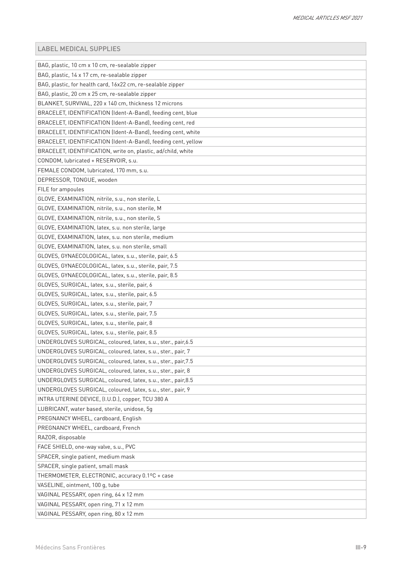| BAG, plastic, 10 cm x 10 cm, re-sealable zipper               |
|---------------------------------------------------------------|
| BAG, plastic, 14 x 17 cm, re-sealable zipper                  |
| BAG, plastic, for health card, 16x22 cm, re-sealable zipper   |
| BAG, plastic, 20 cm x 25 cm, re-sealable zipper               |
| BLANKET, SURVIVAL, 220 x 140 cm, thickness 12 microns         |
| BRACELET, IDENTIFICATION (Ident-A-Band), feeding cent, blue   |
| BRACELET, IDENTIFICATION (Ident-A-Band), feeding cent, red    |
| BRACELET, IDENTIFICATION (Ident-A-Band), feeding cent, white  |
| BRACELET, IDENTIFICATION (Ident-A-Band), feeding cent, yellow |
| BRACELET, IDENTIFICATION, write on, plastic, ad/child, white  |
| CONDOM, lubricated + RESERVOIR, s.u.                          |
| FEMALE CONDOM, lubricated, 170 mm, s.u.                       |
| DEPRESSOR, TONGUE, wooden                                     |
| FILE for ampoules                                             |
| GLOVE, EXAMINATION, nitrile, s.u., non sterile, L             |
| GLOVE, EXAMINATION, nitrile, s.u., non sterile, M             |
| GLOVE, EXAMINATION, nitrile, s.u., non sterile, S             |
| GLOVE, EXAMINATION, latex, s.u. non sterile, large            |
| GLOVE, EXAMINATION, latex, s.u. non sterile, medium           |
| GLOVE, EXAMINATION, latex, s.u. non sterile, small            |
| GLOVES, GYNAECOLOGICAL, latex, s.u., sterile, pair, 6.5       |
| GLOVES, GYNAECOLOGICAL, latex, s.u., sterile, pair, 7.5       |
| GLOVES, GYNAECOLOGICAL, latex, s.u., sterile, pair, 8.5       |
| GLOVES, SURGICAL, latex, s.u., sterile, pair, 6               |
| GLOVES, SURGICAL, latex, s.u., sterile, pair, 6.5             |
| GLOVES, SURGICAL, latex, s.u., sterile, pair, 7               |
| GLOVES, SURGICAL, latex, s.u., sterile, pair, 7.5             |
| GLOVES, SURGICAL, latex, s.u., sterile, pair, 8               |
| GLOVES, SURGICAL, latex, s.u., sterile, pair, 8.5             |
| UNDERGLOVES SURGICAL, coloured, latex, s.u., ster., pair, 6.5 |
| UNDERGLOVES SURGICAL, coloured, latex, s.u., ster., pair, 7   |
| UNDERGLOVES SURGICAL, coloured, latex, s.u., ster., pair, 7.5 |
| UNDERGLOVES SURGICAL, coloured, latex, s.u., ster., pair, 8   |
| UNDERGLOVES SURGICAL, coloured, latex, s.u., ster., pair, 8.5 |
| UNDERGLOVES SURGICAL, coloured, latex, s.u., ster., pair, 9   |
| INTRA UTERINE DEVICE, (I.U.D.), copper, TCU 380 A             |
| LUBRICANT, water based, sterile, unidose, 5q                  |
| PREGNANCY WHEEL, cardboard, English                           |
| PREGNANCY WHEEL, cardboard, French                            |
| RAZOR, disposable                                             |
| FACE SHIELD, one-way valve, s.u., PVC                         |
| SPACER, single patient, medium mask                           |
| SPACER, single patient, small mask                            |
| THERMOMETER, ELECTRONIC, accuracy 0.1ºC + case                |
| VASELINE, ointment, 100 g, tube                               |
| VAGINAL PESSARY, open ring, 64 x 12 mm                        |
| VAGINAL PESSARY, open ring, 71 x 12 mm                        |
| VAGINAL PESSARY, open ring, 80 x 12 mm                        |
|                                                               |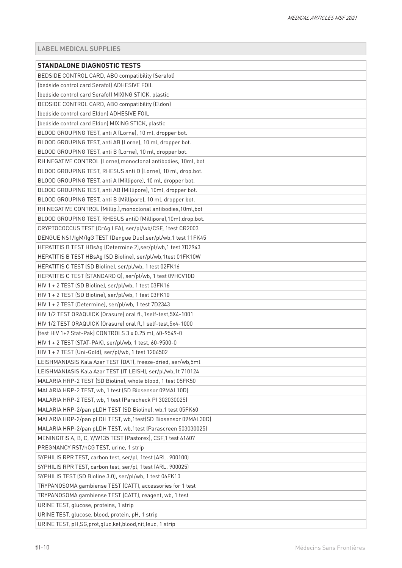| <b>STANDALONE DIAGNOSTIC TESTS</b>                              |
|-----------------------------------------------------------------|
| BEDSIDE CONTROL CARD, ABO compatibility (Serafol)               |
| (bedside control card Serafol) ADHESIVE FOIL                    |
| (bedside control card Serafol) MIXING STICK, plastic            |
| BEDSIDE CONTROL CARD, ABO compatibility (Eldon)                 |
| (bedside control card Eldon) ADHESIVE FOIL                      |
| (bedside control card Eldon) MIXING STICK, plastic              |
| BLOOD GROUPING TEST, anti A (Lorne), 10 ml, dropper bot.        |
| BLOOD GROUPING TEST, anti AB (Lorne), 10 ml, dropper bot.       |
| BLOOD GROUPING TEST, anti B (Lorne), 10 ml, dropper bot.        |
| RH NEGATIVE CONTROL (Lorne), monoclonal antibodies, 10ml, bot   |
| BLOOD GROUPING TEST, RHESUS anti D (Lorne), 10 ml, drop.bot.    |
| BLOOD GROUPING TEST, anti A (Millipore), 10 ml, dropper bot.    |
| BLOOD GROUPING TEST, anti AB (Millipore), 10ml, dropper bot.    |
| BLOOD GROUPING TEST, anti B (Millipore), 10 ml, dropper bot.    |
| RH NEGATIVE CONTROL (Millip.), monoclonal antibodies, 10ml, bot |
| BLOOD GROUPING TEST, RHESUS antiD (Millipore), 10ml, drop.bot.  |
| CRYPTOCOCCUS TEST (CrAg LFA), ser/pl/wb/CSF, 1test CR2003       |
| DENGUE NS1/IgM/IgG TEST (Dengue Duo),ser/pl/wb,1 test 11FK45    |
| HEPATITIS B TEST HBsAg (Determine 2), ser/pl/wb, 1 test 7D2943  |
| HEPATITIS B TEST HBsAg (SD Bioline), ser/pl/wb,1test 01FK10W    |
| HEPATITIS C TEST (SD Bioline), ser/pl/wb, 1 test 02FK16         |
| HEPATITIS C TEST (STANDARD Q), ser/pl/wb, 1 test 09HCV10D       |
| HIV 1 + 2 TEST (SD Bioline), ser/pl/wb, 1 test 03FK16           |
| HIV 1 + 2 TEST (SD Bioline), ser/pl/wb, 1 test 03FK10           |
| HIV 1 + 2 TEST (Determine), ser/pl/wb, 1 test 7D2343            |
| HIV 1/2 TEST ORAQUICK (Orasure) oral fl., 1self-test, 5X4-1001  |
| HIV 1/2 TEST ORAQUICK (Orasure) oral fl,1 self-test,5x4-1000    |
| (test HIV 1+2 Stat-Pak) CONTROLS 3 x 0.25 ml, 60-9549-0         |
| HIV 1 + 2 TEST (STAT-PAK), ser/pl/wb, 1 test, 60-9500-0         |
| HIV 1 + 2 TEST (Uni-Gold), ser/pl/wb, 1 test 1206502            |
| LEISHMANIASIS Kala Azar TEST (DAT), freeze-dried, ser/wb,5ml    |
| LEISHMANIASIS Kala Azar TEST (IT LEISH), ser/pl/wb,1t 710124    |
| MALARIA HRP-2 TEST (SD Bioline), whole blood, 1 test 05FK50     |
| MALARIA HRP-2 TEST, wb, 1 test (SD Biosensor 09MAL10D)          |
| MALARIA HRP-2 TEST, wb, 1 test (Paracheck Pf 302030025)         |
| MALARIA HRP-2/pan pLDH TEST (SD Bioline), wb, 1 test 05FK60     |
| MALARIA HRP-2/pan pLDH TEST, wb,1test(SD Biosensor 09MAL30D)    |
| MALARIA HRP-2/pan pLDH TEST, wb, 1test (Parascreen 503030025)   |
| MENINGITIS A, B, C, Y/W135 TEST (Pastorex), CSF, 1 test 61607   |
| PREGNANCY RST/hCG TEST, urine, 1 strip                          |
| SYPHILIS RPR TEST, carbon test, ser/pl, 1test (ARL. 900100)     |
| SYPHILIS RPR TEST, carbon test, ser/pl, 1test (ARL. 900025)     |
| SYPHILIS TEST (SD Bioline 3.0), ser/pl/wb, 1 test 06FK10        |
| TRYPANOSOMA gambiense TEST (CATT), accessories for 1 test       |
| TRYPANOSOMA gambiense TEST (CATT), reagent, wb, 1 test          |
| URINE TEST, glucose, proteins, 1 strip                          |
| URINE TEST, glucose, blood, protein, pH, 1 strip                |
| URINE TEST, pH,SG,prot,gluc,ket,blood,nit,leuc, 1 strip         |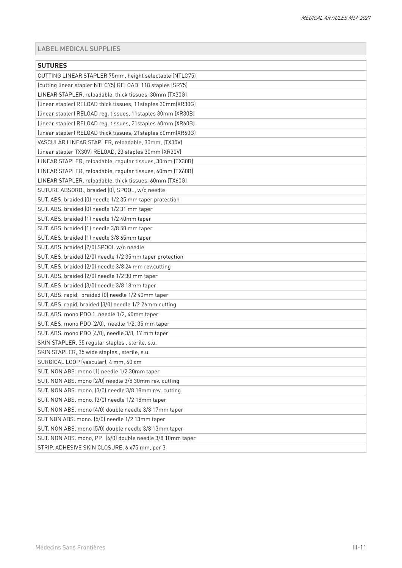| <b>SUTURES</b>                                                                                                        |
|-----------------------------------------------------------------------------------------------------------------------|
| CUTTING LINEAR STAPLER 75mm, height selectable (NTLC75)                                                               |
|                                                                                                                       |
| (cutting linear stapler NTLC75) RELOAD, 118 staples (SR75)<br>LINEAR STAPLER, reloadable, thick tissues, 30mm (TX30G) |
|                                                                                                                       |
| (linear stapler) RELOAD thick tissues, 11staples 30mm(XR30G)                                                          |
| (linear stapler) RELOAD reg. tissues, 11staples 30mm (XR30B)                                                          |
| (linear stapler) RELOAD reg. tissues, 21staples 60mm (XR60B)                                                          |
| (linear stapler) RELOAD thick tissues, 21staples 60mm(XR60G)                                                          |
| VASCULAR LINEAR STAPLER, reloadable, 30mm, (TX30V)                                                                    |
| (linear stapler TX30V) RELOAD, 23 staples 30mm (XR30V)                                                                |
| LINEAR STAPLER, reloadable, regular tissues, 30mm (TX30B)                                                             |
| LINEAR STAPLER, reloadable, regular tissues, 60mm (TX60B)                                                             |
| LINEAR STAPLER, reloadable, thick tissues, 60mm (TX60G)                                                               |
| SUTURE ABSORB., braided (0), SPOOL, w/o needle                                                                        |
| SUT. ABS. braided (0) needle 1/2 35 mm taper protection                                                               |
| SUT. ABS. braided (0) needle 1/2 31 mm taper                                                                          |
| SUT. ABS. braided (1) needle 1/2 40mm taper                                                                           |
| SUT. ABS. braided (1) needle 3/8 50 mm taper                                                                          |
| SUT. ABS. braided (1) needle 3/8 65mm taper                                                                           |
| SUT. ABS. braided (2/0) SPOOL w/o needle                                                                              |
| SUT. ABS. braided (2/0) needle 1/2 35mm taper protection                                                              |
| SUT. ABS. braided (2/0) needle 3/8 24 mm rev.cutting                                                                  |
| SUT. ABS. braided (2/0) needle 1/2 30 mm taper                                                                        |
| SUT. ABS. braided (3/0) needle 3/8 18mm taper                                                                         |
| SUT, ABS. rapid, braided (0) needle 1/2 40mm taper                                                                    |
| SUT. ABS. rapid, braided (3/0) needle 1/2 26mm cutting                                                                |
| SUT. ABS. mono PDO 1, needle 1/2, 40mm taper                                                                          |
| SUT. ABS. mono PDO (2/0), needle 1/2, 35 mm taper                                                                     |
| SUT. ABS. mono PDO (4/0), needle 3/8, 17 mm taper                                                                     |
| SKIN STAPLER, 35 regular staples, sterile, s.u.                                                                       |
| SKIN STAPLER, 35 wide staples, sterile, s.u.                                                                          |
| SURGICAL LOOP (vascular), 4 mm, 60 cm                                                                                 |
| SUT. NON ABS. mono (1) needle 1/2 30mm taper                                                                          |
| SUT. NON ABS. mono (2/0) needle 3/8 30mm rev. cutting                                                                 |
| SUT. NON ABS. mono. (3/0) needle 3/8 18mm rev. cutting                                                                |
| SUT. NON ABS. mono. (3/0) needle 1/2 18mm taper                                                                       |
| SUT. NON ABS. mono (4/0) double needle 3/8 17mm taper                                                                 |
| SUT NON ABS. mono. (5/0) needle 1/2 13mm taper                                                                        |
| SUT. NON ABS. mono (5/0) double needle 3/8 13mm taper                                                                 |
| SUT. NON ABS. mono, PP, (6/0) double needle 3/8 10mm taper                                                            |
| STRIP, ADHESIVE SKIN CLOSURE, 6 x75 mm, per 3                                                                         |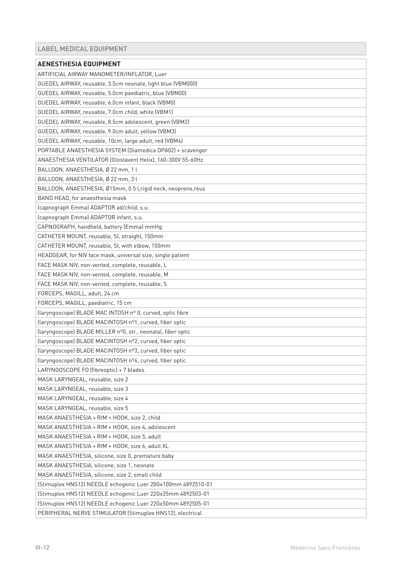<span id="page-11-0"></span>

| <b>AENESTHESIA EQUIPMENT</b>                                 |
|--------------------------------------------------------------|
| ARTIFICIAL AIRWAY MANOMETER/INFLATOR, Luer                   |
| GUEDEL AIRWAY, reusable, 3.5cm neonate, light blue (VBM000)  |
| GUEDEL AIRWAY, reusable, 5.0cm paediatric, blue (VBM00)      |
| GUEDEL AIRWAY, reusable, 6.0cm infant, black (VBM0)          |
| GUEDEL AIRWAY, reusable, 7.0cm child, white (VBM1)           |
| GUEDEL AIRWAY, reusable, 8.5cm adolescent, green (VBM2)      |
| GUEDEL AIRWAY, reusable, 9.0cm adult, yellow (VBM3)          |
| GUEDEL AIRWAY, reusable, 10cm, large adult, red (VBM4)       |
| PORTABLE ANAESTHESIA SYSTEM (Diamedica DPA02) + scavenger    |
| ANAESTHESIA VENTILATOR (Glostavent Helix), 160-300V 55-60Hz  |
| BALLOON, ANAESTHESIA, Ø 22 mm, 1 l                           |
| BALLOON, ANAESTHESIA, Ø 22 mm, 3 l                           |
| BALLOON, ANAESTHESIA, Ø15mm, 0.5 l,rigid neck, neoprene,reus |
| BAND HEAD, for anaesthesia mask                              |
| (capnograph Emma) ADAPTOR ad/child, s.u.                     |
| (capnograph Emma) ADAPTOR infant, s.u.                       |
| CAPNOGRAPH, handheld, battery (Emma) mmHq                    |
| CATHETER MOUNT, reusable, SI, straight, 150mm                |
| CATHETER MOUNT, reusable, SI, with elbow, 150mm              |
| HEADGEAR, for NIV face mask, universal size, single patient  |
| FACE MASK NIV, non-vented, complete, reusable, L             |
| FACE MASK NIV, non-vented, complete, reusable, M             |
| FACE MASK NIV, non-vented, complete, reusable, S             |
| FORCEPS, MAGILL, adult, 24 cm                                |
| FORCEPS, MAGILL, paediatric, 15 cm                           |
| (laryngoscope) BLADE MAC INTOSH nº 0, curved, optic fibre    |
| (laryngoscope) BLADE MACINTOSH nº1, curved, fiber optic      |
| (laryngoscope) BLADE MILLER nº0, str., neonatal, fiber optic |
| (laryngoscope) BLADE MACINTOSH nº2, curved, fiber optic      |
| (laryngoscope) BLADE MACINTOSH nº3, curved, fiber optic      |
| (laryngoscope) BLADE MACINTOSH nº4, curved, fiber optic      |
| LARYNGOSCOPE FO (fibreoptic) + 7 blades                      |
| MASK LARYNGEAL, reusable, size 2                             |
| MASK LARYNGEAL, reusable, size 3                             |
| MASK LARYNGEAL, reusable, size 4                             |
| MASK LARYNGEAL, reusable, size 5                             |
| MASK ANAESTHESIA + RIM + HOOK, size 2, child                 |
| MASK ANAESTHESIA + RIM + HOOK, size 4, adolescent            |
| MASK ANAESTHESIA + RIM + HOOK, size 5, adult                 |
| MASK ANAESTHESIA + RIM + HOOK, size 6, adult XL              |
| MASK ANAESTHESIA, silicone, size 0, premature baby           |
| MASK ANAESTHESIA, silicone, size 1, neonate                  |
| MASK ANAESTHESIA, silicone, size 2, small child              |
| (Stimuplex HNS12) NEEDLE echogenic Luer 20Gx100mm 4892510-01 |
| (Stimuplex HNS12) NEEDLE echogenic Luer 22Gx35mm 4892503-01  |
| (Stimuplex HNS12) NEEDLE echogenic Luer 22Gx50mm 4892505-01  |
| PERIPHERAL NERVE STIMULATOR (Stimuplex HNS12), electrical    |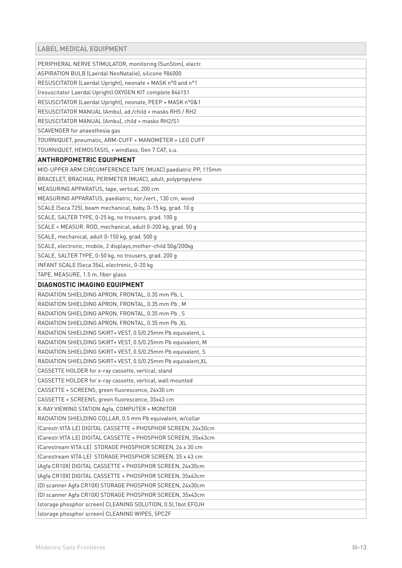| PERIPHERAL NERVE STIMULATOR, monitoring (SunStim), electr.    |
|---------------------------------------------------------------|
| ASPIRATION BULB (Laerdal NeoNatalie), silicone 986000         |
| RESUSCITATOR (Laerdal Upright), neonate + MASK n°0 and n°1    |
| (resuscitator Laerdal Upright) OXYGEN KIT complete 846151     |
| RESUSCITATOR (Laerdal Upright), neonate, PEEP + MASK n°0&1    |
| RESUSCITATOR MANUAL (Ambu), ad./child + masks RH5 / RH2       |
| RESUSCITATOR MANUAL (Ambu), child + masks RH2/S1              |
| SCAVENGER for anaesthesia gas                                 |
| TOURNIQUET, pneumatic, ARM-CUFF + MANOMETER + LEG CUFF        |
| TOURNIQUET, HEMOSTASIS, + windlass, Gen 7 CAT, s.u.           |
| <b>ANTHROPOMETRIC EQUIPMENT</b>                               |
| MID-UPPER ARM CIRCUMFERENCE TAPE (MUAC) paediatric PP, 115mm  |
| BRACELET, BRACHIAL PERIMETER (MUAC), adult, polypropylene     |
| MEASURING APPARATUS, tape, vertical, 200 cm                   |
| MEASURING APPARATUS, paediatric, hor./vert., 130 cm, wood     |
| SCALE (Seca 725), beam mechanical, baby, 0-15 kg, grad. 10 g  |
| SCALE, SALTER TYPE, 0-25 kg, no trousers, grad. 100 g         |
| SCALE + MEASUR. ROD, mechanical, adult 0-200 kg, grad. 50 g   |
| SCALE, mechanical, adult 0-150 kg, grad. 500 g                |
| SCALE, electronic, mobile, 2 displays, mother-child 50g/200kg |
| SCALE, SALTER TYPE, 0-50 kg, no trousers, grad. 200 g         |
| INFANT SCALE (Seca 354), electronic, 0-20 kg                  |
| TAPE, MEASURE, 1.5 m, fiber glass                             |
| <b>DIAGNOSTIC IMAGING EQUIPMENT</b>                           |
| RADIATION SHIELDING APRON, FRONTAL, 0.35 mm Pb, L             |
| RADIATION SHIELDING APRON, FRONTAL, 0.35 mm Pb, M             |
| RADIATION SHIELDING APRON, FRONTAL, 0.35 mm Pb, S             |
| RADIATION SHIELDING APRON, FRONTAL, 0.35 mm Pb, XL            |
| RADIATION SHIELDING SKIRT+ VEST, 0.5/0.25mm Pb equivalent, L  |
| RADIATION SHIELDING SKIRT+ VEST, 0.5/0.25mm Pb equivalent, M  |
| RADIATION SHIELDING SKIRT+ VEST, 0.5/0.25mm Pb equivalent, S  |
| RADIATION SHIELDING SKIRT+ VEST, 0.5/0.25mm Pb equivalent, XL |
| CASSETTE HOLDER for x-ray cassette, vertical, stand           |
| CASSETTE HOLDER for x-ray cassette, vertical, wall mounted    |
| CASSETTE + SCREENS, green fluorescence, 24x30 cm              |
| CASSETTE + SCREENS, green fluorescence, 35x43 cm              |
| X-RAY VIEWING STATION Agfa, COMPUTER + MONITOR                |
| RADIATION SHIELDING COLLAR, 0.5 mm Pb equivalent, w/collar    |
| (Carestr.VITA LE) DIGITAL CASSETTE + PHOSPHOR SCREEN, 24x30cm |
| (Carestr.VITA LE) DIGITAL CASSETTE + PHOSPHOR SCREEN, 35x43cm |
| (Carestream VITA LE) STORAGE PHOSPHOR SCREEN, 24 x 30 cm      |
| (Carestream VITA LE) STORAGE PHOSPHOR SCREEN, 35 x 43 cm      |
| (Agfa CR10X) DIGITAL CASSETTE + PHOSPHOR SCREEN, 24x30cm      |
| (Agfa CR10X) DIGITAL CASSETTE + PHOSPHOR SCREEN, 35x43cm      |
| (DI scanner Agfa CR10X) STORAGE PHOSPHOR SCREEN, 24x30cm      |
| (DI scanner Agfa CR10X) STORAGE PHOSPHOR SCREEN, 35x43cm      |
| (storage phosphor screen) CLEANING SOLUTION, 0.5l,1bot EFOJH  |
| (storage phosphor screen) CLEANING WIPES, 5PCZF               |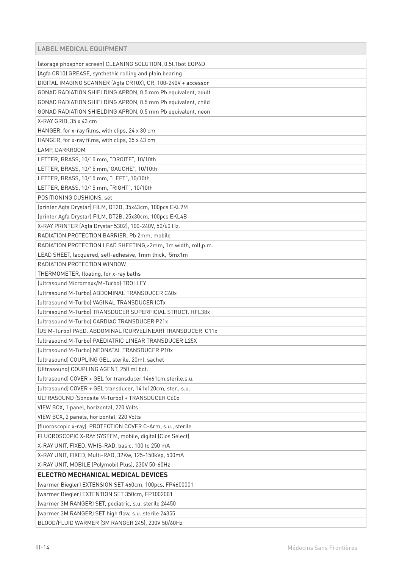| (storage phosphor screen) CLEANING SOLUTION, 0.5l, 1bot EQP6D   |
|-----------------------------------------------------------------|
| (Agfa CR10) GREASE, synthethic rolling and plain bearing        |
| DIGITAL IMAGING SCANNER (Agfa CR10X), CR, 100-240V + accessor   |
| GONAD RADIATION SHIELDING APRON, 0.5 mm Pb equivalent, adult    |
| GONAD RADIATION SHIELDING APRON, 0.5 mm Pb equivalent, child    |
| GONAD RADIATION SHIELDING APRON, 0.5 mm Pb equivalent, neon     |
| X-RAY GRID, 35 x 43 cm                                          |
| HANGER, for x-ray films, with clips, 24 x 30 cm                 |
| HANGER, for x-ray films, with clips, 35 x 43 cm                 |
| LAMP, DARKROOM                                                  |
| LETTER, BRASS, 10/15 mm, "DROITE", 10/10th                      |
| LETTER, BRASS, 10/15 mm,"GAUCHE", 10/10th                       |
| LETTER, BRASS, 10/15 mm, "LEFT", 10/10th                        |
| LETTER, BRASS, 10/15 mm, "RIGHT", 10/10th                       |
| POSITIONING CUSHIONS, set                                       |
| (printer Agfa Drystar) FILM, DT2B, 35x43cm, 100pcs EKL9M        |
| (printer Agfa Drystar) FILM, DT2B, 25x30cm, 100pcs EKL4B        |
| X-RAY PRINTER (Agfa Drystar 5302), 100-240V, 50/60 Hz.          |
| RADIATION PROTECTION BARRIER, Pb 2mm, mobile                    |
| RADIATION PROTECTION LEAD SHEETING, > 2mm, 1m width, roll, p.m. |
| LEAD SHEET, lacquered, self-adhesive, 1mm thick, 5mx1m          |
| RADIATION PROTECTION WINDOW                                     |
| THERMOMETER, floating, for x-ray baths                          |
| <b>Iultrasound Micromaxx/M-Turbol TROLLEY</b>                   |
| (ultrasound M-Turbo) ABDOMINAL TRANSDUCER C60x                  |
| (ultrasound M-Turbo) VAGINAL TRANSDUCER ICTx                    |
| (ultrasound M-Turbo) TRANSDUCER SUPERFICIAL STRUCT. HFL38x      |
| (ultrasound M-Turbo) CARDIAC TRANSDUCER P21x                    |
| (US M-Turbo) PAED. ABDOMINAL (CURVELINEAR) TRANSDUCER C11x      |
| (ultrasound M-Turbo) PAEDIATRIC LINEAR TRANSDUCER L25X          |
| (ultrasound M-Turbo) NEONATAL TRANSDUCER P10x                   |
| (ultrasound) COUPLING GEL, sterile, 20ml, sachet                |
| (Ultrasound) COUPLING AGENT, 250 ml bot.                        |
| (ultrasound) COVER + GEL for transducer, 14x61cm, sterile, s.u. |
| (ultrasound) COVER + GEL transducer, 141x120cm, ster., s.u.     |
| ULTRASOUND (Sonosite M-Turbo) + TRANSDUCER C60x                 |
| VIEW BOX, 1 panel, horizontal, 220 Volts                        |
| VIEW BOX, 2 panels, horizontal, 220 Volts                       |
| (fluoroscopic x-ray) PROTECTION COVER C-Arm, s.u., sterile      |
| FLUOROSCOPIC X-RAY SYSTEM, mobile, digital (Cios Select)        |
| X-RAY UNIT, FIXED, WHIS-RAD, basic, 100 to 250 mA               |
| X-RAY UNIT, FIXED, Multi-RAD, 32Kw, 125-150kVp, 500mA           |
| X-RAY UNIT, MOBILE (Polymobil Plus), 230V 50-60Hz               |
| ELECTRO MECHANICAL MEDICAL DEVICES                              |
| (warmer Biegler) EXTENSION SET 460cm, 100pcs, FP4600001         |
| (warmer Biegler) EXTENTION SET 350cm, FP1002001                 |
| (warmer 3M RANGER) SET, pediatric, s.u. sterile 24450           |
| (warmer 3M RANGER) SET high flow, s.u. sterile 24355            |
| BLOOD/FLUID WARMER (3M RANGER 245), 230V 50/60Hz                |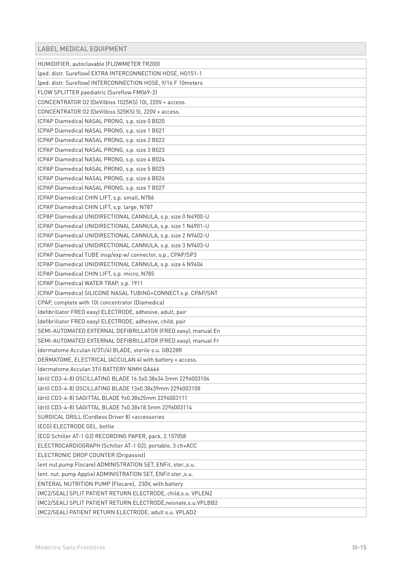| HUMIDIFIER, autoclavable (FLOWMETER TR200)                     |
|----------------------------------------------------------------|
| (ped. distr. Sureflow) EXTRA INTERCONNECTION HOSE, HO151-1     |
| (ped. distr. Sureflow) INTERCONNECTION HOSE, 9/16 F 10meters   |
| FLOW SPLITTER paediatric (Sureflow FM069-2)                    |
| CONCENTRATOR 02 (DeVilbiss 1025KS) 10l, 220V + access.         |
| CONCENTRATOR 02 (DeVilbiss 525KS) 5l, 220V + access.           |
| (CPAP Diamedica) NASAL PRONG, s.p. size 0 B020                 |
| (CPAP Diamedica) NASAL PRONG, s.p. size 1 B021                 |
| (CPAP Diamedica) NASAL PRONG, s.p. size 2 B022                 |
| (CPAP Diamedica) NASAL PRONG, s.p. size 3 B023                 |
| (CPAP Diamedica) NASAL PRONG, s.p. size 4 B024                 |
| (CPAP Diamedica) NASAL PRONG, s.p. size 5 B025                 |
| (CPAP Diamedica) NASAL PRONG, s.p. size 6 B026                 |
| (CPAP Diamedica) NASAL PRONG, s.p. size 7 B027                 |
| (CPAP Diamedica) CHIN LIFT, s.p. small, N786                   |
| (CPAP Diamedica) CHIN LIFT, s.p. large, N787                   |
| (CPAP Diamedica) UNIDIRECTIONAL CANNULA, s.p. size 0 N4900-U   |
| (CPAP Diamedica) UNIDIRECTIONAL CANNULA, s.p. size 1 N4901-U   |
| (CPAP Diamedica) UNIDIRECTIONAL CANNULA, s.p. size 2 N9402-U   |
| (CPAP Diamedica) UNIDIRECTIONAL CANNULA, s.p. size 3 N9403-U   |
| (CPAP Diamedica) TUBE insp/exp w/ connector, s.p., CPAP/SP3    |
| (CPAP Diamedica) UNIDIRECTIONAL CANNULA, s.p. size 4 N9404     |
| (CPAP Diamedica) CHIN LIFT, s.p. micro, N785                   |
| (CPAP Diamedica) WATER TRAP, s.p. 1911                         |
| (CPAP Diamedica) SILICONE NASAL TUBING+CONNECT.s.p. CPAP/SNT   |
| CPAP, complete with 10l concentrator (Diamedica)               |
| (defibrillator FRED easy) ELECTRODE, adhesive, adult, pair     |
| (defibrillator FRED easy) ELECTRODE, adhesive, child, pair     |
| SEMI-AUTOMATED EXTERNAL DEFIBRILLATOR (FRED easy), manual En   |
| SEMI-AUTOMATED EXTERNAL DEFIBRILLATOR (FRED easy), manual Fr   |
| (dermatome Acculan II/3Ti/4) BLADE, sterile s.u. GB228R        |
| DERMATOME, ELECTRICAL (ACCULAN 4) with battery + access.       |
| (dermatome Acculan 3Ti) BATTERY NIMH GA666                     |
| (drill CD3-4-8) OSCILLATING BLADE 16.5x0.38x34.5mm 2296003104  |
| (drill CD3-4-8) OSCILLATING BLADE 13x0.38x39mm 2296003108      |
| (drill CD3-4-8) SAGITTAL BLADE 9x0.38x25mm 2296003111          |
| (drill CD3-4-8) SAGITTAL BLADE 7x0.38x18.5mm 2296003114        |
| SURGICAL DRILL (Cordless Driver 8) +accessories                |
| (ECG) ELECTRODE GEL, bottle                                    |
| (ECG Schiller AT-1 G2) RECORDING PAPER, pack, 2.157058         |
| ELECTROCARDIOGRAPH (Schiller AT-1 G2), portable, 3 ch+ACC      |
| ELECTRONIC DROP COUNTER (Dripassist)                           |
| (ent.nut.pump Flocare) ADMINISTRATION SET, ENFit, ster.,s.u.   |
| (ent. nut. pump Applix) ADMINISTRATION SET, ENFit ster., s.u.  |
| ENTERAL NUTRITION PUMP (Flocare), 230V, with battery           |
| (MC2/SEAL) SPLIT PATIENT RETURN ELECTRODE, child, s.u. VPLEN2  |
| (MC2/SEAL) SPLIT PATIENT RETURN ELECTRODE, neonate, s.u.VPLBB2 |
| (MC2/SEAL) PATIENT RETURN ELECTRODE, adult s.u. VPLAD2         |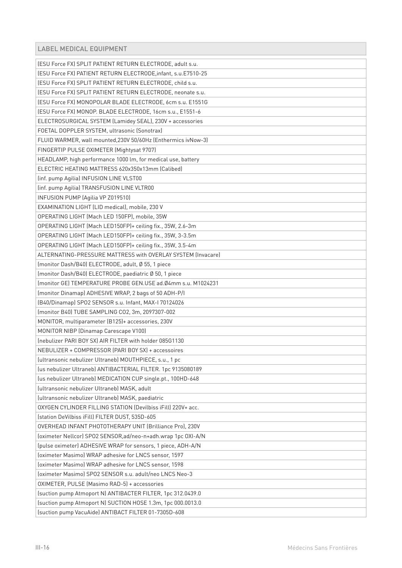| (ESU Force FX) SPLIT PATIENT RETURN ELECTRODE, adult s.u.     |
|---------------------------------------------------------------|
| (ESU Force FX) PATIENT RETURN ELECTRODE, infant, s.u.E7510-25 |
| (ESU Force FX) SPLIT PATIENT RETURN ELECTRODE, child s.u.     |
| (ESU Force FX) SPLIT PATIENT RETURN ELECTRODE, neonate s.u.   |
| (ESU Force FX) MONOPOLAR BLADE ELECTRODE, 6cm s.u. E1551G     |
| (ESU Force FX) MONOP. BLADE ELECTRODE, 16cm s.u., E1551-6     |
| ELECTROSURGICAL SYSTEM (Lamidey SEAL), 230V + accessories     |
| FOETAL DOPPLER SYSTEM, ultrasonic (Sonotrax)                  |
| FLUID WARMER, wall mounted, 230V 50/60Hz (Enthermics ivNow-3) |
| FINGERTIP PULSE OXIMETER (Mightysat 9707)                     |
| HEADLAMP, high performance 1000 lm, for medical use, battery  |
| ELECTRIC HEATING MATTRESS 620x350x13mm (Calibed)              |
| (inf. pump Agilia) INFUSION LINE VLST00                       |
| (inf. pump Agilia) TRANSFUSION LINE VLTR00                    |
| INFUSION PUMP (Agilia VP Z019510)                             |
| EXAMINATION LIGHT (LID medical), mobile, 230 V                |
| OPERATING LIGHT (Mach LED 150FP), mobile, 35W                 |
| OPERATING LIGHT (Mach LED150FP)+ ceiling fix., 35W, 2.6-3m    |
| OPERATING LIGHT (Mach LED150FP)+ ceiling fix., 35W, 3-3.5m    |
| OPERATING LIGHT (Mach LED150FP)+ ceiling fix., 35W, 3.5-4m    |
| ALTERNATING-PRESSURE MATTRESS with OVERLAY SYSTEM (Invacare)  |
| (monitor Dash/B40) ELECTRODE, adult, Ø 55, 1 piece            |
| (monitor Dash/B40) ELECTRODE, paediatric Ø 50, 1 piece        |
| (monitor GE) TEMPERATURE PROBE GEN.USE ad.Ø4mm s.u. M1024231  |
| (monitor Dinamap) ADHESIVE WRAP, 2 bags of 50 ADH-P/I         |
| (B40/Dinamap) SP02 SENSOR s.u. Infant, MAX-I 70124026         |
| (monitor B40) TUBE SAMPLING CO2, 3m, 2097307-002              |
| MONITOR, multiparameter (B125)+ accessories, 230V             |
| MONITOR NIBP (Dinamap Carescape V100)                         |
| (nebulizer PARI BOY SX) AIR FILTER with holder 085G1130       |
| NEBULIZER + COMPRESSOR (PARI BOY SX) + accessoires            |
| (ultransonic nebulizer Ultraneb) MOUTHPIECE, s.u., 1 pc       |
| (us nebulizer Ultraneb) ANTIBACTERIAL FILTER. 1pc 9135080189  |
| (us nebulizer Ultraneb) MEDICATION CUP single.pt., 100HD-648  |
| (ultransonic nebulizer Ultraneb) MASK, adult                  |
| (ultransonic nebulizer Ultraneb) MASK, paediatric             |
| OXYGEN CYLINDER FILLING STATION (Devilbiss iFill) 220V+ acc.  |
| (station DeVilbiss iFill) FILTER DUST, 535D-605               |
| OVERHEAD INFANT PHOTOTHERAPY UNIT (Brilliance Pro), 230V      |
| (oximeter Nellcor) SPO2 SENSOR, ad/neo-n+adh.wrap 1pc OXI-A/N |
| (pulse oximeter) ADHESIVE WRAP for sensors, 1 piece, ADH-A/N  |
| (oximeter Masimo) WRAP adhesive for LNCS sensor, 1597         |
| (oximeter Masimo) WRAP adhesive for LNCS sensor, 1598         |
| (oximeter Masimo) SP02 SENSOR s.u. adult/neo LNCS Neo-3       |
| OXIMETER, PULSE (Masimo RAD-5) + accessories                  |
| (suction pump Atmoport N) ANTIBACTER FILTER, 1pc 312.0439.0   |
| (suction pump Atmoport N) SUCTION HOSE 1.3m, 1pc 000.0013.0   |
| (suction pump VacuAide) ANTIBACT FILTER 01-7305D-608          |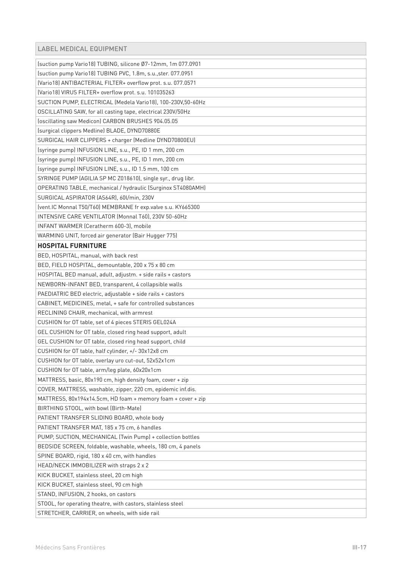# LABEL MEDICAL EQUIPMENT

| (suction pump Vario18) TUBING, silicone Ø7-12mm, 1m 077.0901  |
|---------------------------------------------------------------|
| (suction pump Vario18) TUBING PVC, 1.8m, s.u., ster. 077.0951 |
| (Vario18) ANTIBACTERIAL FILTER+ overflow prot. s.u. 077.0571  |
| (Vario18) VIRUS FILTER+ overflow prot. s.u. 101035263         |
| SUCTION PUMP, ELECTRICAL (Medela Vario18), 100-230V,50-60Hz   |
| OSCILLATING SAW, for all casting tape, electrical 230V/50Hz   |
| (oscillating saw Medicon) CARBON BRUSHES 904.05.05            |
| (surgical clippers Medline) BLADE, DYND70880E                 |
| SURGICAL HAIR CLIPPERS + charger (Medline DYND70800EU)        |
| (syringe pump) INFUSION LINE, s.u., PE, ID 1 mm, 200 cm       |
| (syringe pump) INFUSION LINE, s.u., PE, ID 1 mm, 200 cm       |
| (syringe pump) INFUSION LINE, s.u., ID 1.5 mm, 100 cm         |
| SYRINGE PUMP (AGILIA SP MC Z018610), single syr., drug libr.  |
| OPERATING TABLE, mechanical / hydraulic (Surginox ST4080AMH)  |
| SURGICAL ASPIRATOR (AS64R), 60l/min, 230V                     |
| (vent.IC Monnal T50/T60) MEMBRANE fr exp.valve s.u. KY665300  |
| INTENSIVE CARE VENTILATOR (Monnal T60), 230V 50-60Hz          |
| INFANT WARMER (Ceratherm 600-3), mobile                       |
| WARMING UNIT, forced air generator (Bair Hugger 775)          |
| <b>HOSPITAL FURNITURE</b>                                     |
| BED, HOSPITAL, manual, with back rest                         |
| BED, FIELD HOSPITAL, demountable, 200 x 75 x 80 cm            |
| HOSPITAL BED manual, adult, adjustm. + side rails + castors   |
| NEWBORN-INFANT BED, transparent, 4 collapsible walls          |
| PAEDIATRIC BED electric, adjustable + side rails + castors    |
| CABINET, MEDICINES, metal, + safe for controlled substances   |
| RECLINING CHAIR, mechanical, with armrest                     |
| CUSHION for OT table, set of 4 pieces STERIS GEL024A          |
| GEL CUSHION for OT table, closed ring head support, adult     |
| GEL CUSHION for OT table, closed ring head support, child     |
| CUSHION for OT table, half cylinder, +/- 30x12x8 cm           |
| CUSHION for OT table, overlay uro cut-out, 52x52x1cm          |
| CUSHION for OT table, arm/leg plate, 60x20x1cm                |
| MATTRESS, basic, 80x190 cm, high density foam, cover + zip    |
| COVER, MATTRESS, washable, zipper, 220 cm, epidemic inf.dis.  |
| MATTRESS, 80x194x14.5cm, HD foam + memory foam + cover + zip  |
| BIRTHING STOOL, with bowl (Birth-Mate)                        |
| PATIENT TRANSFER SLIDING BOARD, whole body                    |
| PATIENT TRANSFER MAT, 185 x 75 cm, 6 handles                  |
| PUMP, SUCTION, MECHANICAL (Twin Pump) + collection bottles    |
| BEDSIDE SCREEN, foldable, washable, wheels, 180 cm, 4 panels  |
| SPINE BOARD, rigid, 180 x 40 cm, with handles                 |
| HEAD/NECK IMMOBILIZER with straps 2 x 2                       |
| KICK BUCKET, stainless steel, 20 cm high                      |
| KICK BUCKET, stainless steel, 90 cm high                      |
| STAND, INFUSION, 2 hooks, on castors                          |
| STOOL, for operating theatre, with castors, stainless steel   |
| STRETCHER, CARRIER, on wheels, with side rail                 |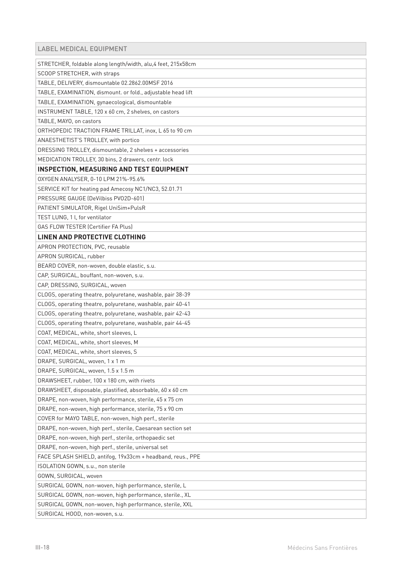| STRETCHER, foldable along length/width, alu,4 feet, 215x58cm |
|--------------------------------------------------------------|
| SCOOP STRETCHER, with straps                                 |
| TABLE, DELIVERY, dismountable 02.2862.00MSF 2016             |
| TABLE, EXAMINATION, dismount. or fold., adjustable head lift |
| TABLE, EXAMINATION, gynaecological, dismountable             |
| INSTRUMENT TABLE, 120 x 60 cm, 2 shelves, on castors         |
| TABLE, MAYO, on castors                                      |
| ORTHOPEDIC TRACTION FRAME TRILLAT, inox, L 65 to 90 cm       |
| ANAESTHETIST'S TROLLEY, with portico                         |
| DRESSING TROLLEY, dismountable, 2 shelves + accessories      |
| MEDICATION TROLLEY, 30 bins, 2 drawers, centr. lock          |
| <b>INSPECTION, MEASURING AND TEST EQUIPMENT</b>              |
| OXYGEN ANALYSER, 0-10 LPM 21%-95.6%                          |
| SERVICE KIT for heating pad Amecosy NC1/NC3, 52.01.71        |
| PRESSURE GAUGE (DeVilbiss PV02D-601)                         |
| PATIENT SIMULATOR, Rigel UniSim+PulsR                        |
| TEST LUNG, 1 l, for ventilator                               |
| <b>GAS FLOW TESTER (Certifier FA Plus)</b>                   |
| LINEN AND PROTECTIVE CLOTHING                                |
| APRON PROTECTION, PVC, reusable                              |
| APRON SURGICAL, rubber                                       |
| BEARD COVER, non-woven, double elastic, s.u.                 |
| CAP, SURGICAL, bouffant, non-woven, s.u.                     |
| CAP, DRESSING, SURGICAL, woven                               |
| CLOGS, operating theatre, polyuretane, washable, pair 38-39  |
| CLOGS, operating theatre, polyuretane, washable, pair 40-41  |
| CLOGS, operating theatre, polyuretane, washable, pair 42-43  |
| CLOGS, operating theatre, polyuretane, washable, pair 44-45  |
| COAT, MEDICAL, white, short sleeves, L                       |
| COAT, MEDICAL, white, short sleeves, M                       |
| COAT, MEDICAL, white, short sleeves, S                       |
| DRAPE, SURGICAL, woven, 1 x 1 m                              |
| DRAPE, SURGICAL, woven, 1.5 x 1.5 m                          |
| DRAWSHEET, rubber, 100 x 180 cm, with rivets                 |
| DRAWSHEET, disposable, plastified, absorbable, 60 x 60 cm    |
| DRAPE, non-woven, high performance, sterile, 45 x 75 cm      |
| DRAPE, non-woven, high performance, sterile, 75 x 90 cm      |
| COVER for MAYO TABLE, non-woven, high perf., sterile         |
| DRAPE, non-woven, high perf., sterile, Caesarean section set |
| DRAPE, non-woven, high perf., sterile, orthopaedic set       |
| DRAPE, non-woven, high perf., sterile, universal set         |
| FACE SPLASH SHIELD, antifog, 19x33cm + headband, reus., PPE  |
| ISOLATION GOWN, s.u., non sterile                            |
| GOWN, SURGICAL, woven                                        |
| SURGICAL GOWN, non-woven, high performance, sterile, L       |
| SURGICAL GOWN, non-woven, high performance, sterile., XL     |
| SURGICAL GOWN, non-woven, high performance, sterile, XXL     |
| SURGICAL HOOD, non-woven, s.u.                               |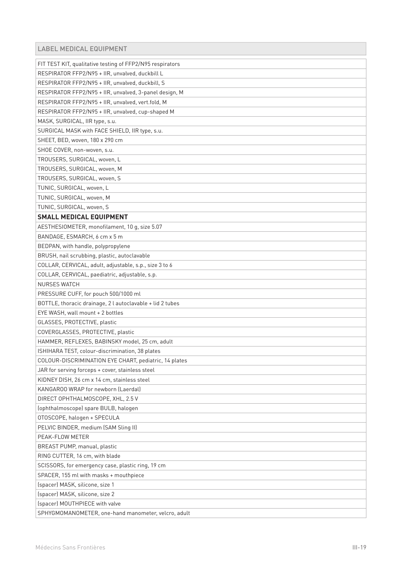| FIT TEST KIT, qualitative testing of FFP2/N95 respirators |
|-----------------------------------------------------------|
| RESPIRATOR FFP2/N95 + IIR, unvalved, duckbill L           |
| RESPIRATOR FFP2/N95 + IIR, unvalved, duckbill, S          |
| RESPIRATOR FFP2/N95 + IIR, unvalved, 3-panel design, M    |
| RESPIRATOR FFP2/N95 + IIR, unvalved, vert.fold, M         |
| RESPIRATOR FFP2/N95 + IIR, unvalved, cup-shaped M         |
| MASK, SURGICAL, IIR type, s.u.                            |
| SURGICAL MASK with FACE SHIELD, IIR type, s.u.            |
| SHEET, BED, woven, 180 x 290 cm                           |
| SHOE COVER, non-woven, s.u.                               |
| TROUSERS, SURGICAL, woven, L                              |
| TROUSERS, SURGICAL, woven, M                              |
| TROUSERS, SURGICAL, woven, S                              |
| TUNIC, SURGICAL, woven, L                                 |
| TUNIC, SURGICAL, woven, M                                 |
| TUNIC, SURGICAL, woven, S                                 |
| <b>SMALL MEDICAL EQUIPMENT</b>                            |
| AESTHESIOMETER, monofilament, 10 g, size 5.07             |
| BANDAGE, ESMARCH, 6 cm x 5 m                              |
| BEDPAN, with handle, polypropylene                        |
| BRUSH, nail scrubbing, plastic, autoclavable              |
| COLLAR, CERVICAL, adult, adjustable, s.p., size 3 to 6    |
| COLLAR, CERVICAL, paediatric, adjustable, s.p.            |
| <b>NURSES WATCH</b>                                       |
| PRESSURE CUFF, for pouch 500/1000 ml                      |
| BOTTLE, thoracic drainage, 2 l autoclavable + lid 2 tubes |
| EYE WASH, wall mount + 2 bottles                          |
| GLASSES, PROTECTIVE, plastic                              |
| COVERGLASSES, PROTECTIVE, plastic                         |
| HAMMER, REFLEXES, BABINSKY model, 25 cm, adult            |
| ISHIHARA TEST, colour-discrimination, 38 plates           |
| COLOUR-DISCRIMINATION EYE CHART, pediatric, 14 plates     |
| JAR for serving forceps + cover, stainless steel          |
| KIDNEY DISH, 26 cm x 14 cm, stainless steel               |
| KANGAROO WRAP for newborn (Laerdal)                       |
| DIRECT OPHTHALMOSCOPE, XHL, 2.5 V                         |
| (ophthalmoscope) spare BULB, halogen                      |
| OTOSCOPE, halogen + SPECULA                               |
| PELVIC BINDER, medium (SAM Sling II)                      |
| PEAK-FLOW METER                                           |
| BREAST PUMP, manual, plastic                              |
| RING CUTTER, 16 cm, with blade                            |
| SCISSORS, for emergency case, plastic ring, 19 cm         |
| SPACER, 155 ml with masks + mouthpiece                    |
| (spacer) MASK, silicone, size 1                           |
| (spacer) MASK, silicone, size 2                           |
| (spacer) MOUTHPIECE with valve                            |
| SPHYGMOMANOMETER, one-hand manometer, velcro, adult       |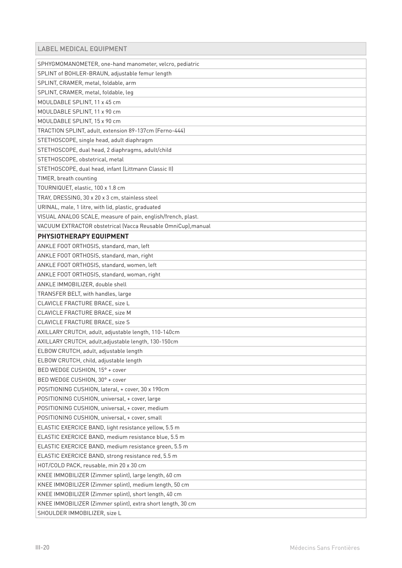# LABEL MEDICAL EQUIPMENT

| SPHYGMOMANOMETER, one-hand manometer, velcro, pediatric       |
|---------------------------------------------------------------|
| SPLINT of BOHLER-BRAUN, adjustable femur length               |
| SPLINT, CRAMER, metal, foldable, arm                          |
| SPLINT, CRAMER, metal, foldable, leg                          |
| MOULDABLE SPLINT, 11 x 45 cm                                  |
| MOULDABLE SPLINT, 11 x 90 cm                                  |
| MOULDABLE SPLINT, 15 x 90 cm                                  |
| TRACTION SPLINT, adult, extension 89-137cm (Ferno-444)        |
| STETHOSCOPE, single head, adult diaphragm                     |
| STETHOSCOPE, dual head, 2 diaphragms, adult/child             |
| STETHOSCOPE, obstetrical, metal                               |
| STETHOSCOPE, dual head, infant (Littmann Classic II)          |
| TIMER, breath counting                                        |
| TOURNIQUET, elastic, 100 x 1.8 cm                             |
| TRAY, DRESSING, 30 x 20 x 3 cm, stainless steel               |
| URINAL, male, 1 litre, with lid, plastic, graduated           |
| VISUAL ANALOG SCALE, measure of pain, english/french, plast.  |
| VACUUM EXTRACTOR obstetrical (Vacca Reusable OmniCup), manual |
| PHYSIOTHERAPY EQUIPMENT                                       |
| ANKLE FOOT ORTHOSIS, standard, man, left                      |
| ANKLE FOOT ORTHOSIS, standard, man, right                     |
| ANKLE FOOT ORTHOSIS, standard, women, left                    |
| ANKLE FOOT ORTHOSIS, standard, woman, right                   |
| ANKLE IMMOBILIZER, double shell                               |
| TRANSFER BELT, with handles, large                            |
| CLAVICLE FRACTURE BRACE, size L                               |
| CLAVICLE FRACTURE BRACE, size M                               |
| CLAVICLE FRACTURE BRACE, size S                               |
| AXILLARY CRUTCH, adult, adjustable length, 110-140cm          |
| AXILLARY CRUTCH, adult, adjustable length, 130-150cm          |
| ELBOW CRUTCH, adult, adjustable length                        |
| ELBOW CRUTCH, child, adjustable length                        |
| BED WEDGE CUSHION, 15° + cover                                |
| BED WEDGE CUSHION, 30° + cover                                |
| POSITIONING CUSHION, lateral, + cover, 30 x 190cm             |
| POSITIONING CUSHION, universal, + cover, large                |
| POSITIONING CUSHION, universal, + cover, medium               |
| POSITIONING CUSHION, universal, + cover, small                |
| ELASTIC EXERCICE BAND, light resistance yellow, 5.5 m         |
| ELASTIC EXERCICE BAND, medium resistance blue, 5.5 m          |
| ELASTIC EXERCICE BAND, medium resistance green, 5.5 m         |
| ELASTIC EXERCICE BAND, strong resistance red, 5.5 m           |
| HOT/COLD PACK, reusable, min 20 x 30 cm                       |
| KNEE IMMOBILIZER (Zimmer splint), large length, 60 cm         |
| KNEE IMMOBILIZER (Zimmer splint), medium length, 50 cm        |
| KNEE IMMOBILIZER (Zimmer splint), short length, 40 cm         |
| KNEE IMMOBILIZER (Zimmer splint), extra short length, 30 cm   |
| SHOULDER IMMOBILIZER, size L                                  |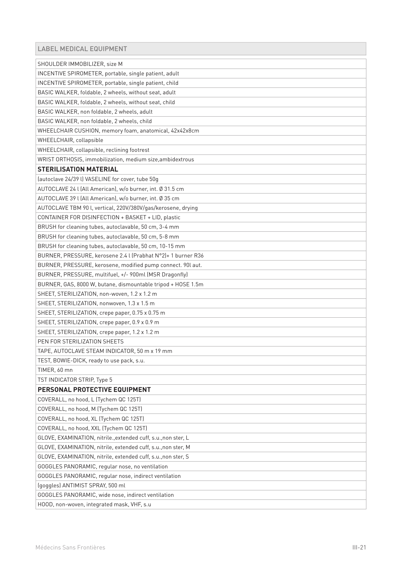| LABEL MEDICAL EQUIPMENT                                        |
|----------------------------------------------------------------|
| SHOULDER IMMOBILIZER, size M                                   |
| INCENTIVE SPIROMETER, portable, single patient, adult          |
| INCENTIVE SPIROMETER, portable, single patient, child          |
| BASIC WALKER, foldable, 2 wheels, without seat, adult          |
| BASIC WALKER, foldable, 2 wheels, without seat, child          |
| BASIC WALKER, non foldable, 2 wheels, adult                    |
| BASIC WALKER, non foldable, 2 wheels, child                    |
| WHEELCHAIR CUSHION, memory foam, anatomical, 42x42x8cm         |
| WHEELCHAIR, collapsible                                        |
| WHEELCHAIR, collapsible, reclining footrest                    |
| WRIST ORTHOSIS, immobilization, medium size, ambidextrous      |
| <b>STERILISATION MATERIAL</b>                                  |
| (autoclave 24/39 l) VASELINE for cover, tube 50g               |
| AUTOCLAVE 24 l (All American), w/o burner, int. Ø 31.5 cm      |
| AUTOCLAVE 39 L (All American), w/o burner, int. Ø 35 cm        |
| AUTOCLAVE TBM 90 l, vertical, 220V/380V/gas/kerosene, drying   |
| CONTAINER FOR DISINFECTION + BASKET + LID, plastic             |
| BRUSH for cleaning tubes, autoclavable, 50 cm, 3-4 mm          |
| BRUSH for cleaning tubes, autoclavable, 50 cm, 5-8 mm          |
| BRUSH for cleaning tubes, autoclavable, 50 cm, 10-15 mm        |
| BURNER, PRESSURE, kerosene 2.4 l (Prabhat N°2)+ 1 burner R36   |
| BURNER, PRESSURE, kerosene, modified pump connect. 90l aut.    |
| BURNER, PRESSURE, multifuel, +/- 900ml (MSR Dragonfly)         |
| BURNER, GAS, 8000 W, butane, dismountable tripod + HOSE 1.5m   |
| SHEET, STERILIZATION, non-woven, 1.2 x 1.2 m                   |
| SHEET, STERILIZATION, nonwoven, 1.3 x 1.5 m                    |
| SHEET, STERILIZATION, crepe paper, 0.75 x 0.75 m               |
| SHEET, STERILIZATION, crepe paper, 0.9 x 0.9 m                 |
| SHEET, STERILIZATION, crepe paper, 1.2 x 1.2 m                 |
| PEN FOR STERILIZATION SHEETS                                   |
| TAPE, AUTOCLAVE STEAM INDICATOR, 50 m x 19 mm                  |
| TEST, BOWIE-DICK, ready to use pack, s.u.                      |
| TIMER, 60 mn                                                   |
| TST INDICATOR STRIP, Type 5                                    |
| PERSONAL PROTECTIVE EQUIPMENT                                  |
| COVERALL, no hood, L (Tychem QC 125T)                          |
| COVERALL, no hood, M (Tychem QC 125T)                          |
| COVERALL, no hood, XL (Tychem QC 125T)                         |
| COVERALL, no hood, XXL (Tychem QC 125T)                        |
| GLOVE, EXAMINATION, nitrile., extended cuff, s.u., non ster, L |
| GLOVE, EXAMINATION, nitrile, extended cuff, s.u., non ster, M  |
| GLOVE, EXAMINATION, nitrile, extended cuff, s.u., non ster, S  |
| GOGGLES PANORAMIC, regular nose, no ventilation                |
| GOGGLES PANORAMIC, regular nose, indirect ventilation          |
| (goggles) ANTIMIST SPRAY, 500 ml                               |
| GOGGLES PANORAMIC, wide nose, indirect ventilation             |
| HOOD, non-woven, integrated mask, VHF, s.u                     |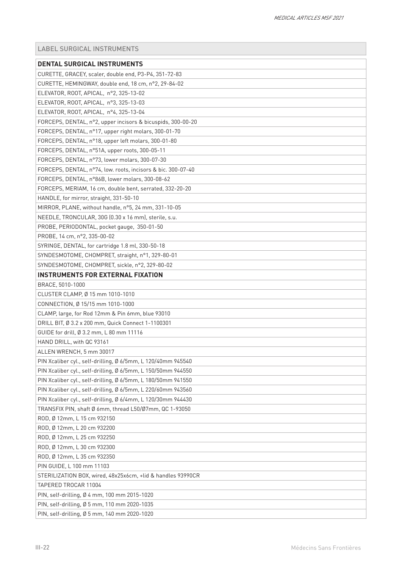<span id="page-21-0"></span>

| DENTAL SURGICAL INSTRUMENTS                                  |
|--------------------------------------------------------------|
| CURETTE, GRACEY, scaler, double end, P3-P4, 351-72-83        |
| CURETTE, HEMINGWAY, double end, 18 cm, n°2, 29-84-02         |
| ELEVATOR, ROOT, APICAL, nº2, 325-13-02                       |
| ELEVATOR, ROOT, APICAL, nº3, 325-13-03                       |
| ELEVATOR, ROOT, APICAL, nº4, 325-13-04                       |
| FORCEPS, DENTAL, n°2, upper incisors & bicuspids, 300-00-20  |
| FORCEPS, DENTAL, n°17, upper right molars, 300-01-70         |
| FORCEPS, DENTAL, n°18, upper left molars, 300-01-80          |
| FORCEPS, DENTAL, nº51A, upper roots, 300-05-11               |
| FORCEPS, DENTAL, nº73, lower molars, 300-07-30               |
| FORCEPS, DENTAL, n°74, low. roots, incisors & bic. 300-07-40 |
| FORCEPS, DENTAL, n°86B, lower molars, 300-08-62              |
| FORCEPS, MERIAM, 16 cm, double bent, serrated, 332-20-20     |
| HANDLE, for mirror, straight, 331-50-10                      |
| MIRROR, PLANE, without handle, n°5, 24 mm, 331-10-05         |
| NEEDLE, TRONCULAR, 30G (0.30 x 16 mm), sterile, s.u.         |
| PROBE, PERIODONTAL, pocket gauge, 350-01-50                  |
| PROBE, 14 cm, n°2, 335-00-02                                 |
| SYRINGE, DENTAL, for cartridge 1.8 ml, 330-50-18             |
| SYNDESMOTOME, CHOMPRET, straight, nº1, 329-80-01             |
| SYNDESMOTOME, CHOMPRET, sickle, n°2, 329-80-02               |
| <b>INSTRUMENTS FOR EXTERNAL FIXATION</b>                     |
| BRACE, 5010-1000                                             |
| CLUSTER CLAMP, Ø 15 mm 1010-1010                             |
| CONNECTION, Ø 15/15 mm 1010-1000                             |
| CLAMP, large, for Rod 12mm & Pin 6mm, blue 93010             |
| DRILL BIT, Ø 3.2 x 200 mm, Quick Connect 1-1100301           |
| GUIDE for drill, Ø 3.2 mm, L 80 mm 11116                     |
| HAND DRILL, with QC 93161                                    |
| ALLEN WRENCH, 5 mm 30017                                     |
| PIN Xcaliber cyl., self-drilling, Ø 6/5mm, L 120/40mm 945540 |
| PIN Xcaliber cyl., self-drilling, Ø 6/5mm, L 150/50mm 944550 |
| PIN Xcaliber cyl., self-drilling, Ø 6/5mm, L 180/50mm 941550 |
| PIN Xcaliber cyl., self-drilling, Ø 6/5mm, L 220/60mm 943560 |
| PIN Xcaliber cyl., self-drilling, Ø 6/4mm, L 120/30mm 944430 |
| TRANSFIX PIN, shaft Ø 6mm, thread L50/Ø7mm, QC 1-93050       |
| ROD, Ø 12mm, L 15 cm 932150                                  |
| ROD, Ø 12mm, L 20 cm 932200                                  |
| ROD, Ø 12mm, L 25 cm 932250                                  |
| ROD, Ø 12mm, L 30 cm 932300                                  |
| ROD, Ø 12mm, L 35 cm 932350                                  |
| PIN GUIDE, L 100 mm 11103                                    |
| STERILIZATION BOX, wired, 48x25x6cm, +lid & handles 93990CR  |
| TAPERED TROCAR 11004                                         |
| PIN, self-drilling, Ø 4 mm, 100 mm 2015-1020                 |
| PIN, self-drilling, Ø 5 mm, 110 mm 2020-1035                 |
| PIN, self-drilling, Ø 5 mm, 140 mm 2020-1020                 |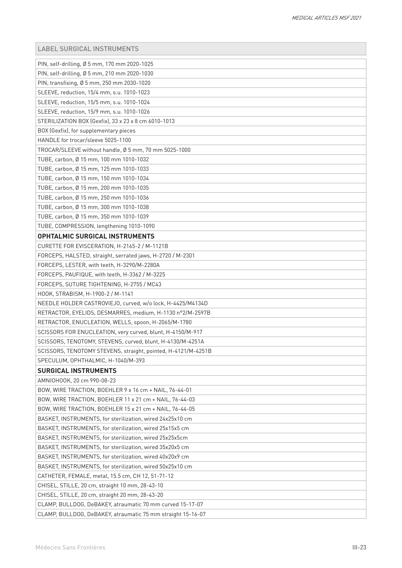| PIN, self-drilling, Ø 5 mm, 170 mm 2020-1025                  |
|---------------------------------------------------------------|
| PIN, self-drilling, Ø 5 mm, 210 mm 2020-1030                  |
| PIN, transfixing, Ø 5 mm, 250 mm 2030-1020                    |
| SLEEVE, reduction, 15/4 mm, s.u. 1010-1023                    |
| SLEEVE, reduction, 15/5 mm, s.u. 1010-1024                    |
| SLEEVE, reduction, 15/9 mm, s.u. 1010-1026                    |
| STERILIZATION BOX (Gexfix), 33 x 23 x 8 cm 6010-1013          |
| BOX (Gexfix), for supplementary pieces                        |
| HANDLE for trocar/sleeve 5025-1100                            |
| TROCAR/SLEEVE without handle, Ø 5 mm, 70 mm 5025-1000         |
| TUBE, carbon, Ø 15 mm, 100 mm 1010-1032                       |
| TUBE, carbon, Ø 15 mm, 125 mm 1010-1033                       |
| TUBE, carbon, Ø 15 mm, 150 mm 1010-1034                       |
| TUBE, carbon, Ø 15 mm, 200 mm 1010-1035                       |
| TUBE, carbon, Ø 15 mm, 250 mm 1010-1036                       |
| TUBE, carbon, Ø 15 mm, 300 mm 1010-1038                       |
| TUBE, carbon, Ø 15 mm, 350 mm 1010-1039                       |
| TUBE, COMPRESSION, lengthening 1010-1090                      |
| OPHTALMIC SURGICAL INSTRUMENTS                                |
| CURETTE FOR EVISCERATION, H-2165-2 / M-1121B                  |
| FORCEPS, HALSTED, straight, serrated jaws, H-2720 / M-2301    |
| FORCEPS, LESTER, with teeth, H-3290/M-2280A                   |
| FORCEPS, PAUFIQUE, with teeth, H-3362 / M-3225                |
| FORCEPS, SUTURE TIGHTENING, H-2755 / MC43                     |
| HOOK, STRABISM, H-1900-2 / M-1141                             |
| NEEDLE HOLDER CASTROVIEJO, curved, w/o lock, H-4425/M4134D    |
| RETRACTOR, EYELIDS, DESMARRES, medium, H-1130 n°2/M-2597B     |
| RETRACTOR, ENUCLEATION, WELLS, spoon, H-2065/M-1780           |
| SCISSORS FOR ENUCLEATION, very curved, blunt, H-4150/M-917    |
| SCISSORS, TENOTOMY, STEVENS, curved, blunt, H-4130/M-4251A    |
| SCISSORS, TENOTOMY STEVENS, straight, pointed, H-4121/M-4251B |
| SPECULUM, OPHTHALMIC, H-1040/M-393                            |
| <b>SURGICAL INSTRUMENTS</b>                                   |
| AMNIOHOOK, 20 cm 990-08-23                                    |
| BOW, WIRE TRACTION, BOEHLER 9 x 16 cm + NAIL, 76-44-01        |
| BOW, WIRE TRACTION, BOEHLER 11 x 21 cm + NAIL, 76-44-03       |
| BOW, WIRE TRACTION, BOEHLER 15 x 21 cm + NAIL, 76-44-05       |
| BASKET, INSTRUMENTS, for sterilization, wired 24x25x10 cm     |
| BASKET, INSTRUMENTS, for sterilization, wired 25x15x5 cm      |
| BASKET, INSTRUMENTS, for sterilization, wired 25x25x5cm       |
| BASKET, INSTRUMENTS, for sterilization, wired 35x20x5 cm      |
| BASKET, INSTRUMENTS, for sterilization, wired 40x20x9 cm      |
| BASKET, INSTRUMENTS, for sterilization, wired 50x25x10 cm     |
| CATHETER, FEMALE, metal, 15.5 cm, CH 12, 51-71-12             |
| CHISEL, STILLE, 20 cm, straight 10 mm, 28-43-10               |
| CHISEL, STILLE, 20 cm, straight 20 mm, 28-43-20               |
| CLAMP, BULLDOG, DeBAKEY, atraumatic 70 mm curved 15-17-07     |
| CLAMP, BULLDOG, DeBAKEY, atraumatic 75 mm straight 15-16-07   |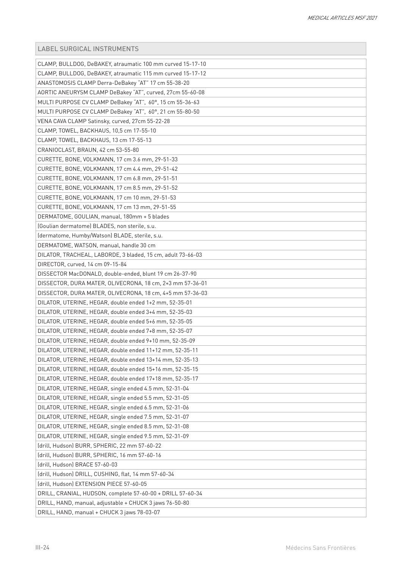| CLAMP, BULLDOG, DeBAKEY, atraumatic 100 mm curved 15-17-10  |
|-------------------------------------------------------------|
| CLAMP, BULLDOG, DeBAKEY, atraumatic 115 mm curved 15-17-12  |
| ANASTOMOSIS CLAMP Derra-DeBakey "AT" 17 cm 55-38-20         |
| AORTIC ANEURYSM CLAMP DeBakey "AT", curved, 27cm 55-60-08   |
| MULTI PURPOSE CV CLAMP DeBakey "AT", 60°, 15 cm 55-36-63    |
| MULTI PURPOSE CV CLAMP DeBakey "AT", 60°, 21 cm 55-80-50    |
| VENA CAVA CLAMP Satinsky, curved, 27cm 55-22-28             |
| CLAMP, TOWEL, BACKHAUS, 10.5 cm 17-55-10                    |
| CLAMP, TOWEL, BACKHAUS, 13 cm 17-55-13                      |
| CRANIOCLAST, BRAUN, 42 cm 53-55-80                          |
| CURETTE, BONE, VOLKMANN, 17 cm 3.6 mm, 29-51-33             |
| CURETTE, BONE, VOLKMANN, 17 cm 4.4 mm, 29-51-42             |
| CURETTE, BONE, VOLKMANN, 17 cm 6.8 mm, 29-51-51             |
| CURETTE, BONE, VOLKMANN, 17 cm 8.5 mm, 29-51-52             |
| CURETTE, BONE, VOLKMANN, 17 cm 10 mm, 29-51-53              |
| CURETTE, BONE, VOLKMANN, 17 cm 13 mm, 29-51-55              |
| DERMATOME, GOULIAN, manual, 180mm + 5 blades                |
| (Goulian dermatome) BLADES, non sterile, s.u.               |
| (dermatome, Humby/Watson) BLADE, sterile, s.u.              |
| DERMATOME, WATSON, manual, handle 30 cm                     |
| DILATOR, TRACHEAL, LABORDE, 3 bladed, 15 cm, adult 73-66-03 |
| DIRECTOR, curved, 14 cm 09-15-84                            |
| DISSECTOR MacDONALD, double-ended, blunt 19 cm 26-37-90     |
| DISSECTOR, DURA MATER, OLIVECRONA, 18 cm, 2+3 mm 57-36-01   |
| DISSECTOR, DURA MATER, OLIVECRONA, 18 cm, 4+5 mm 57-36-03   |
| DILATOR, UTERINE, HEGAR, double ended 1+2 mm, 52-35-01      |
| DILATOR, UTERINE, HEGAR, double ended 3+4 mm, 52-35-03      |
| DILATOR, UTERINE, HEGAR, double ended 5+6 mm, 52-35-05      |
| DILATOR, UTERINE, HEGAR, double ended 7+8 mm, 52-35-07      |
| DILATOR, UTERINE, HEGAR, double ended 9+10 mm, 52-35-09     |
| DILATOR, UTERINE, HEGAR, double ended 11+12 mm, 52-35-11    |
| DILATOR, UTERINE, HEGAR, double ended 13+14 mm, 52-35-13    |
| DILATOR, UTERINE, HEGAR, double ended 15+16 mm, 52-35-15    |
| DILATOR, UTERINE, HEGAR, double ended 17+18 mm, 52-35-17    |
| DILATOR, UTERINE, HEGAR, single ended 4.5 mm, 52-31-04      |
| DILATOR, UTERINE, HEGAR, single ended 5.5 mm, 52-31-05      |
| DILATOR, UTERINE, HEGAR, single ended 6.5 mm, 52-31-06      |
| DILATOR, UTERINE, HEGAR, single ended 7.5 mm, 52-31-07      |
| DILATOR, UTERINE, HEGAR, single ended 8.5 mm, 52-31-08      |
| DILATOR, UTERINE, HEGAR, single ended 9.5 mm, 52-31-09      |
| (drill, Hudson) BURR, SPHERIC, 22 mm 57-60-22               |
| (drill, Hudson) BURR, SPHERIC, 16 mm 57-60-16               |
| (drill, Hudson) BRACE 57-60-03                              |
| (drill, Hudson) DRILL, CUSHING, flat, 14 mm 57-60-34        |
| (drill, Hudson) EXTENSION PIECE 57-60-05                    |
| DRILL, CRANIAL, HUDSON, complete 57-60-00 + DRILL 57-60-34  |
| DRILL, HAND, manual, adjustable + CHUCK 3 jaws 76-50-80     |
| DRILL, HAND, manual + CHUCK 3 jaws 78-03-07                 |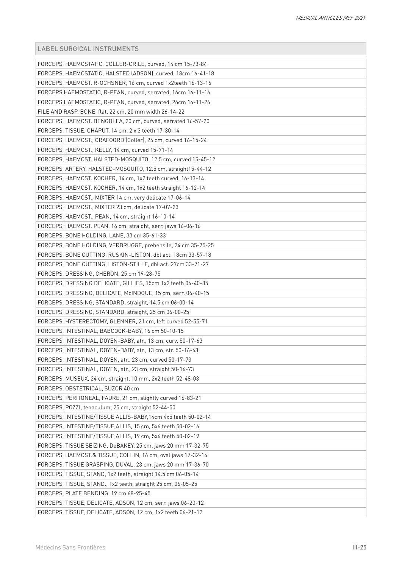| FORCEPS, HAEMOSTATIC, COLLER-CRILE, curved, 14 cm 15-73-84     |
|----------------------------------------------------------------|
| FORCEPS, HAEMOSTATIC, HALSTED (ADSON), curved, 18cm 16-41-18   |
| FORCEPS, HAEMOST. R-OCHSNER, 16 cm, curved 1x2teeth 16-13-16   |
| FORCEPS HAEMOSTATIC, R-PEAN, curved, serrated, 16cm 16-11-16   |
| FORCEPS HAEMOSTATIC, R-PEAN, curved, serrated, 26cm 16-11-26   |
| FILE AND RASP, BONE, flat, 22 cm, 20 mm width 26-14-22         |
| FORCEPS, HAEMOST. BENGOLEA, 20 cm, curved, serrated 16-57-20   |
| FORCEPS, TISSUE, CHAPUT, 14 cm, 2 x 3 teeth 17-30-14           |
| FORCEPS, HAEMOST., CRAFOORD (Coller), 24 cm, curved 16-15-24   |
| FORCEPS, HAEMOST., KELLY, 14 cm, curved 15-71-14               |
| FORCEPS, HAEMOST. HALSTED-MOSQUITO, 12.5 cm, curved 15-45-12   |
| FORCEPS, ARTERY, HALSTED-MOSQUITO, 12.5 cm, straight15-44-12   |
| FORCEPS, HAEMOST. KOCHER, 14 cm, 1x2 teeth curved, 16-13-14    |
| FORCEPS, HAEMOST. KOCHER, 14 cm, 1x2 teeth straight 16-12-14   |
| FORCEPS, HAEMOST., MIXTER 14 cm, very delicate 17-06-14        |
| FORCEPS, HAEMOST., MIXTER 23 cm, delicate 17-07-23             |
| FORCEPS, HAEMOST., PEAN, 14 cm, straight 16-10-14              |
| FORCEPS, HAEMOST. PEAN, 16 cm, straight, serr. jaws 16-06-16   |
| FORCEPS, BONE HOLDING, LANE, 33 cm 35-61-33                    |
| FORCEPS, BONE HOLDING, VERBRUGGE, prehensile, 24 cm 35-75-25   |
| FORCEPS, BONE CUTTING, RUSKIN-LISTON, dbl act. 18cm 33-57-18   |
| FORCEPS, BONE CUTTING, LISTON-STILLE, dbl act. 27cm 33-71-27   |
| FORCEPS, DRESSING, CHERON, 25 cm 19-28-75                      |
| FORCEPS, DRESSING DELICATE, GILLIES, 15cm 1x2 teeth 06-40-85   |
| FORCEPS, DRESSING, DELICATE, McINDOUE, 15 cm, serr. 06-40-15   |
| FORCEPS, DRESSING, STANDARD, straight, 14.5 cm 06-00-14        |
| FORCEPS, DRESSING, STANDARD, straight, 25 cm 06-00-25          |
| FORCEPS, HYSTERECTOMY, GLENNER, 21 cm, left curved 52-55-71    |
| FORCEPS, INTESTINAL, BABCOCK-BABY, 16 cm 50-10-15              |
| FORCEPS, INTESTINAL, DOYEN-BABY, atr., 13 cm, curv. 50-17-63   |
| FORCEPS, INTESTINAL, DOYEN-BABY, atr., 13 cm, str. 50-16-63    |
| FORCEPS, INTESTINAL, DOYEN, atr., 23 cm, curved 50-17-73       |
| FORCEPS, INTESTINAL, DOYEN, atr., 23 cm, straight 50-16-73     |
| FORCEPS, MUSEUX, 24 cm, straight, 10 mm, 2x2 teeth 52-48-03    |
| FORCEPS, OBSTETRICAL, SUZOR 40 cm                              |
| FORCEPS, PERITONEAL, FAURE, 21 cm, slightly curved 16-83-21    |
| FORCEPS, POZZI, tenaculum, 25 cm, straight 52-44-50            |
| FORCEPS, INTESTINE/TISSUE, ALLIS-BABY, 14cm 4x5 teeth 50-02-14 |
| FORCEPS, INTESTINE/TISSUE, ALLIS, 15 cm, 5x6 teeth 50-02-16    |
| FORCEPS, INTESTINE/TISSUE, ALLIS, 19 cm, 5x6 teeth 50-02-19    |
| FORCEPS, TISSUE SEIZING, DeBAKEY, 25 cm, jaws 20 mm 17-32-75   |
| FORCEPS, HAEMOST.& TISSUE, COLLIN, 16 cm, oval jaws 17-32-16   |
| FORCEPS, TISSUE GRASPING, DUVAL, 23 cm, jaws 20 mm 17-36-70    |
| FORCEPS, TISSUE, STAND, 1x2 teeth, straight 14.5 cm 06-05-14   |
| FORCEPS, TISSUE, STAND., 1x2 teeth, straight 25 cm, 06-05-25   |
| FORCEPS, PLATE BENDING, 19 cm 68-95-45                         |
| FORCEPS, TISSUE, DELICATE, ADSON, 12 cm, serr. jaws 06-20-12   |
| FORCEPS, TISSUE, DELICATE, ADSON, 12 cm, 1x2 teeth 06-21-12    |
|                                                                |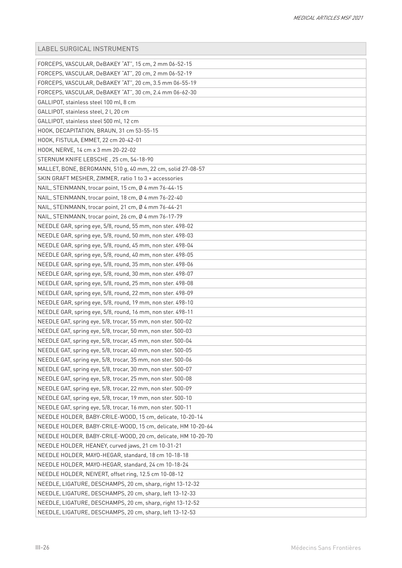| FORCEPS, VASCULAR, DeBAKEY "AT", 15 cm, 2 mm 06-52-15        |
|--------------------------------------------------------------|
| FORCEPS, VASCULAR, DeBAKEY "AT", 20 cm, 2 mm 06-52-19        |
| FORCEPS, VASCULAR, DeBAKEY "AT", 20 cm, 3.5 mm 06-55-19      |
| FORCEPS, VASCULAR, DeBAKEY "AT", 30 cm, 2.4 mm 06-62-30      |
| GALLIPOT, stainless steel 100 ml, 8 cm                       |
| GALLIPOT, stainless steel, 2l, 20 cm                         |
| GALLIPOT, stainless steel 500 ml, 12 cm                      |
| HOOK, DECAPITATION, BRAUN, 31 cm 53-55-15                    |
| HOOK, FISTULA, EMMET, 22 cm 20-42-01                         |
| HOOK, NERVE, 14 cm x 3 mm 20-22-02                           |
| STERNUM KNIFE LEBSCHE, 25 cm, 54-18-90                       |
| MALLET, BONE, BERGMANN, 510 g, 40 mm, 22 cm, solid 27-08-57  |
| SKIN GRAFT MESHER, ZIMMER, ratio 1 to 3 + accessories        |
| NAIL, STEINMANN, trocar point, 15 cm, Ø 4 mm 76-44-15        |
| NAIL, STEINMANN, trocar point, 18 cm, Ø 4 mm 76-22-40        |
| NAIL, STEINMANN, trocar point, 21 cm, Ø 4 mm 76-44-21        |
| NAIL, STEINMANN, trocar point, 26 cm, Ø 4 mm 76-17-79        |
| NEEDLE GAR, spring eye, 5/8, round, 55 mm, non ster. 498-02  |
| NEEDLE GAR, spring eye, 5/8, round, 50 mm, non ster. 498-03  |
| NEEDLE GAR, spring eye, 5/8, round, 45 mm, non ster. 498-04  |
| NEEDLE GAR, spring eye, 5/8, round, 40 mm, non ster. 498-05  |
| NEEDLE GAR, spring eye, 5/8, round, 35 mm, non ster. 498-06  |
| NEEDLE GAR, spring eye, 5/8, round, 30 mm, non ster. 498-07  |
| NEEDLE GAR, spring eye, 5/8, round, 25 mm, non ster. 498-08  |
| NEEDLE GAR, spring eye, 5/8, round, 22 mm, non ster. 498-09  |
| NEEDLE GAR, spring eye, 5/8, round, 19 mm, non ster. 498-10  |
| NEEDLE GAR, spring eye, 5/8, round, 16 mm, non ster. 498-11  |
| NEEDLE GAT, spring eye, 5/8, trocar, 55 mm, non ster. 500-02 |
| NEEDLE GAT, spring eye, 5/8, trocar, 50 mm, non ster. 500-03 |
| NEEDLE GAT, spring eye, 5/8, trocar, 45 mm, non ster. 500-04 |
| NEEDLE GAT, spring eye, 5/8, trocar, 40 mm, non ster. 500-05 |
| NEEDLE GAT, spring eye, 5/8, trocar, 35 mm, non ster. 500-06 |
| NEEDLE GAT, spring eye, 5/8, trocar, 30 mm, non ster. 500-07 |
| NEEDLE GAT, spring eye, 5/8, trocar, 25 mm, non ster. 500-08 |
| NEEDLE GAT, spring eye, 5/8, trocar, 22 mm, non ster. 500-09 |
| NEEDLE GAT, spring eye, 5/8, trocar, 19 mm, non ster. 500-10 |
| NEEDLE GAT, spring eye, 5/8, trocar, 16 mm, non ster. 500-11 |
| NEEDLE HOLDER, BABY-CRILE-WOOD, 15 cm, delicate, 10-20-14    |
| NEEDLE HOLDER, BABY-CRILE-WOOD, 15 cm, delicate, HM 10-20-64 |
| NEEDLE HOLDER, BABY-CRILE-WOOD, 20 cm, delicate, HM 10-20-70 |
| NEEDLE HOLDER, HEANEY, curved jaws, 21 cm 10-31-21           |
| NEEDLE HOLDER, MAYO-HEGAR, standard, 18 cm 10-18-18          |
| NEEDLE HOLDER, MAYO-HEGAR, standard, 24 cm 10-18-24          |
| NEEDLE HOLDER, NEIVERT, offset ring, 12.5 cm 10-08-12        |
| NEEDLE, LIGATURE, DESCHAMPS, 20 cm, sharp, right 13-12-32    |
| NEEDLE, LIGATURE, DESCHAMPS, 20 cm, sharp, left 13-12-33     |
| NEEDLE, LIGATURE, DESCHAMPS, 20 cm, sharp, right 13-12-52    |
| NEEDLE, LIGATURE, DESCHAMPS, 20 cm, sharp, left 13-12-53     |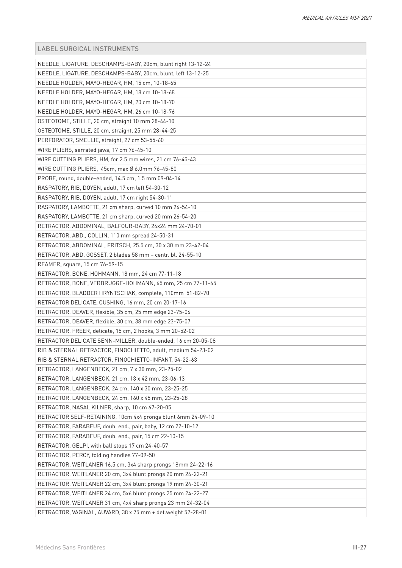| NEEDLE, LIGATURE, DESCHAMPS-BABY, 20cm, blunt right 13-12-24 |
|--------------------------------------------------------------|
| NEEDLE, LIGATURE, DESCHAMPS-BABY, 20cm, blunt, left 13-12-25 |
| NEEDLE HOLDER, MAYO-HEGAR, HM, 15 cm, 10-18-65               |
| NEEDLE HOLDER, MAYO-HEGAR, HM, 18 cm 10-18-68                |
| NEEDLE HOLDER, MAYO-HEGAR, HM, 20 cm 10-18-70                |
| NEEDLE HOLDER, MAYO-HEGAR, HM, 26 cm 10-18-76                |
| OSTEOTOME, STILLE, 20 cm, straight 10 mm 28-44-10            |
| OSTEOTOME, STILLE, 20 cm, straight, 25 mm 28-44-25           |
| PERFORATOR, SMELLIE, straight, 27 cm 53-55-60                |
| WIRE PLIERS, serrated jaws, 17 cm 76-45-10                   |
| WIRE CUTTING PLIERS, HM, for 2.5 mm wires, 21 cm 76-45-43    |
| WIRE CUTTING PLIERS, 45cm, max Ø 6.0mm 76-45-80              |
| PROBE, round, double-ended, 14.5 cm, 1.5 mm 09-04-14         |
| RASPATORY, RIB, DOYEN, adult, 17 cm left 54-30-12            |
| RASPATORY, RIB, DOYEN, adult, 17 cm right 54-30-11           |
| RASPATORY, LAMBOTTE, 21 cm sharp, curved 10 mm 26-54-10      |
| RASPATORY, LAMBOTTE, 21 cm sharp, curved 20 mm 26-54-20      |
| RETRACTOR, ABDOMINAL, BALFOUR-BABY, 24x24 mm 24-70-01        |
| RETRACTOR, ABD., COLLIN, 110 mm spread 24-50-31              |
| RETRACTOR, ABDOMINAL, FRITSCH, 25.5 cm, 30 x 30 mm 23-42-04  |
| RETRACTOR, ABD. GOSSET, 2 blades 58 mm + centr. bl. 24-55-10 |
| REAMER, square, 15 cm 76-59-15                               |
| RETRACTOR, BONE, HOHMANN, 18 mm, 24 cm 77-11-18              |
| RETRACTOR, BONE, VERBRUGGE-HOHMANN, 65 mm, 25 cm 77-11-65    |
| RETRACTOR, BLADDER HRYNTSCHAK, complete, 110mm 51-82-70      |
| RETRACTOR DELICATE, CUSHING, 16 mm, 20 cm 20-17-16           |
| RETRACTOR, DEAVER, flexible, 35 cm, 25 mm edge 23-75-06      |
| RETRACTOR, DEAVER, flexible, 30 cm, 38 mm edge 23-75-07      |
| RETRACTOR, FREER, delicate, 15 cm, 2 hooks, 3 mm 20-52-02    |
| RETRACTOR DELICATE SENN-MILLER, double-ended, 16 cm 20-05-08 |
| RIB & STERNAL RETRACTOR, FINOCHIETTO, adult, medium 54-23-02 |
| RIB & STERNAL RETRACTOR, FINOCHIETTO-INFANT, 54-22-63        |
| RETRACTOR, LANGENBECK, 21 cm, 7 x 30 mm, 23-25-02            |
| RETRACTOR, LANGENBECK, 21 cm, 13 x 42 mm, 23-06-13           |
| RETRACTOR, LANGENBECK, 24 cm, 140 x 30 mm, 23-25-25          |
| RETRACTOR, LANGENBECK, 24 cm, 160 x 45 mm, 23-25-28          |
| RETRACTOR, NASAL KILNER, sharp, 10 cm 67-20-05               |
| RETRACTOR SELF-RETAINING, 10cm 4x4 prongs blunt 6mm 24-09-10 |
| RETRACTOR, FARABEUF, doub. end., pair, baby, 12 cm 22-10-12  |
| RETRACTOR, FARABEUF, doub. end., pair, 15 cm 22-10-15        |
| RETRACTOR, GELPI, with ball stops 17 cm 24-40-57             |
| RETRACTOR, PERCY, folding handles 77-09-50                   |
| RETRACTOR, WEITLANER 16.5 cm, 3x4 sharp prongs 18mm 24-22-16 |
| RETRACTOR, WEITLANER 20 cm, 3x4 blunt prongs 20 mm 24-22-21  |
| RETRACTOR, WEITLANER 22 cm, 3x4 blunt prongs 19 mm 24-30-21  |
| RETRACTOR, WEITLANER 24 cm, 5x6 blunt prongs 25 mm 24-22-27  |
| RETRACTOR, WEITLANER 31 cm, 4x4 sharp prongs 23 mm 24-32-04  |
| RETRACTOR, VAGINAL, AUVARD, 38 x 75 mm + det.weight 52-28-01 |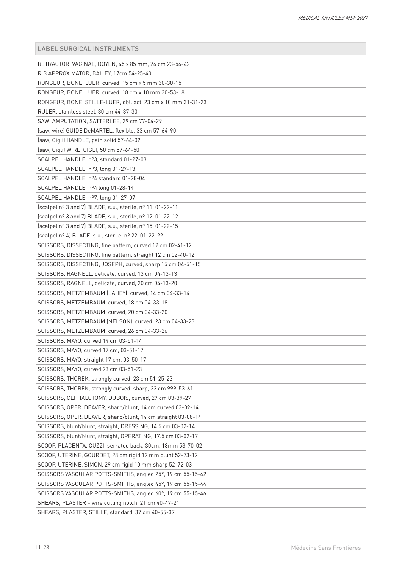| RETRACTOR, VAGINAL, DOYEN, 45 x 85 mm, 24 cm 23-54-42        |
|--------------------------------------------------------------|
| RIB APPROXIMATOR, BAILEY, 17cm 54-25-40                      |
| RONGEUR, BONE, LUER, curved, 15 cm x 5 mm 30-30-15           |
| RONGEUR, BONE, LUER, curved, 18 cm x 10 mm 30-53-18          |
| RONGEUR, BONE, STILLE-LUER, dbl. act. 23 cm x 10 mm 31-31-23 |
| RULER, stainless steel, 30 cm 44-37-30                       |
| SAW, AMPUTATION, SATTERLEE, 29 cm 77-04-29                   |
| (saw, wire) GUIDE DeMARTEL, flexible, 33 cm 57-64-90         |
| (saw, Gigli) HANDLE, pair, solid 57-64-02                    |
| (saw, Gigli) WIRE, GIGLI, 50 cm 57-64-50                     |
| SCALPEL HANDLE, nº3, standard 01-27-03                       |
| SCALPEL HANDLE, nº3, long 01-27-13                           |
| SCALPEL HANDLE, nº4 standard 01-28-04                        |
| SCALPEL HANDLE, nº4 long 01-28-14                            |
| SCALPEL HANDLE, nº7, long 01-27-07                           |
| (scalpel nº 3 and 7) BLADE, s.u., sterile, nº 11, 01-22-11   |
| (scalpel nº 3 and 7) BLADE, s.u., sterile, nº 12, 01-22-12   |
| (scalpel nº 3 and 7) BLADE, s.u., sterile, nº 15, 01-22-15   |
| (scalpel nº 4) BLADE, s.u., sterile, nº 22, 01-22-22         |
| SCISSORS, DISSECTING, fine pattern, curved 12 cm 02-41-12    |
| SCISSORS, DISSECTING, fine pattern, straight 12 cm 02-40-12  |
| SCISSORS, DISSECTING, JOSEPH, curved, sharp 15 cm 04-51-15   |
| SCISSORS, RAGNELL, delicate, curved, 13 cm 04-13-13          |
| SCISSORS, RAGNELL, delicate, curved, 20 cm 04-13-20          |
| SCISSORS, METZEMBAUM (LAHEY), curved, 14 cm 04-33-14         |
| SCISSORS, METZEMBAUM, curved, 18 cm 04-33-18                 |
| SCISSORS, METZEMBAUM, curved, 20 cm 04-33-20                 |
| SCISSORS, METZEMBAUM (NELSON), curved, 23 cm 04-33-23        |
| SCISSORS, METZEMBAUM, curved, 26 cm 04-33-26                 |
| SCISSORS, MAYO, curved 14 cm 03-51-14                        |
| SCISSORS, MAYO, curved 17 cm, 03-51-17                       |
| SCISSORS, MAYO, straight 17 cm, 03-50-17                     |
| SCISSORS, MAYO, curved 23 cm 03-51-23                        |
| SCISSORS, THOREK, strongly curved, 23 cm 51-25-23            |
| SCISSORS, THOREK, strongly curved, sharp, 23 cm 999-53-61    |
| SCISSORS, CEPHALOTOMY, DUBOIS, curved, 27 cm 03-39-27        |
| SCISSORS, OPER. DEAVER, sharp/blunt, 14 cm curved 03-09-14   |
| SCISSORS, OPER. DEAVER, sharp/blunt, 14 cm straight 03-08-14 |
| SCISSORS, blunt/blunt, straight, DRESSING, 14.5 cm 03-02-14  |
| SCISSORS, blunt/blunt, straight, OPERATING, 17.5 cm 03-02-17 |
| SCOOP, PLACENTA, CUZZI, serrated back, 30cm, 18mm 53-70-02   |
| SCOOP, UTERINE, GOURDET, 28 cm rigid 12 mm blunt 52-73-12    |
| SCOOP, UTERINE, SIMON, 29 cm rigid 10 mm sharp 52-72-03      |
| SCISSORS VASCULAR POTTS-SMITHS, angled 25°, 19 cm 55-15-42   |
| SCISSORS VASCULAR POTTS-SMITHS, angled 45°, 19 cm 55-15-44   |
| SCISSORS VASCULAR POTTS-SMITHS, angled 60°, 19 cm 55-15-46   |
| SHEARS, PLASTER + wire cutting notch, 21 cm 40-47-21         |
| SHEARS, PLASTER, STILLE, standard, 37 cm 40-55-37            |
|                                                              |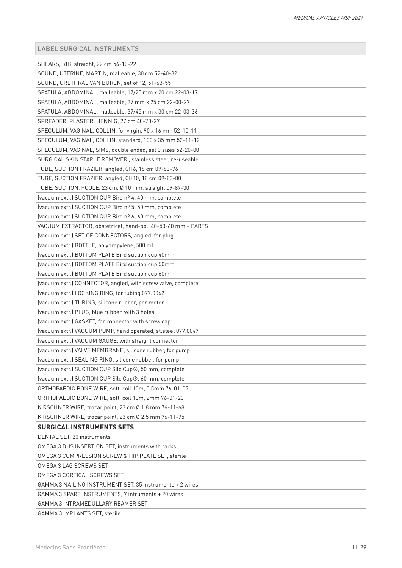| SHEARS, RIB, straight, 22 cm 54-10-22                        |
|--------------------------------------------------------------|
| SOUND, UTERINE, MARTIN, malleable, 30 cm 52-40-32            |
| SOUND, URETHRAL, VAN BUREN, set of 12, 51-63-55              |
| SPATULA, ABDOMINAL, malleable, 17/25 mm x 20 cm 22-03-17     |
| SPATULA, ABDOMINAL, malleable, 27 mm x 25 cm 22-00-27        |
| SPATULA, ABDOMINAL, malleable, 37/45 mm x 30 cm 22-03-36     |
| SPREADER, PLASTER, HENNIG, 27 cm 40-70-27                    |
| SPECULUM, VAGINAL, COLLIN, for virgin, 90 x 16 mm 52-10-11   |
| SPECULUM, VAGINAL, COLLIN, standard, 100 x 35 mm 52-11-12    |
| SPECULUM, VAGINAL, SIMS, double ended, set 3 sizes 52-20-00  |
| SURGICAL SKIN STAPLE REMOVER, stainless steel, re-useable    |
| TUBE, SUCTION FRAZIER, angled, CH6, 18 cm 09-83-76           |
| TUBE, SUCTION FRAZIER, angled, CH10, 18 cm 09-83-80          |
| TUBE, SUCTION, POOLE, 23 cm, Ø 10 mm, straight 09-87-30      |
| (vacuum extr.) SUCTION CUP Bird nº 4, 40 mm, complete        |
| (vacuum extr.) SUCTION CUP Bird nº 5, 50 mm, complete        |
| (vacuum extr.) SUCTION CUP Bird nº 6, 60 mm, complete        |
| VACUUM EXTRACTOR, obstetrical, hand-op., 40-50-60 mm + PARTS |
| (vacuum extr.) SET OF CONNECTORS, angled, for plug           |
| (vacuum extr.) BOTTLE, polypropylene, 500 ml                 |
| (vacuum extr.) BOTTOM PLATE Bird suction cup 40mm            |
| (vacuum extr.) BOTTOM PLATE Bird suction cup 50mm            |
| (vacuum extr.) BOTTOM PLATE Bird suction cup 60mm            |
| (vacuum extr.) CONNECTOR, angled, with screw valve, complete |
| (vacuum extr.) LOCKING RING, for tubing 077.0062             |
| (vacuum extr.) TUBING, silicone rubber, per meter            |
| (vacuum extr.) PLUG, blue rubber, with 3 holes               |
| (vacuum extr.) GASKET, for connector with screw cap          |
| (vacuum extr.) VACUUM PUMP, hand operated, st.steel 077.0047 |
| (vacuum extr.) VACUUM GAUGE, with straight connector         |
| (vacuum extr.) VALVE MEMBRANE, silicone rubber, for pump     |
| (vacuum extr.) SEALING RING, silicone rubber, for pump       |
| (vacuum extr.) SUCTION CUP Silc Cup®, 50 mm, complete        |
| (vacuum extr.) SUCTION CUP Silc Cup®, 60 mm, complete        |
| ORTHOPAEDIC BONE WIRE, soft, coil 10m, 0.5mm 76-01-05        |
| ORTHOPAEDIC BONE WIRE, soft, coil 10m, 2mm 76-01-20          |
| KIRSCHNER WIRE, trocar point, 23 cm Ø 1.8 mm 76-11-68        |
| KIRSCHNER WIRE, trocar point, 23 cm Ø 2.5 mm 76-11-75        |
| <b>SURGICAL INSTRUMENTS SETS</b>                             |
| DENTAL SET, 20 instruments                                   |
| OMEGA 3 DHS INSERTION SET, instruments with racks            |
| OMEGA 3 COMPRESSION SCREW & HIP PLATE SET, sterile           |
| OMEGA 3 LAG SCREWS SET                                       |
| OMEGA 3 CORTICAL SCREWS SET                                  |
| GAMMA 3 NAILING INSTRUMENT SET, 35 instruments + 2 wires     |
| GAMMA 3 SPARE INSTRUMENTS, 7 intruments + 20 wires           |
| GAMMA 3 INTRAMEDULLARY REAMER SET                            |
| GAMMA 3 IMPLANTS SET, sterile                                |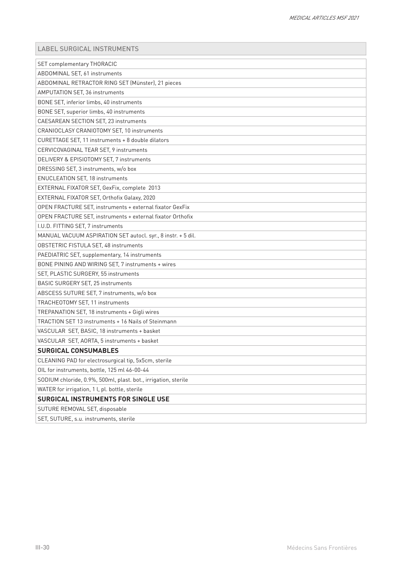| <b>SET complementary THORACIC</b>                              |
|----------------------------------------------------------------|
| ABDOMINAL SET, 61 instruments                                  |
| ABDOMINAL RETRACTOR RING SET (Münster), 21 pieces              |
| AMPUTATION SET, 36 instruments                                 |
| BONE SET, inferior limbs, 40 instruments                       |
| BONE SET, superior limbs, 40 instruments                       |
| CAESAREAN SECTION SET, 23 instruments                          |
| CRANIOCLASY CRANIOTOMY SET, 10 instruments                     |
| CURETTAGE SET, 11 instruments + 8 double dilators              |
| CERVICOVAGINAL TEAR SET, 9 instruments                         |
| DELIVERY & EPISIOTOMY SET, 7 instruments                       |
| DRESSING SET, 3 instruments, w/o box                           |
| <b>ENUCLEATION SET, 18 instruments</b>                         |
| EXTERNAL FIXATOR SET, GexFix, complete 2013                    |
| EXTERNAL FIXATOR SET, Orthofix Galaxy, 2020                    |
| OPEN FRACTURE SET, instruments + external fixator GexFix       |
| OPEN FRACTURE SET, instruments + external fixator Orthofix     |
| I.U.D. FITTING SET, 7 instruments                              |
| MANUAL VACUUM ASPIRATION SET autocl. syr., 8 instr. + 5 dil.   |
| <b>OBSTETRIC FISTULA SET, 48 instruments</b>                   |
| PAEDIATRIC SET, supplementary, 14 instruments                  |
| BONE PINING AND WIRING SET, 7 instruments + wires              |
| SET, PLASTIC SURGERY, 55 instruments                           |
| BASIC SURGERY SET, 25 instruments                              |
| ABSCESS SUTURE SET, 7 instruments, w/o box                     |
| TRACHEOTOMY SET, 11 instruments                                |
| TREPANATION SET, 18 instruments + Gigli wires                  |
| TRACTION SET 13 instruments + 16 Nails of Steinmann            |
| VASCULAR SET, BASIC, 18 instruments + basket                   |
| VASCULAR SET, AORTA, 5 instruments + basket                    |
| <b>SURGICAL CONSUMABLES</b>                                    |
| CLEANING PAD for electrosurgical tip, 5x5cm, sterile           |
| OIL for instruments, bottle, 125 ml 46-00-44                   |
| SODIUM chloride, 0.9%, 500ml, plast. bot., irrigation, sterile |
| WATER for irrigation, 1 l, pl. bottle, sterile                 |
| <b>SURGICAL INSTRUMENTS FOR SINGLE USE</b>                     |
| SUTURE REMOVAL SET, disposable                                 |
| SET, SUTURE, s.u. instruments, sterile                         |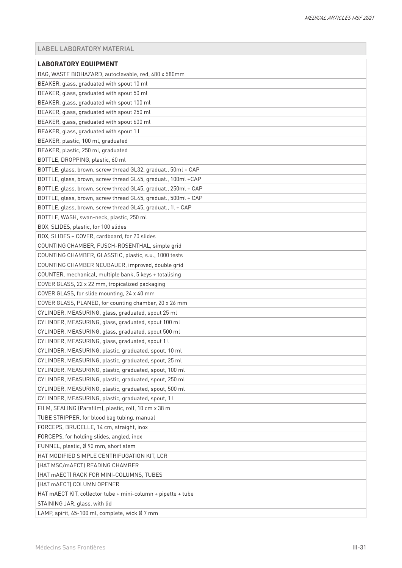<span id="page-30-0"></span>

| <b>LABORATORY EQUIPMENT</b>                                    |
|----------------------------------------------------------------|
| BAG, WASTE BIOHAZARD, autoclavable, red, 480 x 580mm           |
| BEAKER, glass, graduated with spout 10 ml                      |
| BEAKER, glass, graduated with spout 50 ml                      |
| BEAKER, glass, graduated with spout 100 ml                     |
| BEAKER, glass, graduated with spout 250 ml                     |
| BEAKER, glass, graduated with spout 600 ml                     |
| BEAKER, glass, graduated with spout 1 l                        |
| BEAKER, plastic, 100 ml, graduated                             |
| BEAKER, plastic, 250 ml, graduated                             |
| BOTTLE, DROPPING, plastic, 60 ml                               |
| BOTTLE, glass, brown, screw thread GL32, graduat., 50ml + CAP  |
| BOTTLE, glass, brown, screw thread GL45, graduat., 100ml +CAP  |
| BOTTLE, glass, brown, screw thread GL45, graduat., 250ml + CAP |
| BOTTLE, glass, brown, screw thread GL45, graduat., 500ml + CAP |
| BOTTLE, glass, brown, screw thread GL45, graduat., 1l + CAP    |
| BOTTLE, WASH, swan-neck, plastic, 250 ml                       |
| BOX, SLIDES, plastic, for 100 slides                           |
| BOX, SLIDES + COVER, cardboard, for 20 slides                  |
| COUNTING CHAMBER, FUSCH-ROSENTHAL, simple grid                 |
| COUNTING CHAMBER, GLASSTIC, plastic, s.u., 1000 tests          |
| COUNTING CHAMBER NEUBAUER, improved, double grid               |
| COUNTER, mechanical, multiple bank, 5 keys + totalising        |
| COVER GLASS, 22 x 22 mm, tropicalized packaging                |
| COVER GLASS, for slide mounting, 24 x 40 mm                    |
| COVER GLASS, PLANED, for counting chamber, 20 x 26 mm          |
| CYLINDER, MEASURING, glass, graduated, spout 25 ml             |
| CYLINDER, MEASURING, glass, graduated, spout 100 ml            |
| CYLINDER, MEASURING, glass, graduated, spout 500 ml            |
| CYLINDER, MEASURING, glass, graduated, spout 1 l               |
| CYLINDER, MEASURING, plastic, graduated, spout, 10 ml          |
| CYLINDER, MEASURING, plastic, graduated, spout, 25 ml          |
| CYLINDER, MEASURING, plastic, graduated, spout, 100 ml         |
| CYLINDER, MEASURING, plastic, graduated, spout, 250 ml         |
| CYLINDER, MEASURING, plastic, graduated, spout, 500 ml         |
| CYLINDER, MEASURING, plastic, graduated, spout, 1 l            |
| FILM, SEALING (Parafilm), plastic, roll, 10 cm x 38 m          |
| TUBE STRIPPER, for blood bag tubing, manual                    |
| FORCEPS, BRUCELLE, 14 cm, straight, inox                       |
|                                                                |
| FORCEPS, for holding slides, angled, inox                      |
| FUNNEL, plastic, Ø 90 mm, short stem                           |
| HAT MODIFIED SIMPLE CENTRIFUGATION KIT, LCR                    |
| (HAT MSC/mAECT) READING CHAMBER                                |
| (HAT mAECT) RACK FOR MINI-COLUMNS, TUBES                       |
| (HAT mAECT) COLUMN OPENER                                      |
| HAT mAECT KIT, collector tube + mini-column + pipette + tube   |
| STAINING JAR, glass, with lid                                  |
| LAMP, spirit, 65-100 ml, complete, wick Ø 7 mm                 |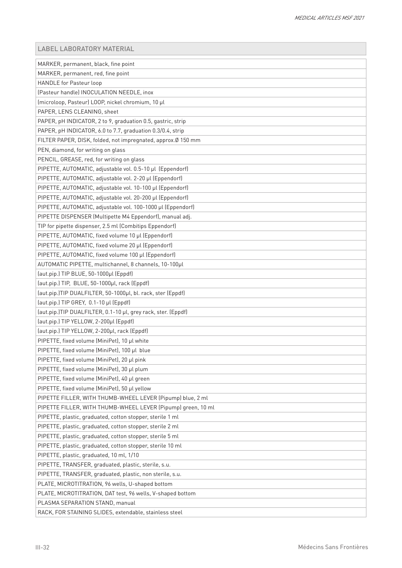| MARKER, permanent, black, fine point                          |
|---------------------------------------------------------------|
| MARKER, permanent, red, fine point                            |
| HANDLE for Pasteur loop                                       |
| (Pasteur handle) INOCULATION NEEDLE, inox                     |
| (microloop, Pasteur) LOOP, nickel chromium, 10 µl             |
| PAPER, LENS CLEANING, sheet                                   |
| PAPER, pH INDICATOR, 2 to 9, graduation 0.5, gastric, strip   |
| PAPER, pH INDICATOR, 6.0 to 7.7, graduation 0.3/0.4, strip    |
| FILTER PAPER, DISK, folded, not impregnated, approx.Ø 150 mm  |
| PEN, diamond, for writing on glass                            |
| PENCIL, GREASE, red, for writing on glass                     |
| PIPETTE, AUTOMATIC, adjustable vol. 0.5-10 µl (Eppendorf)     |
| PIPETTE, AUTOMATIC, adjustable vol. 2-20 µl (Eppendorf)       |
| PIPETTE, AUTOMATIC, adjustable vol. 10-100 µl (Eppendorf)     |
| PIPETTE, AUTOMATIC, adjustable vol. 20-200 µl (Eppendorf)     |
| PIPETTE, AUTOMATIC, adjustable vol. 100-1000 µl (Eppendorf)   |
| PIPETTE DISPENSER (Multipette M4 Eppendorf), manual adj.      |
| TIP for pipette dispenser, 2.5 ml (Combitips Eppendorf)       |
| PIPETTE, AUTOMATIC, fixed volume 10 µl (Eppendorf)            |
| PIPETTE, AUTOMATIC, fixed volume 20 µl (Eppendorf)            |
| PIPETTE, AUTOMATIC, fixed volume 100 µl (Eppendorf)           |
| AUTOMATIC PIPETTE, multichannel, 8 channels, 10-100µl         |
| (aut.pip.) TIP BLUE, 50-1000µl (Eppdf)                        |
| (aut.pip.) TIP, BLUE, 50-1000µl, rack (Eppdf)                 |
| (aut.pip.)TIP DUALFILTER, 50-1000µl, bl. rack, ster (Eppdf)   |
| (aut.pip.) TIP GREY, 0.1-10 µl (Eppdf)                        |
| (aut.pip.)TIP DUALFILTER, 0.1-10 µl, grey rack, ster. (Eppdf) |
| (aut.pip.) TIP YELLOW, 2-200µl (Eppdf)                        |
| (aut.pip.) TIP YELLOW, 2-200µl, rack (Eppdf)                  |
| PIPETTE, fixed volume (MiniPet), 10 µl white                  |
| PIPETTE, fixed volume (MiniPet), 100 µl blue                  |
| PIPETTE, fixed volume (MiniPet), 20 µl pink                   |
| PIPETTE, fixed volume (MiniPet), 30 µl plum                   |
| PIPETTE, fixed volume (MiniPet), 40 µl green                  |
| PIPETTE, fixed volume (MiniPet), 50 µl yellow                 |
| PIPETTE FILLER, WITH THUMB-WHEEL LEVER (Pipump) blue, 2 ml    |
| PIPETTE FILLER, WITH THUMB-WHEEL LEVER (Pipump) green, 10 ml  |
| PIPETTE, plastic, graduated, cotton stopper, sterile 1 ml     |
| PIPETTE, plastic, graduated, cotton stopper, sterile 2 ml     |
| PIPETTE, plastic, graduated, cotton stopper, sterile 5 ml     |
| PIPETTE, plastic, graduated, cotton stopper, sterile 10 ml    |
| PIPETTE, plastic, graduated, 10 ml, 1/10                      |
| PIPETTE, TRANSFER, graduated, plastic, sterile, s.u.          |
| PIPETTE, TRANSFER, graduated, plastic, non sterile, s.u.      |
| PLATE, MICROTITRATION, 96 wells, U-shaped bottom              |
| PLATE, MICROTITRATION, DAT test, 96 wells, V-shaped bottom    |
| PLASMA SEPARATION STAND, manual                               |
| RACK, FOR STAINING SLIDES, extendable, stainless steel        |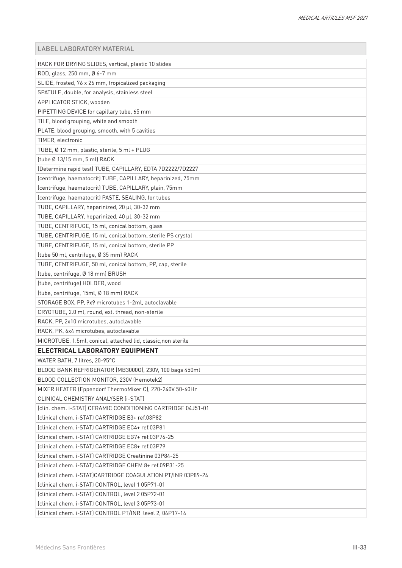| RACK FOR DRYING SLIDES, vertical, plastic 10 slides           |
|---------------------------------------------------------------|
| ROD, glass, 250 mm, Ø 6-7 mm                                  |
| SLIDE, frosted, 76 x 26 mm, tropicalized packaging            |
| SPATULE, double, for analysis, stainless steel                |
| APPLICATOR STICK, wooden                                      |
| PIPETTING DEVICE for capillary tube, 65 mm                    |
| TILE, blood grouping, white and smooth                        |
| PLATE, blood grouping, smooth, with 5 cavities                |
| TIMER, electronic                                             |
| TUBE, Ø 12 mm, plastic, sterile, 5 ml + PLUG                  |
| (tube Ø 13/15 mm, 5 ml) RACK                                  |
| (Determine rapid test) TUBE, CAPILLARY, EDTA 7D2222/7D2227    |
| (centrifuge, haematocrit) TUBE, CAPILLARY, heparinized, 75mm  |
| (centrifuge, haematocrit) TUBE, CAPILLARY, plain, 75mm        |
| (centrifuge, haematocrit) PASTE, SEALING, for tubes           |
| TUBE, CAPILLARY, heparinized, 20 µl, 30-32 mm                 |
| TUBE, CAPILLARY, heparinized, 40 µl, 30-32 mm                 |
| TUBE, CENTRIFUGE, 15 ml, conical bottom, glass                |
| TUBE, CENTRIFUGE, 15 ml, conical bottom, sterile PS crystal   |
| TUBE, CENTRIFUGE, 15 ml, conical bottom, sterile PP           |
| (tube 50 ml, centrifuge, Ø 35 mm) RACK                        |
| TUBE, CENTRIFUGE, 50 ml, conical bottom, PP, cap, sterile     |
| (tube, centrifuge, Ø 18 mm) BRUSH                             |
| (tube, centrifuge) HOLDER, wood                               |
| (tube, centrifuge, 15ml, Ø 18 mm) RACK                        |
| STORAGE BOX, PP, 9x9 microtubes 1-2ml, autoclavable           |
| CRYOTUBE, 2.0 ml, round, ext. thread, non-sterile             |
| RACK, PP, 2x10 microtubes, autoclavable                       |
| RACK, PK, 6x4 microtubes, autoclavable                        |
| MICROTUBE, 1.5ml, conical, attached lid, classic, non sterile |
| ELECTRICAL LABORATORY EQUIPMENT                               |
| WATER BATH, 7 litres, 20-95°C                                 |
| BLOOD BANK REFRIGERATOR (MB3000G), 230V, 100 bags 450ml       |
| BLOOD COLLECTION MONITOR, 230V (Hemotek2)                     |
| MIXER HEATER (Eppendorf ThermoMixer C), 220-240V 50-60Hz      |
| CLINICAL CHEMISTRY ANALYSER (i-STAT)                          |
|                                                               |
| (clinical chem. i-STAT) CARTRIDGE E3+ ref.03P82               |
| (clinical chem. i-STAT) CARTRIDGE EC4+ ref.03P81              |
| (clinical chem. i-STAT) CARTRIDGE EG7+ ref.03P76-25           |
| (clinical chem. i-STAT) CARTRIDGE EC8+ ref.03P79              |
| (clinical chem. i-STAT) CARTRIDGE Creatinine 03P84-25         |
| (clinical chem. i-STAT) CARTRIDGE CHEM 8+ ref.09P31-25        |
| (clinical chem. i-STAT)CARTRIDGE COAGULATION PT/INR 03P89-24  |
| (clinical chem. i-STAT) CONTROL, level 1 05P71-01             |
| (clinical chem. i-STAT) CONTROL, level 2 05P72-01             |
| (clinical chem. i-STAT) CONTROL, level 3 05P73-01             |
| (clinical chem. i-STAT) CONTROL PT/INR level 2, 06P17-14      |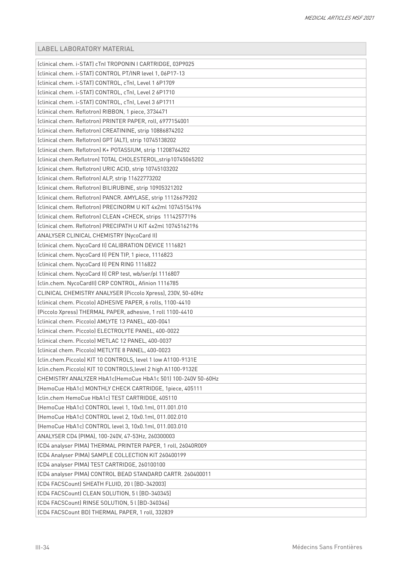| (clinical chem. i-STAT) cTnl TROPONIN   CARTRIDGE, 03P9025    |
|---------------------------------------------------------------|
| (clinical chem. i-STAT) CONTROL PT/INR level 1, 06P17-13      |
| (clinical chem. i-STAT) CONTROL, cTnl, Level 1 6P1709         |
| (clinical chem. i-STAT) CONTROL, cTnl, Level 2 6P1710         |
| (clinical chem. i-STAT) CONTROL, cTnI, Level 3 6P1711         |
| (clinical chem. Reflotron) RIBBON, 1 piece, 3734471           |
| (clinical chem. Reflotron) PRINTER PAPER, roll, 6977154001    |
| (clinical chem. Reflotron) CREATININE, strip 10886874202      |
| (clinical chem. Reflotron) GPT (ALT), strip 10745138202       |
| (clinical chem. Reflotron) K+ POTASSIUM, strip 11208764202    |
| (clinical chem.Reflotron) TOTAL CHOLESTEROL, strip10745065202 |
| (clinical chem. Reflotron) URIC ACID, strip 10745103202       |
| (clinical chem. Reflotron) ALP, strip 11622773202             |
| (clinical chem. Reflotron) BILIRUBINE, strip 10905321202      |
| (clinical chem. Reflotron) PANCR. AMYLASE, strip 11126679202  |
| (clinical chem. Reflotron) PRECINORM U KIT 4x2ml 10745154196  |
| (clinical chem. Reflotron) CLEAN +CHECK, strips 11142577196   |
| (clinical chem. Reflotron) PRECIPATH U KIT 4x2ml 10745162196  |
| ANALYSER CLINICAL CHEMISTRY (NycoCard II)                     |
| (clinical chem. NycoCard II) CALIBRATION DEVICE 1116821       |
| (clinical chem. NycoCard II) PEN TIP, 1 piece, 1116823        |
| (clinical chem. NycoCard II) PEN RING 1116822                 |
| (clinical chem. NycoCard II) CRP test, wb/ser/pl 1116807      |
| (clin.chem. NycoCardII) CRP CONTROL, Afinion 1116785          |
| CLINICAL CHEMISTRY ANALYSER (Piccolo Xpress), 230V, 50-60Hz   |
| (clinical chem. Piccolo) ADHESIVE PAPER, 6 rolls, 1100-4410   |
| (Piccolo Xpress) THERMAL PAPER, adhesive, 1 roll 1100-4410    |
| (clinical chem. Piccolo) AMLYTE 13 PANEL, 400-0041            |
| (clinical chem. Piccolo) ELECTROLYTE PANEL, 400-0022          |
| (clinical chem. Piccolo) METLAC 12 PANEL, 400-0037            |
| Iclinical chem. Piccolol METLYTE 8 PANEL, 400-0023            |
| (clin.chem.Piccolo) KIT 10 CONTROLS, level 1 low A1100-9131E  |
| (clin.chem.Piccolo) KIT 10 CONTROLS, level 2 high A1100-9132E |
| CHEMISTRY ANALYZER HbA1c(HemoCue HbA1c 501) 100-240V 50-60Hz  |
| (HemoCue HbA1c) MONTHLY CHECK CARTRIDGE, 1piece, 405111       |
| (clin.chem HemoCue HbA1c) TEST CARTRIDGE, 405110              |
| (HemoCue HbA1c) CONTROL level 1, 10x0.1ml, 011.001.010        |
| (HemoCue HbA1c) CONTROL level 2, 10x0.1ml, 011.002.010        |
| (HemoCue HbA1c) CONTROL level 3, 10x0.1ml, 011.003.010        |
| ANALYSER CD4 (PIMA), 100-240V, 47-53Hz, 260300003             |
| (CD4 analyser PIMA) THERMAL PRINTER PAPER, 1 roll, 26040R009  |
| (CD4 Analyser PIMA) SAMPLE COLLECTION KIT 260400199           |
| (CD4 analyser PIMA) TEST CARTRIDGE, 260100100                 |
| (CD4 analyser PIMA) CONTROL BEAD STANDARD CARTR. 260400011    |
| [CD4 FACSCount] SHEATH FLUID, 20 I [BD-342003]                |
| [CD4 FACSCount] CLEAN SOLUTION, 5 I [BD-340345]               |
| [CD4 FACSCount] RINSE SOLUTION, 5 I [BD-340346]               |
| (CD4 FACSCount BD) THERMAL PAPER, 1 roll, 332839              |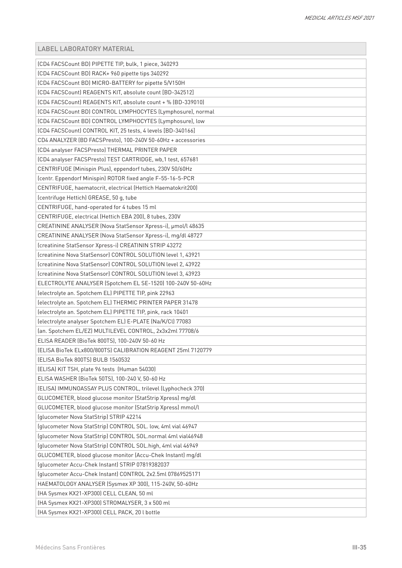| (CD4 FACSCount BD) PIPETTE TIP, bulk, 1 piece, 340293        |
|--------------------------------------------------------------|
| (CD4 FACSCount BD) RACK+ 960 pipette tips 340292             |
| (CD4 FACSCount BD) MICRO-BATTERY for pipette 5/V150H         |
| (CD4 FACSCount) REAGENTS KIT, absolute count [BD-342512]     |
| (CD4 FACSCount) REAGENTS KIT, absolute count + % (BD-339010) |
| (CD4 FACSCount BD) CONTROL LYMPHOCYTES (Lymphosure), normal  |
| (CD4 FACSCount BD) CONTROL LYMPHOCYTES (Lymphosure), low     |
| [CD4 FACSCount] CONTROL KIT, 25 tests, 4 levels [BD-340166]  |
| CD4 ANALYZER (BD FACSPresto), 100-240V 50-60Hz + accessories |
| (CD4 analyser FACSPresto) THERMAL PRINTER PAPER              |
| (CD4 analyser FACSPresto) TEST CARTRIDGE, wb, 1 test, 657681 |
| CENTRIFUGE (Minispin Plus), eppendorf tubes, 230V 50/60Hz    |
| (centr. Eppendorf Minispin) ROTOR fixed angle F-55-16-5-PCR  |
| CENTRIFUGE, haematocrit, electrical (Hettich Haematokrit200) |
| (centrifuge Hettich) GREASE, 50 g, tube                      |
| CENTRIFUGE, hand-operated for 4 tubes 15 ml                  |
| CENTRIFUGE, electrical (Hettich EBA 200), 8 tubes, 230V      |
| CREATININE ANALYSER (Nova StatSensor Xpress-i), µmol/l 48635 |
| CREATININE ANALYSER (Nova StatSensor Xpress-i), mg/dl 48727  |
| (creatinine StatSensor Xpress-i) CREATININ STRIP 43272       |
| (creatinine Nova StatSensor) CONTROL SOLUTION level 1, 43921 |
| (creatinine Nova StatSensor) CONTROL SOLUTION level 2, 43922 |
| (creatinine Nova StatSensor) CONTROL SOLUTION level 3, 43923 |
| ELECTROLYTE ANALYSER (Spotchem EL SE-1520) 100-240V 50-60Hz  |
| (electrolyte an. Spotchem EL) PIPETTE TIP, pink 22963        |
| (electrolyte an. Spotchem EL) THERMIC PRINTER PAPER 31478    |
| (electrolyte an. Spotchem EL) PIPETTE TIP, pink, rack 10401  |
| (electrolyte analyser Spotchem EL) E-PLATE (Na/K/Cl) 77083   |
| (an. Spotchem EL/EZ) MULTILEVEL CONTROL, 2x3x2ml 77708/6     |
| ELISA READER (BioTek 800TS), 100-240V 50-60 Hz               |
| (ELISA BioTek ELx800/800TS) CALIBRATION REAGENT 25ml 7120779 |
| (ELISA BioTek 800TS) BULB 1560532                            |
| (ELISA) KIT TSH, plate 96 tests (Human 54030)                |
| ELISA WASHER (BioTek 50TS), 100-240 V, 50-60 Hz              |
| (ELISA) IMMUNOASSAY PLUS CONTROL, trilevel (Lyphocheck 370)  |
| GLUCOMETER, blood glucose monitor (StatStrip Xpress) mg/dl   |
| GLUCOMETER, blood glucose monitor (StatStrip Xpress) mmol/l  |
| (glucometer Nova StatStrip) STRIP 42214                      |
| (glucometer Nova StatStrip) CONTROL SOL. low, 4ml vial 46947 |
| (glucometer Nova StatStrip) CONTROL SOL.normal 4ml vial46948 |
| (glucometer Nova StatStrip) CONTROL SOL.high, 4ml vial 46949 |
| GLUCOMETER, blood glucose monitor (Accu-Chek Instant) mg/dl  |
| (glucometer Accu-Chek Instant) STRIP 07819382037             |
| (glucometer Accu-Chek Instant) CONTROL 2x2.5ml 07869525171   |
| HAEMATOLOGY ANALYSER (Sysmex XP 300), 115-240V, 50-60Hz      |
| (HA Sysmex KX21-XP300) CELL CLEAN, 50 ml                     |
| (HA Sysmex KX21-XP300) STROMALYSER, 3 x 500 ml               |
| (HA Sysmex KX21-XP300) CELL PACK, 20 l bottle                |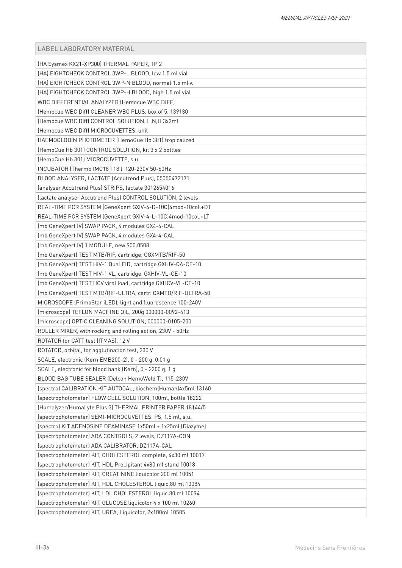| (HA Sysmex KX21-XP300) THERMAL PAPER, TP 2                   |
|--------------------------------------------------------------|
| (HA) EIGHTCHECK CONTROL 3WP-L BLOOD, low 1.5 ml vial         |
| (HA) EIGHTCHECK CONTROL 3WP-N BLOOD, normal 1.5 ml v.        |
| (HA) EIGHTCHECK CONTROL 3WP-H BLOOD, high 1.5 ml vial        |
| WBC DIFFERENTIAL ANALYZER (Hemocue WBC DIFF)                 |
| (Hemocue WBC Diff) CLEANER WBC PLUS, box of 5, 139130        |
| (Hemocue WBC Diff) CONTROL SOLUTION, L,N,H 3x2ml             |
| (Hemocue WBC Diff) MICROCUVETTES, unit                       |
| HAEMOGLOBIN PHOTOMETER (HemoCue Hb 301) tropicalized         |
| (HemoCue Hb 301) CONTROL SOLUTION, kit 3 x 2 bottles         |
| (HemoCue Hb 301) MICROCUVETTE, s.u.                          |
| INCUBATOR (Thermo IMC18) 18 l, 120-230V 50-60Hz              |
| BLOOD ANALYSER, LACTATE (Accutrend Plus), 05050472171        |
| (analyser Accutrend Plus) STRIPS, lactate 3012654016         |
| (lactate analyser Accutrend Plus) CONTROL SOLUTION, 2 levels |
| REAL-TIME PCR SYSTEM (GeneXpert GXIV-4-D-10C)4mod-10col.+DT  |
| REAL-TIME PCR SYSTEM (GeneXpert GXIV-4-L-10C)4mod-10col.+LT  |
| (mb GeneXpert IV) SWAP PACK, 4 modules GX4-4-CAL             |
| (mb GeneXpert IV) SWAP PACK, 4 modules GX4-4-CAL             |
| (mb GeneXpert IV) 1 MODULE, new 900.0508                     |
| (mb GeneXpert) TEST MTB/RIF, cartridge, CGXMTB/RIF-50        |
| (mb GeneXpert) TEST HIV-1 Qual EID, cartridge GXHIV-QA-CE-10 |
| (mb GeneXpert) TEST HIV-1 VL, cartridge, GXHIV-VL-CE-10      |
| (mb GeneXpert) TEST HCV viral load, cartridge GXHCV-VL-CE-10 |
| (mb GeneXpert) TEST MTB/RIF-ULTRA, cartr. GXMTB/RIF-ULTRA-50 |
| MICROSCOPE (PrimoStar iLED), light and fluorescence 100-240V |
| (microscope) TEFLON MACHINE OIL, 200g 000000-0092-413        |
| (microscope) OPTIC CLEANING SOLUTION, 000000-0105-200        |
| ROLLER MIXER, with rocking and rolling action, 230V - 50Hz   |
| ROTATOR for CATT test (ITMAS), 12 V                          |
| ROTATOR, orbital, for agglutination test, 230 V              |
| SCALE, electronic (Kern EMB200-2), 0 - 200 g, 0.01 g         |
| SCALE, electronic for blood bank (Kern), 0 - 2200 g, 1 g     |
| BLOOD BAG TUBE SEALER (Delcon HemoWeld T), 115-230V          |
| (spectro) CALIBRATION KIT AUTOCAL, biochem(Human)4x5ml 13160 |
| (spectrophotometer) FLOW CELL SOLUTION, 100ml, bottle 18222  |
| (Humalyzer/HumaLyte Plus 3) THERMAL PRINTER PAPER 18144/5    |
| (spectrophotometer) SEMI-MICROCUVETTES, PS, 1.5 ml, s.u.     |
| (spectro) KIT ADENOSINE DEAMINASE 1x50ml + 1x25ml (Diazyme)  |
| (spectrophotometer) ADA CONTROLS, 2 levels, DZ117A-CON       |
| (spectrophotometer) ADA CALIBRATOR, DZ117A-CAL               |
| (spectrophotometer) KIT, CHOLESTEROL complete, 4x30 ml 10017 |
| (spectrophotometer) KIT, HDL Precipitant 4x80 ml stand 10018 |
| (spectrophotometer) KIT, CREATININE liquicolor 200 ml 10051  |
| (spectrophotometer) KIT, HDL CHOLESTEROL liquic.80 ml 10084  |
| (spectrophotometer) KIT, LDL CHOLESTEROL liquic.80 ml 10094  |
| (spectrophotometer) KIT, GLUCOSE liquicolor 4 x 100 ml 10260 |
| (spectrophotometer) KIT, UREA, Liquicolor, 2x100ml 10505     |
|                                                              |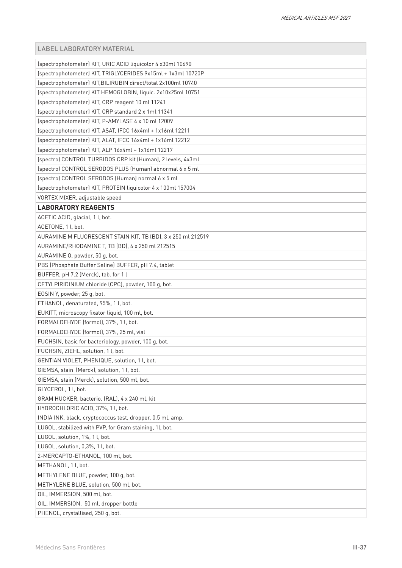| (spectrophotometer) KIT, URIC ACID liquicolor 4 x30ml 10690   |
|---------------------------------------------------------------|
| (spectrophotometer) KIT, TRIGLYCERIDES 9x15ml + 1x3ml 10720P  |
| (spectrophotometer) KIT, BILIRUBIN direct/total 2x100ml 10740 |
| (spectrophotometer) KIT HEMOGLOBIN, liquic. 2x10x25ml 10751   |
| (spectrophotometer) KIT, CRP reagent 10 ml 11241              |
| (spectrophotometer) KIT, CRP standard 2 x 1ml 11341           |
| (spectrophotometer) KIT, P-AMYLASE 4 x 10 ml 12009            |
| (spectrophotometer) KIT, ASAT, IFCC 16x4ml + 1x16ml 12211     |
| (spectrophotometer) KIT, ALAT, IFCC 16x4ml + 1x16ml 12212     |
| (spectrophotometer) KIT, ALP 16x4ml + 1x16ml 12217            |
| (spectro) CONTROL TURBIDOS CRP kit (Human), 2 levels, 4x3ml   |
| (spectro) CONTROL SERODOS PLUS (Human) abnormal 6 x 5 ml      |
| (spectro) CONTROL SERODOS (Human) normal 6 x 5 ml             |
| (spectrophotometer) KIT, PROTEIN liquicolor 4 x 100ml 157004  |
| VORTEX MIXER, adjustable speed                                |
| <b>LABORATORY REAGENTS</b>                                    |
| ACETIC ACID, glacial, 1 l, bot.                               |
| ACETONE, 1 l, bot.                                            |
| AURAMINE M FLUORESCENT STAIN KIT, TB (BD), 3 x 250 ml 212519  |
| AURAMINE/RHODAMINE T, TB (BD), 4 x 250 ml 212515              |
| AURAMINE O, powder, 50 g, bot.                                |
| PBS (Phosphate Buffer Saline) BUFFER, pH 7.4, tablet          |
| BUFFER, pH 7.2 (Merck), tab. for 1 l                          |
| CETYLPIRIDINIUM chloride (CPC), powder, 100 g, bot.           |
| EOSIN Y, powder, 25 g, bot.                                   |
| ETHANOL, denaturated, 95%, 1l, bot.                           |
| EUKITT, microscopy fixator liquid, 100 ml, bot.               |
| FORMALDEHYDE (formol), 37%, 1 l, bot.                         |
| FORMALDEHYDE (formol), 37%, 25 ml, vial                       |
| FUCHSIN, basic for bacteriology, powder, 100 g, bot.          |
| FUCHSIN, ZIEHL, solution, 1 l, bot.                           |
| GENTIAN VIOLET, PHENIQUE, solution, 1 l, bot.                 |
| GIEMSA, stain (Merck), solution, 1l, bot.                     |
| GIEMSA, stain (Merck), solution, 500 ml, bot.                 |
| GLYCEROL, 1 l, bot.                                           |
| GRAM HUCKER, bacterio. (RAL), 4 x 240 ml, kit                 |
| HYDROCHLORIC ACID, 37%, 1 l, bot.                             |
| INDIA INK, black, cryptococcus test, dropper, 0.5 ml, amp.    |
| LUGOL, stabilized with PVP, for Gram staining, 1l, bot.       |
| LUGOL, solution, 1%, 1 l, bot.                                |
| LUGOL, solution, 0,3%, 1 l, bot.                              |
| 2-MERCAPTO-ETHANOL, 100 ml, bot.                              |
| METHANOL, 1 l, bot.                                           |
| METHYLENE BLUE, powder, 100 g, bot.                           |
| METHYLENE BLUE, solution, 500 ml, bot.                        |
| OIL, IMMERSION, 500 ml, bot.                                  |
| OIL, IMMERSION, 50 ml, dropper bottle                         |
| PHENOL, crystallised, 250 g, bot.                             |
|                                                               |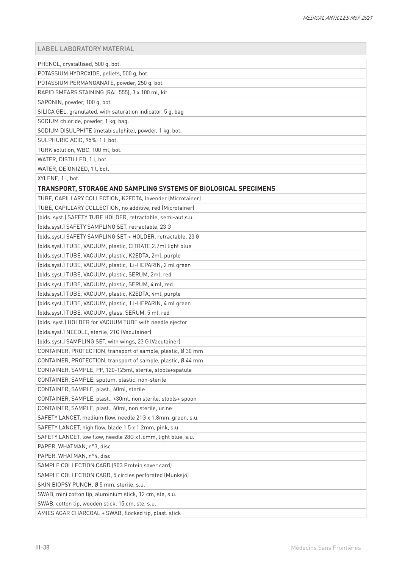| PHENOL, crystallised, 500 g, bot.                               |
|-----------------------------------------------------------------|
| POTASSIUM HYDROXIDE, pellets, 500 g, bot.                       |
| POTASSIUM PERMANGANATE, powder, 250 g, bot.                     |
| RAPID SMEARS STAINING (RAL 555), 3 x 100 ml, kit                |
| SAPONIN, powder, 100 q, bot.                                    |
| SILICA GEL, granulated, with saturation indicator, 5 g, bag     |
| SODIUM chloride, powder, 1 kg, bag.                             |
| SODIUM DISULPHITE (metabisulphite), powder, 1 kg, bot.          |
| SULPHURIC ACID, 95%, 1 l, bot.                                  |
| TURK solution, WBC, 100 ml, bot.                                |
| WATER, DISTILLED, 1 l, bot.                                     |
| WATER, DEIONIZED, 1 l, bot.                                     |
| XYLENE, 1 l, bot.                                               |
| TRANSPORT, STORAGE AND SAMPLING SYSTEMS OF BIOLOGICAL SPECIMENS |
| TUBE, CAPILLARY COLLECTION, K2EDTA, lavender (Microtainer)      |
| TUBE, CAPILLARY COLLECTION, no additive, red (Microtainer)      |
| (blds. syst.) SAFETY TUBE HOLDER, retractable, semi-aut, s.u.   |
| (blds.syst.) SAFETY SAMPLING SET, retractable, 23 G             |
| (blds.syst.) SAFETY SAMPLING SET + HOLDER, retractable, 23 G    |
| (blds.syst.) TUBE, VACUUM, plastic, CITRATE, 2.7ml light blue   |
| (blds.syst.) TUBE, VACUUM, plastic, K2EDTA, 2ml, purple         |
| (blds.syst.) TUBE, VACUUM, plastic, Li-HEPARIN, 2 ml green      |
| (blds.syst.) TUBE, VACUUM, plastic, SERUM, 2ml, red             |
| (blds.syst.) TUBE, VACUUM, plastic, SERUM, 4 ml, red            |
| (blds.syst.) TUBE, VACUUM, plastic, K2EDTA, 4ml, purple         |
| (blds.syst.) TUBE, VACUUM, plastic, Li-HEPARIN, 4 ml green      |
| (blds.syst.) TUBE, VACUUM, glass, SERUM, 5 ml, red              |
| (blds. syst.) HOLDER for VACUUM TUBE with needle ejector        |
| (blds.syst.) NEEDLE, sterile, 21G (Vacutainer)                  |
| (blds.syst.) SAMPLING SET, with wings, 23 G (Vacutainer)        |
| CONTAINER, PROTECTION, transport of sample, plastic, Ø 30 mm    |
| CONTAINER, PROTECTION, transport of sample, plastic, Ø 44 mm    |
| CONTAINER, SAMPLE, PP, 120-125ml, sterile, stools+spatula       |
| CONTAINER, SAMPLE, sputum, plastic, non-sterile                 |
| CONTAINER, SAMPLE, plast., 60ml, sterile                        |
| CONTAINER, SAMPLE, plast., >30ml, non sterile, stools+ spoon    |
| CONTAINER, SAMPLE, plast., 60ml, non sterile, urine             |
| SAFETY LANCET, medium flow, needle 21G x 1.8mm, green, s.u.     |
| SAFETY LANCET, high flow, blade 1.5 x 1.2mm, pink, s.u.         |
| SAFETY LANCET, low flow, needle 28G x1.6mm, light blue, s.u.    |
| PAPER, WHATMAN, n°3, disc                                       |
| PAPER, WHATMAN, n°4, disc                                       |
| SAMPLE COLLECTION CARD (903 Protein saver card)                 |
| SAMPLE COLLECTION CARD, 5 circles perforated (Munksjö)          |
| SKIN BIOPSY PUNCH, Ø 5 mm, sterile, s.u.                        |
| SWAB, mini cotton tip, aluminium stick, 12 cm, ste, s.u.        |
| SWAB, cotton tip, wooden stick, 15 cm, ste, s.u.                |
| AMIES AGAR CHARCOAL + SWAB, flocked tip, plast. stick           |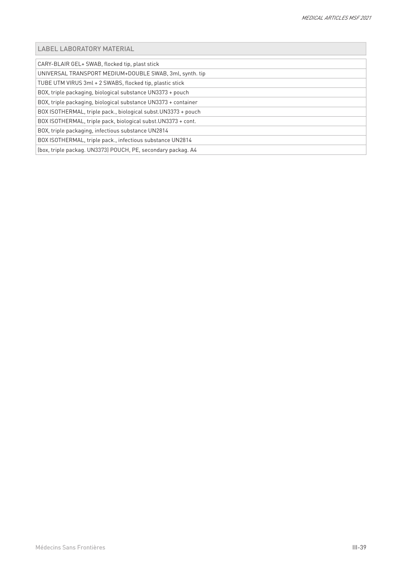CARY-BLAIR GEL+ SWAB, flocked tip, plast stick

UNIVERSAL TRANSPORT MEDIUM+DOUBLE SWAB, 3ml, synth. tip

TUBE UTM VIRUS 3ml + 2 SWABS, flocked tip, plastic stick

BOX, triple packaging, biological substance UN3373 + pouch

BOX, triple packaging, biological substance UN3373 + container

BOX ISOTHERMAL, triple pack., biological subst.UN3373 + pouch

BOX ISOTHERMAL, triple pack, biological subst.UN3373 + cont.

BOX, triple packaging, infectious substance UN2814

BOX ISOTHERMAL, triple pack., infectious substance UN2814 (box, triple packag. UN3373) POUCH, PE, secondary packag. A4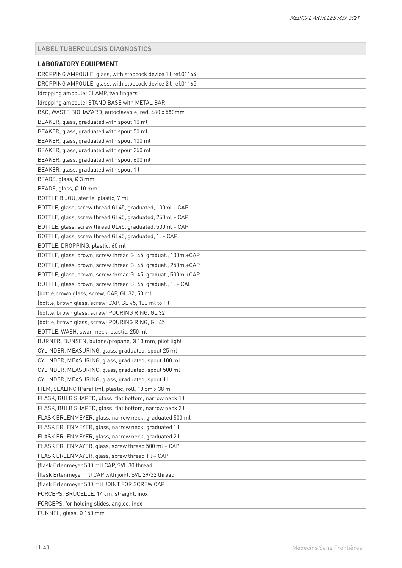# <span id="page-39-0"></span>LABEL TUBERCULOSIS DIAGNOSTICS

| <b>LABORATORY EQUIPMENT</b>                                  |
|--------------------------------------------------------------|
| DROPPING AMPOULE, glass, with stopcock device 1 l ref.01164  |
| DROPPING AMPOULE, glass, with stopcock device 2 l ref.01165  |
| (dropping ampoule) CLAMP, two fingers                        |
| (dropping ampoule) STAND BASE with METAL BAR                 |
| BAG, WASTE BIOHAZARD, autoclavable, red, 480 x 580mm         |
| BEAKER, glass, graduated with spout 10 ml                    |
| BEAKER, glass, graduated with spout 50 ml                    |
| BEAKER, glass, graduated with spout 100 ml                   |
| BEAKER, glass, graduated with spout 250 ml                   |
| BEAKER, glass, graduated with spout 600 ml                   |
| BEAKER, glass, graduated with spout 1 l                      |
| BEADS, glass, Ø 3 mm                                         |
| BEADS, glass, Ø 10 mm                                        |
| BOTTLE BIJOU, sterile, plastic, 7 ml                         |
| BOTTLE, glass, screw thread GL45, graduated, 100ml + CAP     |
| BOTTLE, glass, screw thread GL45, graduated, 250ml + CAP     |
| BOTTLE, glass, screw thread GL45, graduated, 500ml + CAP     |
| BOTTLE, glass, screw thread GL45, graduated, 1l + CAP        |
| BOTTLE, DROPPING, plastic, 60 ml                             |
| BOTTLE, glass, brown, screw thread GL45, graduat., 100ml+CAP |
| BOTTLE, glass, brown, screw thread GL45, graduat., 250ml+CAP |
| BOTTLE, glass, brown, screw thread GL45, graduat., 500ml+CAP |
| BOTTLE, glass, brown, screw thread GL45, graduat., 1l + CAP  |
| (bottle, brown glass, screw) CAP, GL 32, 50 ml               |
| (bottle, brown glass, screw) CAP, GL 45, 100 ml to 1 l       |
| (bottle, brown glass, screw) POURING RING, GL 32             |
| (bottle, brown glass, screw) POURING RING, GL 45             |
| BOTTLE, WASH, swan-neck, plastic, 250 ml                     |
| BURNER, BUNSEN, butane/propane, Ø 13 mm, pilot light         |
| CYLINDER, MEASURING, glass, graduated, spout 25 ml           |
| CYLINDER, MEASURING, glass, graduated, spout 100 ml          |
| CYLINDER, MEASURING, glass, graduated, spout 500 ml          |
| CYLINDER, MEASURING, glass, graduated, spout 1 l             |
| FILM, SEALING (Parafilm), plastic, roll, 10 cm x 38 m        |
| FLASK, BULB SHAPED, glass, flat bottom, narrow neck 1 l      |
| FLASK, BULB SHAPED, glass, flat bottom, narrow neck 2 l      |
| FLASK ERLENMEYER, glass, narrow neck, graduated 500 ml       |
| FLASK ERLENMEYER, glass, narrow neck, graduated 1 l          |
| FLASK ERLENMEYER, glass, narrow neck, graduated 2 l          |
| FLASK ERLENMAYER, glass, screw thread 500 ml + CAP           |
| FLASK ERLENMAYER, glass, screw thread 1 l + CAP              |
| (flask Erlenmeyer 500 ml) CAP, SVL 30 thread                 |
| (flask Erlenmeyer 1 l) CAP with joint, SVL 29/32 thread      |
| (flask Erlenmeyer 500 ml) JOINT FOR SCREW CAP                |
| FORCEPS, BRUCELLE, 14 cm, straight, inox                     |
| FORCEPS, for holding slides, angled, inox                    |
| FUNNEL, glass, Ø 150 mm                                      |
|                                                              |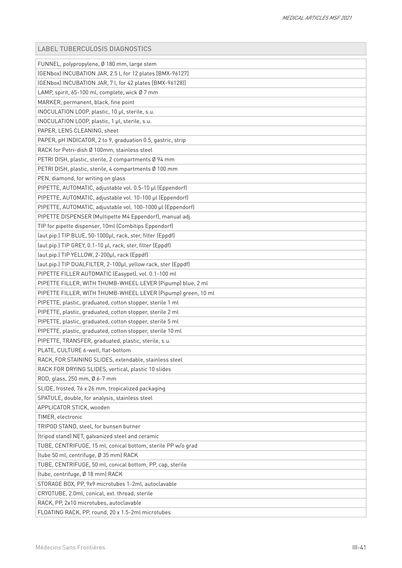|  |  |  |  | LABEL TUBERCULOSIS DIAGNOSTICS |
|--|--|--|--|--------------------------------|
|--|--|--|--|--------------------------------|

| FUNNEL, polypropylene, Ø 180 mm, large stem                   |
|---------------------------------------------------------------|
| (GENbox) INCUBATION JAR, 2.5 l, for 12 plates [BMX-96127]     |
| (GENbox) INCUBATION JAR, 7 l, for 42 plates [BMX-96128]]      |
| LAMP, spirit, 65-100 ml, complete, wick Ø 7 mm                |
| MARKER, permanent, black, fine point                          |
| INOCULATION LOOP, plastic, 10 µl, sterile, s.u.               |
| INOCULATION LOOP, plastic, 1 µl, sterile, s.u.                |
| PAPER, LENS CLEANING, sheet                                   |
| PAPER, pH INDICATOR, 2 to 9, graduation 0.5, gastric, strip   |
| RACK for Petri-dish Ø 100mm, stainless steel                  |
| PETRI DISH, plastic, sterile, 2 compartments Ø 94 mm          |
| PETRI DISH, plastic, sterile, 4 compartments Ø 100 mm         |
| PEN, diamond, for writing on glass                            |
| PIPETTE, AUTOMATIC, adjustable vol. 0.5-10 µl (Eppendorf)     |
| PIPETTE, AUTOMATIC, adjustable vol. 10-100 µl (Eppendorf)     |
| PIPETTE, AUTOMATIC, adjustable vol. 100-1000 µl (Eppendorf)   |
| PIPETTE DISPENSER (Multipette M4 Eppendorf), manual adj.      |
| TIP for pipette dispenser, 10ml (Combitips Eppendorf)         |
| (aut.pip.) TIP BLUE, 50-1000µl, rack, ster, filter (Eppdf)    |
| (aut.pip.) TIP GREY, 0.1-10 µl, rack, ster, filter (Eppdf)    |
| (aut.pip.) TIP YELLOW, 2-200µl, rack (Eppdf)                  |
| (aut.pip.) TIP DUALFILTER, 2-100µl, yellow rack, ster (Eppdf) |
| PIPETTE FILLER AUTOMATIC (Easypet), vol. 0.1-100 ml           |
| PIPETTE FILLER, WITH THUMB-WHEEL LEVER (Pipump) blue, 2 ml    |
| PIPETTE FILLER, WITH THUMB-WHEEL LEVER (Pipump) green, 10 ml  |
| PIPETTE, plastic, graduated, cotton stopper, sterile 1 ml     |
| PIPETTE, plastic, graduated, cotton stopper, sterile 2 ml     |
| PIPETTE, plastic, graduated, cotton stopper, sterile 5 ml     |
| PIPETTE, plastic, graduated, cotton stopper, sterile 10 ml    |
| PIPETTE, TRANSFER, graduated, plastic, sterile, s.u.          |
| PLATE, CULTURE 6-well, flat-bottom                            |
| RACK, FOR STAINING SLIDES, extendable, stainless steel        |
| RACK FOR DRYING SLIDES, vertical, plastic 10 slides           |
| ROD, glass, 250 mm, Ø 6-7 mm                                  |
| SLIDE, frosted, 76 x 26 mm, tropicalized packaging            |
| SPATULE, double, for analysis, stainless steel                |
| APPLICATOR STICK, wooden                                      |
| TIMER, electronic                                             |
| TRIPOD STAND, steel, for bunsen burner                        |
| (tripod stand) NET, galvanized steel and ceramic              |
| TUBE, CENTRIFUGE, 15 ml, conical bottom, sterile PP w/o grad  |
| (tube 50 ml, centrifuge, Ø 35 mm) RACK                        |
| TUBE, CENTRIFUGE, 50 ml, conical bottom, PP, cap, sterile     |
| (tube, centrifuge, Ø 18 mm) RACK                              |
| STORAGE BOX, PP, 9x9 microtubes 1-2ml, autoclavable           |
| CRYOTUBE, 2.0ml, conical, ext. thread, sterile                |
| RACK, PP, 2x10 microtubes, autoclavable                       |
| FLOATING RACK, PP, round, 20 x 1.5-2ml microtubes             |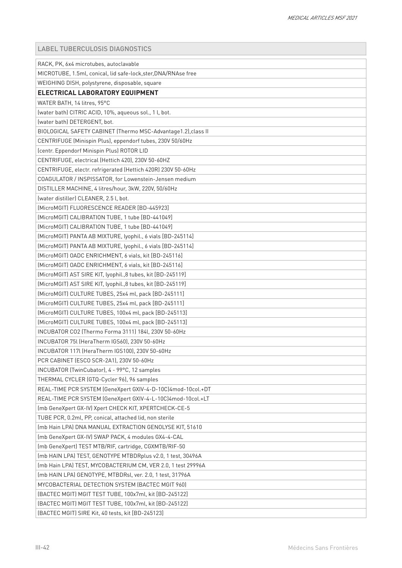LABEL TUBERCULOSIS DIAGNOSTICS

| RACK, PK, 6x4 microtubes, autoclavable                         |
|----------------------------------------------------------------|
| MICROTUBE, 1.5ml, conical, lid safe-lock, ster, DNA/RNAse free |
| WEIGHING DISH, polystyrene, disposable, square                 |
| ELECTRICAL LABORATORY EQUIPMENT                                |
| WATER BATH, 14 litres, 95°C                                    |
| (water bath) CITRIC ACID, 10%, aqueous sol., 1 l, bot.         |
| (water bath) DETERGENT, bot.                                   |
| BIOLOGICAL SAFETY CABINET (Thermo MSC-Advantage1.2), class II  |
| CENTRIFUGE (Minispin Plus), eppendorf tubes, 230V 50/60Hz      |
| (centr. Eppendorf Minispin Plus) ROTOR LID                     |
| CENTRIFUGE, electrical (Hettich 420), 230V 50-60HZ             |
| CENTRIFUGE, electr. refrigerated (Hettich 420R) 230V 50-60Hz   |
| COAGULATOR / INSPISSATOR, for Lowenstein-Jensen medium         |
| DISTILLER MACHINE, 4 litres/hour, 3kW, 220V, 50/60Hz           |
| (water distiller) CLEANER, 2.5 l, bot.                         |
| (MicroMGIT) FLUORESCENCE READER [BD-445923]                    |
| [MicroMGIT] CALIBRATION TUBE, 1 tube [BD-441049]               |
| (MicroMGIT) CALIBRATION TUBE, 1 tube [BD-441049]               |
| [MicroMGIT] PANTA AB MIXTURE, lyophil., 6 vials [BD-245114]    |
| [MicroMGIT] PANTA AB MIXTURE, lyophil., 6 vials [BD-245114]    |
| [MicroMGIT] OADC ENRICHMENT, 6 vials, kit [BD-245116]          |
| [MicroMGIT] OADC ENRICHMENT, 6 vials, kit [BD-245116]          |
| (MicroMGIT) AST SIRE KIT, lyophil., 8 tubes, kit [BD-245119]   |
| (MicroMGIT) AST SIRE KIT, lyophil.,8 tubes, kit [BD-245119]    |
| [MicroMGIT] CULTURE TUBES, 25x4 ml, pack [BD-245111]           |
| [MicroMGIT] CULTURE TUBES, 25x4 ml, pack [BD-245111]           |
| (MicroMGIT) CULTURE TUBES, 100x4 ml, pack [BD-245113]          |
| [MicroMGIT] CULTURE TUBES, 100x4 ml, pack [BD-245113]          |
| INCUBATOR CO2 (Thermo Forma 3111) 184l, 230V 50-60Hz           |
| INCUBATOR 75L (HeraTherm IGS60), 230V 50-60Hz                  |
| INCUBATOR 117l (HeraTherm IGS100), 230V 50-60Hz                |
| PCR CABINET (ESCO SCR-2A1), 230V 50-60Hz                       |
| INCUBATOR (TwinCubator), 4 - 99°C, 12 samples                  |
| THERMAL CYCLER (GTQ-Cycler 96), 96 samples                     |
| REAL-TIME PCR SYSTEM (GeneXpert GXIV-4-D-10C)4mod-10col.+DT    |
| REAL-TIME PCR SYSTEM (GeneXpert GXIV-4-L-10C)4mod-10col.+LT    |
| (mb GeneXpert GX-IV) Xpert CHECK KIT, XPERTCHECK-CE-5          |
| TUBE PCR, 0.2ml, PP, conical, attached lid, non sterile        |
| (mb Hain LPA) DNA MANUAL EXTRACTION GENOLYSE KIT, 51610        |
| (mb GeneXpert GX-IV) SWAP PACK, 4 modules GX4-4-CAL            |
| (mb GeneXpert) TEST MTB/RIF, cartridge, CGXMTB/RIF-50          |
| (mb HAIN LPA) TEST, GENOTYPE MTBDRplus v2.0, 1 test, 30496A    |
| (mb Hain LPA) TEST, MYCOBACTERIUM CM, VER 2.0, 1 test 29996A   |
| (mb HAIN LPA) GENOTYPE, MTBDRsl, ver. 2.0, 1 test, 31796A      |
| MYCOBACTERIAL DETECTION SYSTEM (BACTEC MGIT 960)               |
| (BACTEC MGIT) MGIT TEST TUBE, 100x7ml, kit [BD-245122]         |
| (BACTEC MGIT) MGIT TEST TUBE, 100x7ml, kit [BD-245122]         |
| (BACTEC MGIT) SIRE Kit, 40 tests, kit [BD-245123]              |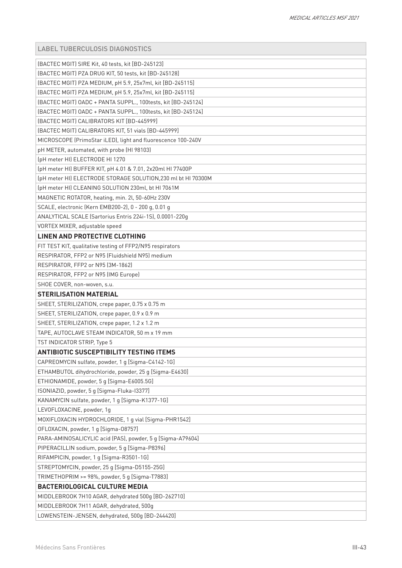|  |  |  | LABEL TUBERCULOSIS DIAGNOSTICS |  |
|--|--|--|--------------------------------|--|
|--|--|--|--------------------------------|--|

| [BACTEC MGIT] SIRE Kit, 40 tests, kit [BD-245123]                                          |
|--------------------------------------------------------------------------------------------|
| [BACTEC MGIT] PZA DRUG KIT, 50 tests, kit [BD-245128]                                      |
| [BACTEC MGIT] PZA MEDIUM, pH 5.9, 25x7ml, kit [BD-245115]                                  |
| (BACTEC MGIT) PZA MEDIUM, pH 5.9, 25x7ml, kit [BD-245115]                                  |
| [BACTEC MGIT] 0ADC + PANTA SUPPL., 100tests, kit [BD-245124]                               |
| (BACTEC MGIT) OADC + PANTA SUPPL., 100tests, kit [BD-245124]                               |
| [BACTEC MGIT] CALIBRATORS KIT [BD-445999]                                                  |
| [BACTEC MGIT] CALIBRATORS KIT, 51 vials [BD-445999]                                        |
| MICROSCOPE (PrimoStar iLED), light and fluorescence 100-240V                               |
| pH METER, automated, with probe (HI 98103)                                                 |
| (pH meter HI) ELECTRODE HI 1270                                                            |
| (pH meter HI) BUFFER KIT, pH 4.01 & 7.01, 2x20ml HI 77400P                                 |
| (pH meter HI) ELECTRODE STORAGE SOLUTION, 230 ml bt HI 70300M                              |
| (pH meter HI) CLEANING SOLUTION 230ml, bt HI 7061M                                         |
| MAGNETIC ROTATOR, heating, min. 2l, 50-60Hz 230V                                           |
| SCALE, electronic (Kern EMB200-2), 0 - 200 g, 0.01 g                                       |
| ANALYTICAL SCALE (Sartorius Entris 224i-1S), 0.0001-220g                                   |
| VORTEX MIXER, adjustable speed                                                             |
| LINEN AND PROTECTIVE CLOTHING                                                              |
| FIT TEST KIT, qualitative testing of FFP2/N95 respirators                                  |
| RESPIRATOR, FFP2 or N95 (Fluidshield N95) medium                                           |
| RESPIRATOR, FFP2 or N95 (3M-1862)                                                          |
| RESPIRATOR, FFP2 or N95 (IMG Europe)                                                       |
| SHOE COVER, non-woven, s.u.                                                                |
| <b>STERILISATION MATERIAL</b>                                                              |
| SHEET, STERILIZATION, crepe paper, 0.75 x 0.75 m                                           |
| SHEET, STERILIZATION, crepe paper, 0.9 x 0.9 m                                             |
| SHEET, STERILIZATION, crepe paper, 1.2 x 1.2 m                                             |
| TAPE, AUTOCLAVE STEAM INDICATOR, 50 m x 19 mm                                              |
| TST INDICATOR STRIP, Type 5                                                                |
| <b>ANTIBIOTIC SUSCEPTIBILITY TESTING ITEMS</b>                                             |
| CAPREOMYCIN sulfate, powder, 1 g [Sigma-C4142-1G]                                          |
| ETHAMBUTOL dihydrochloride, powder, 25 g [Sigma-E4630]                                     |
| ETHIONAMIDE, powder, 5 g [Sigma-E6005.5G]                                                  |
| ISONIAZID, powder, 5 g [Sigma-Fluka-I3377]                                                 |
| KANAMYCIN sulfate, powder, 1 g [Sigma-K1377-1G]                                            |
| LEVOFLOXACINE, powder, 1g                                                                  |
|                                                                                            |
| MOXIFLOXACIN HYDROCHLORIDE, 1 g vial [Sigma-PHR1542]                                       |
| OFLOXACIN, powder, 1 g [Sigma-08757]                                                       |
| PARA-AMINOSALICYLIC acid (PAS), powder, 5 g [Sigma-A79604]                                 |
| PIPERACILLIN sodium, powder, 5 g [Sigma-P8396]                                             |
| RIFAMPICIN, powder, 1 g [Sigma-R3501-1G]                                                   |
| STREPTOMYCIN, powder, 25 g [Sigma-D5155-25G]                                               |
| TRIMETHOPRIM >= 98%, powder, 5 g [Sigma-T7883]                                             |
| <b>BACTERIOLOGICAL CULTURE MEDIA</b>                                                       |
| MIDDLEBROOK 7H10 AGAR, dehydrated 500g [BD-262710]                                         |
| MIDDLEBROOK 7H11 AGAR, dehydrated, 500g<br>LOWENSTEIN-JENSEN, dehydrated, 500g [BD-244420] |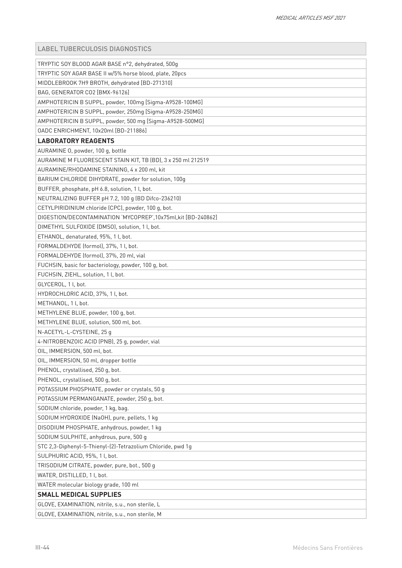| <b>LABEL TUBERCULOSIS DIAGNOSTICS</b>                        |
|--------------------------------------------------------------|
| TRYPTIC SOY BLOOD AGAR BASE n°2, dehydrated, 500g            |
| TRYPTIC SOY AGAR BASE II w/5% horse blood, plate, 20pcs      |
| MIDDLEBROOK 7H9 BROTH, dehydrated [BD-271310]                |
| BAG, GENERATOR CO2 [BMX-96126]                               |
| AMPHOTERICIN B SUPPL, powder, 100mg [Sigma-A9528-100MG]      |
| AMPHOTERICIN B SUPPL, powder, 250mg [Sigma-A9528-250MG]      |
| AMPHOTERICIN B SUPPL, powder, 500 mg [Sigma-A9528-500MG]     |
| OADC ENRICHMENT, 10x20ml [BD-211886]                         |
| <b>LABORATORY REAGENTS</b>                                   |
| AURAMINE O, powder, 100 g, bottle                            |
| AURAMINE M FLUORESCENT STAIN KIT, TB (BD), 3 x 250 ml 212519 |
| AURAMINE/RHODAMINE STAINING, 4 x 200 ml, kit                 |
| BARIUM CHLORIDE DIHYDRATE, powder for solution, 100g         |
| BUFFER, phosphate, pH 6.8, solution, 1 l, bot.               |
| NEUTRALIZING BUFFER pH 7.2, 100 g (BD Difco-236210)          |
| CETYLPIRIDINIUM chloride (CPC), powder, 100 g, bot.          |
| DIGESTION/DECONTAMINATION 'MYCOPREP',10x75ml,kit [BD-240862] |
| DIMETHYL SULFOXIDE (DMSO), solution, 1 l, bot.               |
| ETHANOL, denaturated, 95%, 1l, bot.                          |
| FORMALDEHYDE (formol), 37%, 1 l, bot.                        |
| FORMALDEHYDE (formol), 37%, 20 ml, vial                      |
| FUCHSIN, basic for bacteriology, powder, 100 g, bot.         |
| FUCHSIN, ZIEHL, solution, 1 l, bot.                          |
| GLYCEROL, 1 l, bot.                                          |
| HYDROCHLORIC ACID, 37%, 1 l, bot.                            |
| METHANOL, 1 l, bot.                                          |
| METHYLENE BLUE, powder, 100 g, bot.                          |
| METHYLENE BLUE, solution, 500 ml, bot.                       |
| N-ACETYL-L-CYSTEINE, 25 g                                    |
| 4-NITROBENZOIC ACID (PNB), 25 g, powder, vial                |
| OIL, IMMERSION, 500 ml, bot.                                 |
| OIL, IMMERSION, 50 ml, dropper bottle                        |
| PHENOL, crystallised, 250 g, bot.                            |
| PHENOL, crystallised, 500 g, bot.                            |
| POTASSIUM PHOSPHATE, powder or crystals, 50 g                |
| POTASSIUM PERMANGANATE, powder, 250 g, bot.                  |
| SODIUM chloride, powder, 1 kg, bag.                          |
| SODIUM HYDROXIDE (NaOH), pure, pellets, 1 kg                 |
| DISODIUM PHOSPHATE, anhydrous, powder, 1 kg                  |
| SODIUM SULPHITE, anhydrous, pure, 500 g                      |
| STC 2,3-Diphenyl-5-Thienyl-(2)-Tetrazolium Chloride, pwd 1g  |
| SULPHURIC ACID, 95%, 1 l, bot.                               |
| TRISODIUM CITRATE, powder, pure, bot., 500 g                 |
| WATER, DISTILLED, 1 l, bot.                                  |
| WATER molecular biology grade, 100 ml                        |
| <b>SMALL MEDICAL SUPPLIES</b>                                |
| GLOVE, EXAMINATION, nitrile, s.u., non sterile, L            |
| GLOVE, EXAMINATION, nitrile, s.u., non sterile, M            |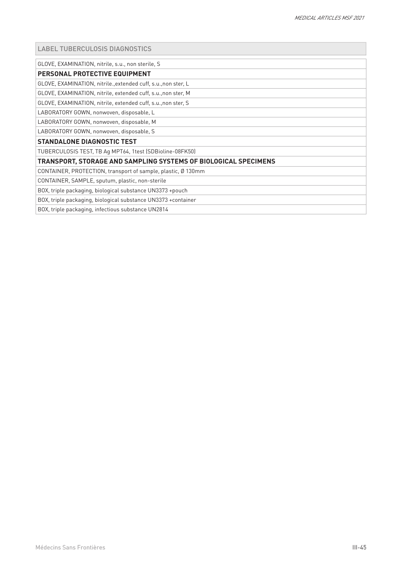#### LABEL TUBERCULOSIS DIAGNOSTICS

GLOVE, EXAMINATION, nitrile, s.u., non sterile, S

#### **PERSONAL PROTECTIVE EQUIPMENT**

GLOVE, EXAMINATION, nitrile.,extended cuff, s.u.,non ster, L

GLOVE, EXAMINATION, nitrile, extended cuff, s.u.,non ster, M

GLOVE, EXAMINATION, nitrile, extended cuff, s.u.,non ster, S

LABORATORY GOWN, nonwoven, disposable, L

LABORATORY GOWN, nonwoven, disposable, M

LABORATORY GOWN, nonwoven, disposable, S

#### **STANDALONE DIAGNOSTIC TEST**

TUBERCULOSIS TEST, TB Ag MPT64, 1test (SDBioline-08FK50)

#### **TRANSPORT, STORAGE AND SAMPLING SYSTEMS OF BIOLOGICAL SPECIMENS**

CONTAINER, PROTECTION, transport of sample, plastic, Ø 130mm

CONTAINER, SAMPLE, sputum, plastic, non-sterile

BOX, triple packaging, biological substance UN3373 +pouch

BOX, triple packaging, biological substance UN3373 +container

BOX, triple packaging, infectious substance UN2814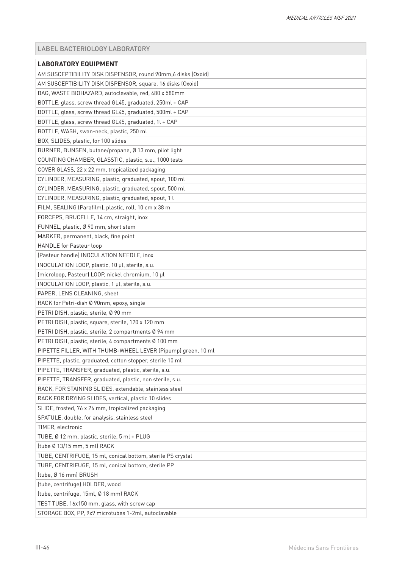# <span id="page-45-0"></span>LABEL BACTERIOLOGY LABORATORY

| <b>LABORATORY EQUIPMENT</b>                                  |
|--------------------------------------------------------------|
| AM SUSCEPTIBILITY DISK DISPENSOR, round 90mm,6 disks (Oxoid) |
| AM SUSCEPTIBILITY DISK DISPENSOR, square, 16 disks (Oxoid)   |
| BAG, WASTE BIOHAZARD, autoclavable, red, 480 x 580mm         |
| BOTTLE, glass, screw thread GL45, graduated, 250ml + CAP     |
| BOTTLE, glass, screw thread GL45, graduated, 500ml + CAP     |
| BOTTLE, glass, screw thread GL45, graduated, 1l + CAP        |
| BOTTLE, WASH, swan-neck, plastic, 250 ml                     |
| BOX, SLIDES, plastic, for 100 slides                         |
| BURNER, BUNSEN, butane/propane, Ø 13 mm, pilot light         |
| COUNTING CHAMBER, GLASSTIC, plastic, s.u., 1000 tests        |
| COVER GLASS, 22 x 22 mm, tropicalized packaging              |
| CYLINDER, MEASURING, plastic, graduated, spout, 100 ml       |
| CYLINDER, MEASURING, plastic, graduated, spout, 500 ml       |
| CYLINDER, MEASURING, plastic, graduated, spout, 1 l          |
| FILM, SEALING (Parafilm), plastic, roll, 10 cm x 38 m        |
| FORCEPS, BRUCELLE, 14 cm, straight, inox                     |
| FUNNEL, plastic, Ø 90 mm, short stem                         |
| MARKER, permanent, black, fine point                         |
| <b>HANDLE</b> for Pasteur loop                               |
| (Pasteur handle) INOCULATION NEEDLE, inox                    |
| INOCULATION LOOP, plastic, 10 µl, sterile, s.u.              |
| (microloop, Pasteur) LOOP, nickel chromium, 10 µl            |
| INOCULATION LOOP, plastic, 1 µl, sterile, s.u.               |
| PAPER, LENS CLEANING, sheet                                  |
| RACK for Petri-dish Ø 90mm, epoxy, single                    |
| PETRI DISH, plastic, sterile, Ø 90 mm                        |
| PETRI DISH, plastic, square, sterile, 120 x 120 mm           |
| PETRI DISH, plastic, sterile, 2 compartments Ø 94 mm         |
| PETRI DISH, plastic, sterile, 4 compartments Ø 100 mm        |
| PIPETTE FILLER, WITH THUMB-WHEEL LEVER (Pipump) green, 10 ml |
| PIPETTE, plastic, graduated, cotton stopper, sterile 10 ml   |
| PIPETTE, TRANSFER, graduated, plastic, sterile, s.u.         |
| PIPETTE, TRANSFER, graduated, plastic, non sterile, s.u.     |
| RACK, FOR STAINING SLIDES, extendable, stainless steel       |
| RACK FOR DRYING SLIDES, vertical, plastic 10 slides          |
| SLIDE, frosted, 76 x 26 mm, tropicalized packaging           |
| SPATULE, double, for analysis, stainless steel               |
| TIMER, electronic                                            |
| TUBE, Ø 12 mm, plastic, sterile, 5 ml + PLUG                 |
| (tube Ø 13/15 mm, 5 ml) RACK                                 |
| TUBE, CENTRIFUGE, 15 ml, conical bottom, sterile PS crystal  |
| TUBE, CENTRIFUGE, 15 ml, conical bottom, sterile PP          |
| (tube, Ø 16 mm) BRUSH                                        |
| (tube, centrifuge) HOLDER, wood                              |
| (tube, centrifuge, 15ml, Ø 18 mm) RACK                       |
| TEST TUBE, 16x150 mm, glass, with screw cap                  |
| STORAGE BOX, PP, 9x9 microtubes 1-2ml, autoclavable          |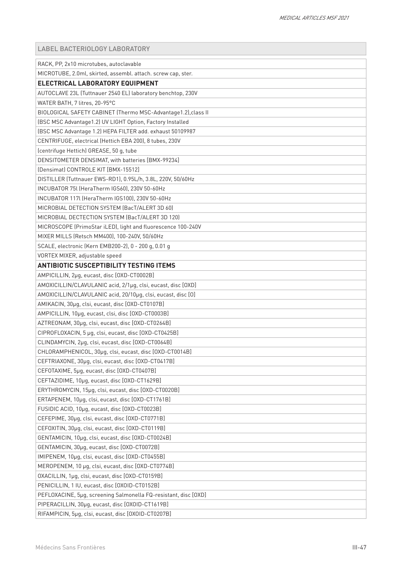LABEL BACTERIOLOGY LABORATORY

| RACK, PP, 2x10 microtubes, autoclavable                         |
|-----------------------------------------------------------------|
| MICROTUBE, 2.0ml, skirted, assembl. attach. screw cap, ster.    |
| ELECTRICAL LABORATORY EQUIPMENT                                 |
| AUTOCLAVE 23L (Tuttnauer 2540 EL) laboratory benchtop, 230V     |
| WATER BATH, 7 litres, 20-95°C                                   |
| BIOLOGICAL SAFETY CABINET (Thermo MSC-Advantage1.2), class II   |
| (BSC MSC Advantage1.2) UV LIGHT Option, Factory Installed       |
| (BSC MSC Advantage 1.2) HEPA FILTER add. exhaust 50109987       |
| CENTRIFUGE, electrical (Hettich EBA 200), 8 tubes, 230V         |
| (centrifuge Hettich) GREASE, 50 g, tube                         |
| DENSITOMETER DENSIMAT, with batteries [BMX-99234]               |
| [Densimat] CONTROLE KIT [BMX-15512]                             |
| DISTILLER (Tuttnauer EWS-RD1), 0.95L/h, 3.8L, 220V, 50/60Hz     |
| INCUBATOR 75L (HeraTherm IGS60), 230V 50-60Hz                   |
| INCUBATOR 117l (HeraTherm IGS100), 230V 50-60Hz                 |
| MICROBIAL DETECTION SYSTEM (BacT/ALERT 3D 60)                   |
| MICROBIAL DECTECTION SYSTEM (BacT/ALERT 3D 120)                 |
| MICROSCOPE (PrimoStar iLED), light and fluorescence 100-240V    |
| MIXER MILLS (Retsch MM400), 100-240V, 50/60Hz                   |
| SCALE, electronic (Kern EMB200-2), 0 - 200 g, 0.01 g            |
| VORTEX MIXER, adjustable speed                                  |
| <b>ANTIBIOTIC SUSCEPTIBILITY TESTING ITEMS</b>                  |
| AMPICILLIN, 2µg, eucast, disc [OXD-CT0002B]                     |
| AMOXICILLIN/CLAVULANIC acid, 2/1µg, clsi, eucast, disc [OXD]    |
| AMOXICILLIN/CLAVULANIC acid, 20/10µg, clsi, eucast, disc [O]    |
| AMIKACIN, 30µg, clsi, eucast, disc [OXD-CT0107B]                |
| AMPICILLIN, 10µg, eucast, clsi, disc [OXD-CT0003B]              |
| AZTREONAM, 30µg, clsi, eucast, disc [OXD-CT0264B]               |
| CIPROFLOXACIN, 5 µg, clsi, eucast, disc [OXD-CT0425B]           |
| CLINDAMYCIN, 2µg, clsi, eucast, disc [OXD-CT0064B]              |
| CHLORAMPHENICOL, 30µg, clsi, eucast, disc [OXD-CT0014B]         |
| CEFTRIAXONE, 30µg, clsi, eucast, disc [OXD-CT0417B]             |
| CEFOTAXIME, 5µq, eucast, disc [OXD-CT0407B]                     |
| CEFTAZIDIME, 10µg, eucast, disc [OXD-CT1629B]                   |
| ERYTHROMYCIN, 15µg, clsi, eucast, disc [OXD-CT0020B]            |
| ERTAPENEM, 10µg, clsi, eucast, disc [OXD-CT1761B]               |
| FUSIDIC ACID, 10µg, eucast, disc [OXD-CT0023B]                  |
| CEFEPIME, 30µg, clsi, eucast, disc [OXD-CT0771B]                |
| CEFOXITIN, 30µg, clsi, eucast, disc [OXD-CT0119B]               |
| GENTAMICIN, 10µg, clsi, eucast, disc [OXD-CT0024B]              |
| GENTAMICIN, 30µg, eucast, disc [OXD-CT0072B]                    |
| IMIPENEM, 10µg, clsi, eucast, disc [OXD-CT0455B]                |
| MEROPENEM, 10 µg, clsi, eucast, disc [OXD-CT0774B]              |
| OXACILLIN, 1µg, clsi, eucast, disc [OXD-CT0159B]                |
| PENICILLIN, 1 IU, eucast, disc [OXOID-CT0152B]                  |
| PEFLOXACINE, 5µg, screening Salmonella FQ-resistant, disc [OXD] |
| PIPERACILLIN, 30µg, eucast, disc [OXOID-CT1619B]                |
| RIFAMPICIN, 5µg, clsi, eucast, disc [OXOID-CT0207B]             |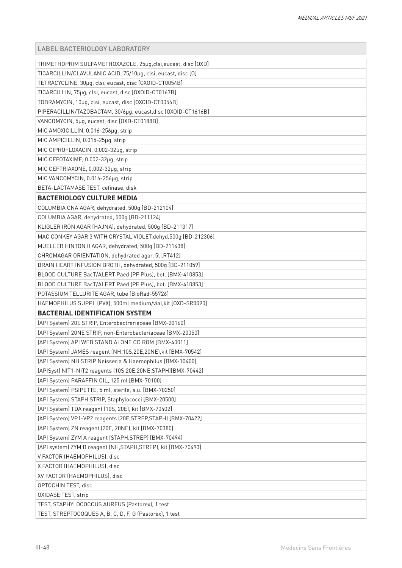| <b>LABEL BACTERIOLOGY LABORATORY</b>                           |
|----------------------------------------------------------------|
| TRIMETHOPRIM SULFAMETHOXAZOLE, 25µg, clsi, eucast, disc [OXD]  |
| TICARCILLIN/CLAVULANIC ACID, 75/10µg, clsi, eucast, disc [0]   |
| TETRACYCLINE, 30µg, clsi, eucast, disc [OXOID-CT0054B]         |
| TICARCILLIN, 75µg, clsi, eucast, disc [OXOID-CT0167B]          |
| TOBRAMYCIN, 10µg, clsi, eucast, disc [OXOID-CT0056B]           |
| PIPERACILLIN/TAZOBACTAM, 30/6µg, eucast,disc [OXOID-CT1616B]   |
| VANCOMYCIN, 5µg, eucast, disc [OXD-CT0188B]                    |
| MIC AMOXICILLIN, 0.016-256µg, strip                            |
| MIC AMPICILLIN, 0.015-25µg, strip                              |
| MIC CIPROFLOXACIN, 0.002-32µg, strip                           |
| MIC CEFOTAXIME, 0.002-32µg, strip                              |
| MIC CEFTRIAXONE, 0.002-32µg, strip                             |
| MIC VANCOMYCIN, 0.016-256µg, strip                             |
| BETA-LACTAMASE TEST, cefinase, disk                            |
| <b>BACTERIOLOGY CULTURE MEDIA</b>                              |
| COLUMBIA CNA AGAR, dehydrated, 500g [BD-212104]                |
| COLUMBIA AGAR, dehydrated, 500g [BD-211124]                    |
| KLIGLER IRON AGAR (HAJNA), dehydrated, 500g [BD-211317]        |
| MAC CONKEY AGAR 3 WITH CRYSTAL VIOLET, dehyd, 500g [BD-212306] |
| MUELLER HINTON II AGAR, dehydrated, 500g [BD-211438]           |
| CHROMAGAR ORIENTATION, dehydrated agar, 5l [RT412]             |
| BRAIN HEART INFUSION BROTH, dehydrated, 500g [BD-211059]       |
| BLOOD CULTURE BacT/ALERT Paed (PF Plus), bot. [BMX-410853]     |
| BLOOD CULTURE BacT/ALERT Paed (PF Plus), bot. [BMX-410853]     |
| POTASSIUM TELLURITE AGAR, tube [BioRad-55726]                  |
| HAEMOPHILUS SUPPL (PVX), 500ml medium/vial, kit [OXD-SR0090]   |
| <b>BACTERIAL IDENTIFICATION SYSTEM</b>                         |
| [API System] 20E STRIP, Enterobactreriaceae [BMX-20160]        |
| (API System) 20NE STRIP, non-Enterobacteriaceae [BMX-20050]    |
| (API System) API WEB STAND ALONE CD ROM [BMX-40011]            |
| [API System] JAMES reagent (NH,10S,20E,20NE), kit [BMX-70542]  |
| (API System) NH STRIP Neisseria & Haemophilus [BMX-10400]      |
| [APISyst] NIT1-NIT2 reagents (10S,20E,20NE,STAPH)[BMX-70442]   |
| [API System] PARAFFIN OIL, 125 ml [BMX-70100]                  |
| (API System) PSIPETTE, 5 ml, sterile, s.u. [BMX-70250]         |
| [API System] STAPH STRIP, Staphylococci [BMX-20500]            |
| (API System) TDA reagent (10S, 20E), kit [BMX-70402]           |
| [API System] VP1-VP2 reagents (20E, STREP, STAPH) [BMX-70422]  |
| (API System) ZN reagent (20E, 20NE), kit [BMX-70380]           |
| [API System] ZYM A reagent (STAPH, STREP) [BMX-70494]          |
| (API system) ZYM B reagent (NH, STAPH, STREP), kit [BMX-70493] |
| V FACTOR (HAEMOPHILUS), disc                                   |
| X FACTOR (HAEMOPHILUS), disc                                   |
| XV FACTOR (HAEMOPHILUS), disc                                  |
| OPTOCHIN TEST, disc                                            |
| OXIDASE TEST, strip                                            |
| TEST, STAPHYLOCOCCUS AUREUS (Pastorex), 1 test                 |
| TEST, STREPTOCOQUES A, B, C, D, F, G (Pastorex), 1 test        |
|                                                                |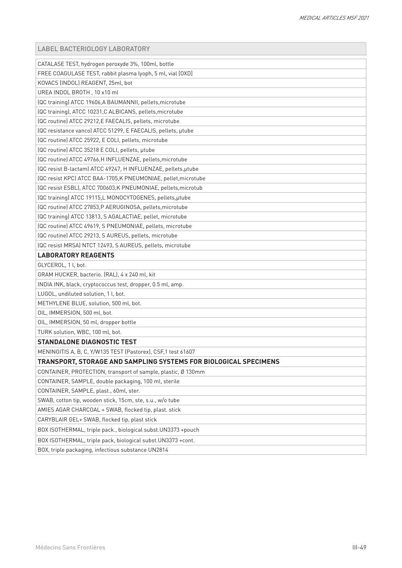#### LABEL BACTERIOLOGY LABORATORY

| CATALASE TEST, hydrogen peroxyde 3%, 100ml, bottle               |
|------------------------------------------------------------------|
| FREE COAGULASE TEST, rabbit plasma lyoph, 5 ml, vial [OXD]       |
| KOVACS (INDOL) REAGENT, 25ml, bot                                |
| UREA INDOL BROTH, 10 x10 ml                                      |
| (QC training) ATCC 19606, A BAUMANNII, pellets, microtube        |
| (QC training), ATCC 10231, C ALBICANS, pellets, microtube        |
| (QC routine) ATCC 29212,E FAECALIS, pellets, microtube           |
| (QC resistance vanco) ATCC 51299, E FAECALIS, pellets, µtube     |
| (QC routine) ATCC 25922, E COLI, pellets, microtube              |
| (QC routine) ATCC 35218 E COLI, pellets, µtube                   |
| (QC routine) ATCC 49766, H INFLUENZAE, pellets, microtube        |
| (QC resist B-lactam) ATCC 49247, H INFLUENZAE, pellets, utube    |
| (QC resist KPC) ATCC BAA-1705, K PNEUMONIAE, pellet, microtube   |
| (QC resist ESBL), ATCC 700603, K PNEUMONIAE, pellets, microtub   |
| (QC training) ATCC 19115,L MONOCYTOGENES, pellets, utube         |
| (QC routine) ATCC 27853, P AERUGINOSA, pellets, microtube        |
| (QC training) ATCC 13813, S AGALACTIAE, pellet, microtube        |
| (QC routine) ATCC 49619, S PNEUMONIAE, pellets, microtube        |
| (QC routine) ATCC 29213, S AUREUS, pellets, microtube            |
| (QC resist MRSA) NTCT 12493, S AUREUS, pellets, microtube        |
| <b>LABORATORY REAGENTS</b>                                       |
| GLYCEROL, 1 l, bot.                                              |
| GRAM HUCKER, bacterio. (RAL), 4 x 240 ml, kit                    |
| INDIA INK, black, cryptococcus test, dropper, 0.5 ml, amp.       |
| LUGOL, undiluted solution, 1 l, bot.                             |
| METHYLENE BLUE, solution, 500 ml, bot.                           |
| OIL, IMMERSION, 500 ml, bot.                                     |
| OIL, IMMERSION, 50 ml, dropper bottle                            |
| TURK solution, WBC, 100 ml, bot.                                 |
| <b>STANDALONE DIAGNOSTIC TEST</b>                                |
| MENINGITIS A, B, C, Y/W135 TEST (Pastorex), CSF, 1 test 61607    |
| TRANSPORT, STORAGE AND SAMPLING SYSTEMS FOR BIOLOGICAL SPECIMENS |
| CONTAINER, PROTECTION, transport of sample, plastic, Ø 130mm     |
| CONTAINER, SAMPLE, double packaging, 100 ml, sterile             |
| CONTAINER, SAMPLE, plast., 60ml, ster.                           |
| SWAB, cotton tip, wooden stick, 15cm, ste, s.u., w/o tube        |
| AMIES AGAR CHARCOAL + SWAB, flocked tip, plast. stick            |
| CARYBLAIR GEL+ SWAB, flocked tip, plast stick                    |
| BOX ISOTHERMAL, triple pack., biological subst.UN3373 +pouch     |
| BOX ISOTHERMAL, triple pack, biological subst.UN3373 +cont.      |
| BOX, triple packaging, infectious substance UN2814               |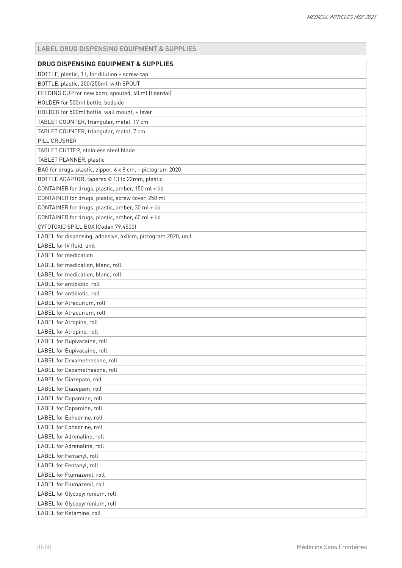<span id="page-49-0"></span>

| <b>DRUG DISPENSING EQUIPMENT &amp; SUPPLIES</b>             |
|-------------------------------------------------------------|
| BOTTLE, plastic, 1 l, for dilution + screw cap              |
| BOTTLE, plastic, 200/250ml, with SPOUT                      |
| FEEDING CUP for new born, spouted, 40 ml (Laerdal)          |
| HOLDER for 500ml bottle, bedside                            |
| HOLDER for 500ml bottle, wall mount, + lever                |
| TABLET COUNTER, triangular, metal, 17 cm                    |
| TABLET COUNTER, triangular, metal, 7 cm                     |
| PILL CRUSHER                                                |
| TABLET CUTTER, stainless steel blade                        |
| TABLET PLANNER, plastic                                     |
| BAG for drugs, plastic, zipper, 6 x 8 cm, + pictogram 2020  |
| BOTTLE ADAPTOR, tapered Ø 13 to 22mm, plastic               |
| CONTAINER for drugs, plastic, amber, 150 ml + lid           |
| CONTAINER for drugs, plastic, screw cover, 250 ml           |
| CONTAINER for drugs, plastic, amber, 30 ml + lid            |
| CONTAINER for drugs, plastic, amber, 60 ml + lid            |
| CYTOTOXIC SPILL BOX (Codan 79.4500)                         |
| LABEL for dispensing, adhesive, 6x8cm, pictogram 2020, unit |
| LABEL for IV fluid, unit                                    |
| <b>LABEL</b> for medication                                 |
| LABEL for medication, blanc, roll                           |
| LABEL for medication, blanc, roll                           |
| LABEL for antibiotic, roll                                  |
| LABEL for antibiotic, roll                                  |
| LABEL for Atracurium, roll                                  |
| LABEL for Atracurium, roll                                  |
| LABEL for Atropine, roll                                    |
| LABEL for Atropine, roll                                    |
| LABEL for Bupivacaine, roll                                 |
| LABEL for Bupivacaine, roll                                 |
| LABEL for Dexamethasone, roll                               |
| LABEL for Dexamethasone, roll                               |
| LABEL for Diazepam, roll                                    |
| LABEL for Diazepam, roll                                    |
| LABEL for Dopamine, roll                                    |
| LABEL for Dopamine, roll                                    |
| LABEL for Ephedrine, roll                                   |
| LABEL for Ephedrine, roll                                   |
| LABEL for Adrenaline, roll                                  |
| LABEL for Adrenaline, roll                                  |
| LABEL for Fentanyl, roll                                    |
| LABEL for Fentanyl, roll                                    |
| LABEL for Flumazenil, roll                                  |
| LABEL for Flumazenil, roll                                  |
| LABEL for Glycopyrronium, roll                              |
| LABEL for Glycopyrronium, roll                              |
| LABEL for Ketamine, roll                                    |